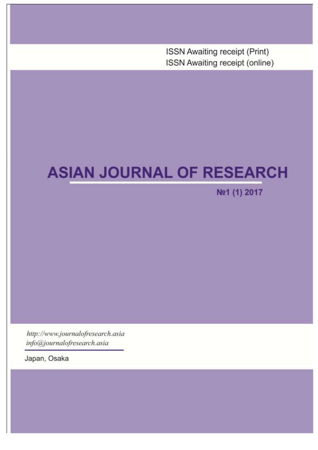ISSN Awaiting receipt (Print) ISSN Awaiting receipt (online)

# **ASIAN JOURNAL OF RESEARCH**

No1 (1) 2017

http://www.journalofresearch.asia info@journalofresearch.asia

Japan, Osaka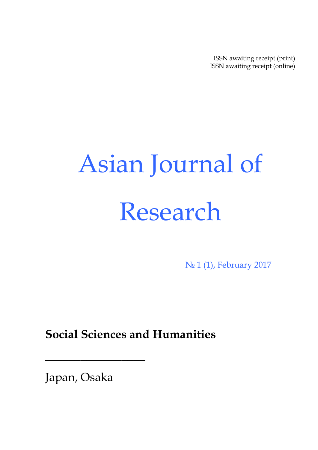ISSN awaiting receipt (print) ISSN awaiting receipt (online)

# Asian Journal of Research

No 1 (1), February 2017

### **Social Sciences and Humanities**

Japan, Osaka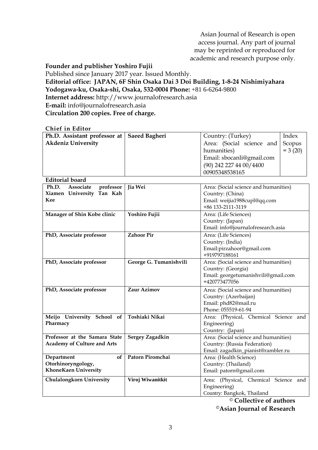Asian Journal of Research is open access journal. Any part of journal may be reprinted or reproduced for academic and research purpose only.

**Founder and publisher Yoshiro Fujii** 

Published since January 2017 year. Issued Monthly.

**Editorial office: JAPAN, 6F Shin Osaka Dai 3 Doi Building, 1-8-24 Nishimiyahara Yodogawa-ku, Osaka-shi, Osaka, 532-0004 Phone:** +81 6-6264-9800 **Internet address:** http://www.journalofresearch.asia

**E-mail:** [info@journalofresearch.asia](mailto:info@journalofresearch.asia)

**Circulation 200 copies. Free of charge.**

### **Chief in Editor**

| Ph.D. Assistant professor at Saeed Bagheri | Country: (Turkey)                | Index     |
|--------------------------------------------|----------------------------------|-----------|
| <b>Akdeniz University</b>                  | Area: (Social science and Scopus |           |
|                                            | humanities)                      | $= 3(20)$ |
|                                            | Email: sbocanli@gmail.com        |           |
|                                            | (90) 242 227 44 00/4400          |           |
|                                            | 00905348538165                   |           |

**Editorial board** 

| Editorial doard                    |                        |                                          |  |
|------------------------------------|------------------------|------------------------------------------|--|
| Ph.D.<br>Associate<br>professor    | Jia Wei                | Area: (Social science and humanities)    |  |
| Xiamen University Tan Kah          |                        | Country: (China)                         |  |
| Kee                                |                        | Email: weijia1988cupl@qq.com             |  |
|                                    |                        | +86 133-2111-3119                        |  |
| Manager of Shin Kobe clinic        | Yoshiro Fujii          | Area: (Life Sciences)                    |  |
|                                    |                        | Country: (Japan)                         |  |
|                                    |                        | Email: info@journalofresearch.asia       |  |
| PhD, Associate professor           | <b>Zahoor Pir</b>      | Area: (Life Sciences)                    |  |
|                                    |                        | Country: (India)                         |  |
|                                    |                        | Email:pirzahoor@gmail.com                |  |
|                                    |                        | +919797188161                            |  |
| PhD, Associate professor           | George G. Tumanishvili | Area: (Social science and humanities)    |  |
|                                    |                        | Country: (Georgia)                       |  |
|                                    |                        | Email: georgetumanishvili@gmail.com      |  |
|                                    |                        | +420773477056                            |  |
| PhD, Associate professor           | <b>Zaur Azimov</b>     | Area: (Social science and humanities)    |  |
|                                    |                        | Country: (Azerbaijan)                    |  |
|                                    |                        | Email: phd82@mail.ru                     |  |
|                                    |                        | Phone: 055519-61-94                      |  |
| Meijo University School of         | Toshiaki Nikai         | Area: (Physical, Chemical Science and    |  |
| Pharmacy                           |                        | Engineering)                             |  |
|                                    |                        | Country: (Japan)                         |  |
| Professor at the Samara State      | Sergey Zagadkin        | Area: (Social science and humanities)    |  |
| <b>Academy of Culture and Arts</b> |                        | Country: (Russia Federation)             |  |
|                                    |                        | Email: zagadkin_pianist@rambler.ru       |  |
| Department<br>of                   | Patorn Piromchai       | Area: (Health Science)                   |  |
| Otorhinoryngology,                 |                        | Country: (Thailand)                      |  |
| <b>KhoneKaen University</b>        |                        | Email: patorn@gmail.com                  |  |
| <b>Chulalongkorn University</b>    | Viroj Wiwanitkit       | (Physical, Chemical Science and<br>Area: |  |
|                                    |                        | Engineering)                             |  |
|                                    |                        | Country: Bangkok, Thailand               |  |
|                                    |                        | $0$ Callcetive of authors                |  |

© **Collective of authors**  ©**Asian Journal of Research**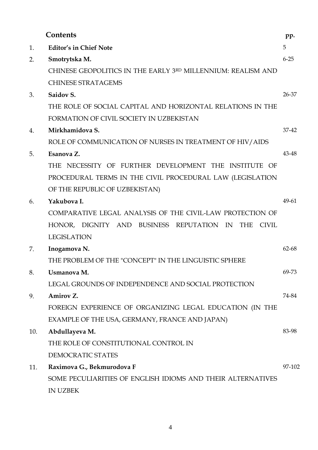**Contents pp.** 1. **Editor's in Chief Note** 5 2. **Smotrytska M.** CHINESE GEOPOLITICS IN THE EARLY 3RD MILLENNIUM: REALISM AND CHINESE STRATAGEMS 6-25 3. **Saidov S.** THE ROLE OF SOCIAL CAPITAL AND HORIZONTAL RELATIONS IN THE FORMATION OF CIVIL SOCIETY IN UZBEKISTAN 26-37 4. **Mirkhamidova S.** ROLE OF COMMUNICATION OF NURSES IN TREATMENT OF HIV/AIDS 37-42 5. **Esanova Z.** THE NECESSITY OF FURTHER DEVELOPMENT THE INSTITUTE OF PROCEDURAL TERMS IN THE CIVIL PROCEDURAL LAW (LEGISLATION OF THE REPUBLIC OF UZBEKISTAN) 43-48 6. **Yakubova I.**  COMPARATIVE LEGAL ANALYSIS OF THE CIVIL-LAW PROTECTION OF HONOR, DIGNITY AND BUSINESS REPUTATION IN THE CIVIL LEGISLATION 49-61 7. **Inogamova N.** THE PROBLEM OF THE "CONCEPT" IN THE LINGUISTIC SPHERE 62-68 8. **Usmanova M.** LEGAL GROUNDS OF INDEPENDENCE AND SOCIAL PROTECTION 69-73 9. **Amirov Z.** FOREIGN EXPERIENCE OF ORGANIZING LEGAL EDUCATION (IN THE EXAMPLE OF THE USA, GERMANY, FRANCE AND JAPAN) 74-84 10. **Abdullayeva M.** THE ROLE OF CONSTITUTIONAL CONTROL IN DEMOCRATIC STATES 83-98 11. **Raximova G., Bekmurodova F**  SOME PECULIARITIES OF ENGLISH IDIOMS AND THEIR ALTERNATIVES IN UZBEK 97-102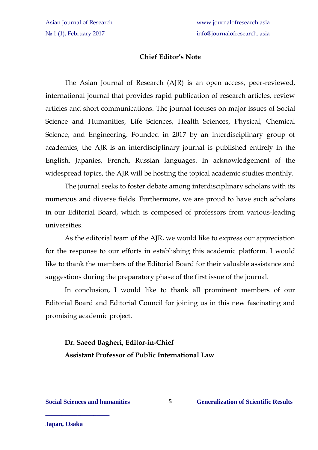### **Chief Editor's Note**

The Asian Journal of Research (AJR) is an open access, peer-reviewed, international journal that provides rapid publication of research articles, review articles and short communications. The journal focuses on major issues of Social Science and Humanities, Life Sciences, Health Sciences, Physical, Chemical Science, and Engineering. Founded in 2017 by an interdisciplinary group of academics, the AJR is an interdisciplinary journal is published entirely in the English, Japanies, French, Russian languages. In acknowledgement of the widespread topics, the AJR will be hosting the topical academic studies monthly.

The journal seeks to foster debate among interdisciplinary scholars with its numerous and diverse fields. Furthermore, we are proud to have such scholars in our Editorial Board, which is composed of professors from various-leading universities.

As the editorial team of the AJR, we would like to express our appreciation for the response to our efforts in establishing this academic platform. I would like to thank the members of the Editorial Board for their valuable assistance and suggestions during the preparatory phase of the first issue of the journal.

In conclusion, I would like to thank all prominent members of our Editorial Board and Editorial Council for joining us in this new fascinating and promising academic project.

**5**

### **Dr. Saeed Bagheri, Editor-in-Chief Assistant Professor of Public International Law**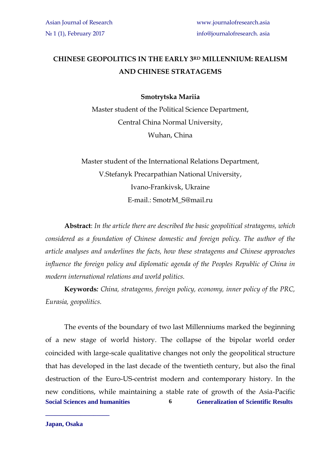### **CHINESE GEOPOLITICS IN THE EARLY 3RD MILLENNIUM: REALISM AND CHINESE STRATAGEMS**

**Smotrytska Mariia**

Master student of the Political Science Department, Central China Normal University, Wuhan, China

Master student of the International Relations Department, V.Stefanyk Precarpathian National University, Ivano-Frankivsk, Ukraine E-mail.: SmotrM\_S@mail.ru

**Abstract**: *In the article there are described the basic geopolitical stratagems, which considered as a foundation of Chinese domestic and foreign policy. The author of the article analyses and underlines the facts, how these stratagems and Chinese approaches influence the foreign policy and diplomatic agenda of the Peoples Republic of China in modern international relations and world politics.*

**Keywords***: China, stratagems, foreign policy, economy, inner policy of the PRC, Eurasia, geopolitics.*

**Social Sciences and humanities 6** Generalization of Scientific Results **6** The events of the boundary of two last Millenniums marked the beginning of a new stage of world history. The collapse of the bipolar world order coincided with large-scale qualitative changes not only the geopolitical structure that has developed in the last decade of the twentieth century, but also the final destruction of the Euro-US-centrist modern and contemporary history. In the new conditions, while maintaining a stable rate of growth of the Asia-Pacific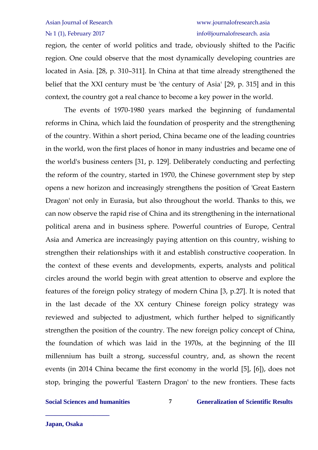### Asian Journal of Research www[.journalofresearch.a](http://journalofresearch.asia/)sia

# No 1 (1), February 2017 info[@journalofresearch.](http://journalofresearch.asia/) asia

region, the center of world politics and trade, obviously shifted to the Pacific region. One could observe that the most dynamically developing countries are located in Asia. [28, p. 310–311]. In China at that time already strengthened the belief that the XXI century must be 'the century of Asia' [29, p. 315] and in this context, the country got a real chance to become a key power in the world.

The events of 1970-1980 years marked the beginning of fundamental reforms in China, which laid the foundation of prosperity and the strengthening of the country. Within a short period, China became one of the leading countries in the world, won the first places of honor in many industries and became one of the world's business centers [31, p. 129]. Deliberately conducting and perfecting the reform of the country, started in 1970, the Chinese government step by step opens a new horizon and increasingly strengthens the position of 'Great Eastern Dragon' not only in Eurasia, but also throughout the world. Thanks to this, we can now observe the rapid rise of China and its strengthening in the international political arena and in business sphere. Powerful countries of Europe, Central Asia and America are increasingly paying attention on this country, wishing to strengthen their relationships with it and establish constructive cooperation. In the context of these events and developments, experts, analysts and political circles around the world begin with great attention to observe and explore the features of the foreign policy strategy of modern China [3, p.27]. It is noted that in the last decade of the XX century Chinese foreign policy strategy was reviewed and subjected to adjustment, which further helped to significantly strengthen the position of the country. The new foreign policy concept of China, the foundation of which was laid in the 1970s, at the beginning of the III millennium has built a strong, successful country, and, as shown the recent events (in 2014 China became the first economy in the world [5], [6]), does not stop, bringing the powerful 'Eastern Dragon' to the new frontiers. These facts

**\_\_\_\_\_\_\_\_\_\_\_\_\_\_\_\_\_\_\_\_**

### **Social Sciences and humanities**  $\overline{7}$  **Generalization of Scientific Results**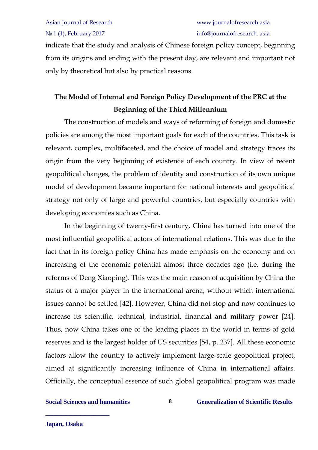indicate that the study and analysis of Chinese foreign policy concept, beginning from its origins and ending with the present day, are relevant and important not only by theoretical but also by practical reasons.

### **The Model of Internal and Foreign Policy Development of the PRC at the Beginning of the Third Millennium**

The construction of models and ways of reforming of foreign and domestic policies are among the most important goals for each of the countries. This task is relevant, complex, multifaceted, and the choice of model and strategy traces its origin from the very beginning of existence of each country. In view of recent geopolitical changes, the problem of identity and construction of its own unique model of development became important for national interests and geopolitical strategy not only of large and powerful countries, but especially countries with developing economies such as China.

In the beginning of twenty-first century, China has turned into one of the most influential geopolitical actors of international relations. This was due to the fact that in its foreign policy China has made emphasis on the economy and on increasing of the economic potential almost three decades ago (i.e. during the reforms of Deng Xiaoping). This was the main reason of acquisition by China the status of a major player in the international arena, without which international issues cannot be settled [42]. However, China did not stop and now continues to increase its scientific, technical, industrial, financial and military power [24]. Thus, now China takes one of the leading places in the world in terms of gold reserves and is the largest holder of US securities [54, p. 237]. All these economic factors allow the country to actively implement large-scale geopolitical project, aimed at significantly increasing influence of China in international affairs. Officially, the conceptual essence of such global geopolitical program was made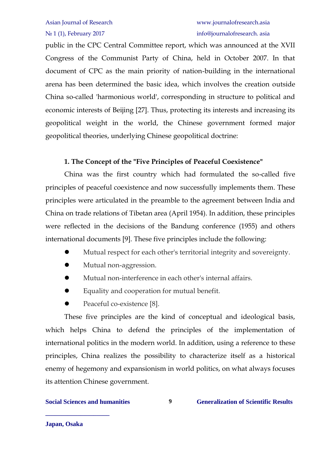public in the CPC Central Committee report, which was announced at the XVII Congress of the Communist Party of China, held in October 2007. In that document of CPC as the main priority of nation-building in the international arena has been determined the basic idea, which involves the creation outside China so-called 'harmonious world', corresponding in structure to political and economic interests of Beijing [27]. Thus, protecting its interests and increasing its geopolitical weight in the world, the Chinese government formed major geopolitical theories, underlying Chinese geopolitical doctrine:

### **1. The Concept of the "Five Principles of Peaceful Coexistence"**

China was the first country which had formulated the so-called five principles of peaceful coexistence and now successfully implements them. These principles were articulated in the preamble to the agreement between India and China on trade relations of Tibetan area (April 1954). In addition, these principles were reflected in the decisions of the Bandung conference (1955) and others international documents [9]. These five principles include the following:

- Mutual respect for each other's territorial integrity and sovereignty.
- Mutual non-aggression.
- Mutual non-interference in each other's internal affairs.
- Equality and cooperation for mutual benefit.
- Peaceful co-existence [8].

These five principles are the kind of conceptual and ideological basis, which helps China to defend the principles of the implementation of international politics in the modern world. In addition, using a reference to these principles, China realizes the possibility to characterize itself as a historical enemy of hegemony and expansionism in world politics, on what always focuses its attention Chinese government.

**\_\_\_\_\_\_\_\_\_\_\_\_\_\_\_\_\_\_\_\_**

**9**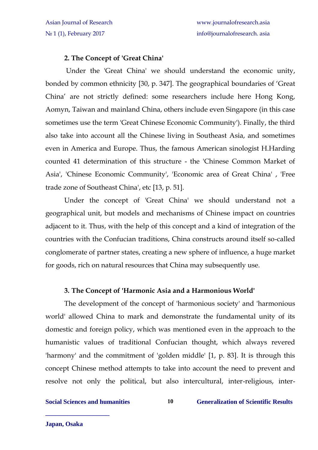### **2. The Concept of 'Great China'**

Under the 'Great China' we should understand the economic unity, bonded by common ethnicity [30, p. 347]. The geographical boundaries of 'Great China' are not strictly defined: some researchers include here Hong Kong, Aomyn, Taiwan and mainland China, others include even Singapore (in this case sometimes use the term 'Great Chinese Economic Community'). Finally, the third also take into account all the Chinese living in Southeast Asia, and sometimes even in America and Europe. Thus, the famous American sinologist H.Harding counted 41 determination of this structure - the 'Chinese Common Market of Asia', 'Chinese Economic Community', 'Economic area of Great China' , 'Free trade zone of Southeast China', etc [13, p. 51].

Under the concept of 'Great China' we should understand not a geographical unit, but models and mechanisms of Chinese impact on countries adjacent to it. Thus, with the help of this concept and a kind of integration of the countries with the Confucian traditions, China constructs around itself so-called conglomerate of partner states, creating a new sphere of influence, a huge market for goods, rich on natural resources that China may subsequently use.

### **3. The Concept of 'Harmonic Asia and a Harmonious World'**

The development of the concept of 'harmonious society' and 'harmonious world' allowed China to mark and demonstrate the fundamental unity of its domestic and foreign policy, which was mentioned even in the approach to the humanistic values of traditional Confucian thought, which always revered 'harmony' and the commitment of 'golden middle' [1, p. 83]. It is through this concept Chinese method attempts to take into account the need to prevent and resolve not only the political, but also intercultural, inter-religious, inter-

**\_\_\_\_\_\_\_\_\_\_\_\_\_\_\_\_\_\_\_\_**

### **Social Sciences and humanities 10 Generalization of Scientific Results**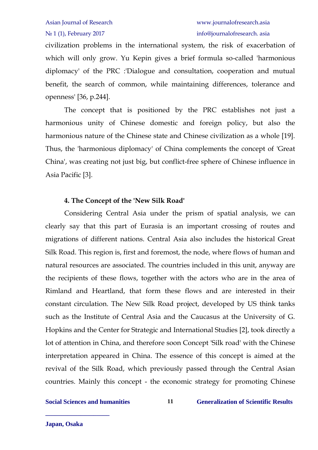civilization problems in the international system, the risk of exacerbation of which will only grow. Yu Kepin gives a brief formula so-called 'harmonious diplomacy' of the PRC :'Dialogue and consultation, cooperation and mutual benefit, the search of common, while maintaining differences, tolerance and openness' [36, p.244].

The concept that is positioned by the PRC establishes not just a harmonious unity of Chinese domestic and foreign policy, but also the harmonious nature of the Chinese state and Chinese civilization as a whole [19]. Thus, the 'harmonious diplomacy' of China complements the concept of 'Great China', was creating not just big, but conflict-free sphere of Chinese influence in Asia Pacific [3].

### **4. The Concept of the 'New Silk Road'**

Considering Central Asia under the prism of spatial analysis, we can clearly say that this part of Eurasia is an important crossing of routes and migrations of different nations. Central Asia also includes the historical Great Silk Road. This region is, first and foremost, the node, where flows of human and natural resources are associated. The countries included in this unit, anyway are the recipients of these flows, together with the actors who are in the area of Rimland and Heartland, that form these flows and are interested in their constant circulation. The New Silk Road project, developed by US think tanks such as the Institute of Central Asia and the Caucasus at the University of G. Hopkins and the Center for Strategic and International Studies [2], took directly a lot of attention in China, and therefore soon Concept 'Silk road' with the Chinese interpretation appeared in China. The essence of this concept is aimed at the revival of the Silk Road, which previously passed through the Central Asian countries. Mainly this concept - the economic strategy for promoting Chinese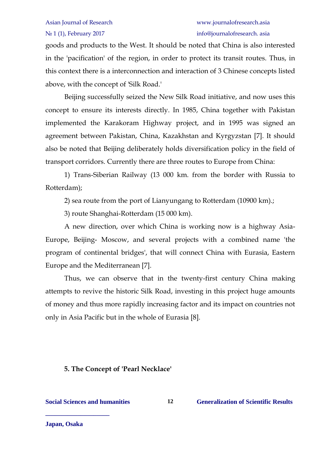goods and products to the West. It should be noted that China is also interested in the 'pacification' of the region, in order to protect its transit routes. Thus, in this context there is a interconnection and interaction of 3 Chinese concepts listed above, with the concept of 'Silk Road.'

Beijing successfully seized the New Silk Road initiative, and now uses this concept to ensure its interests directly. In 1985, China together with Pakistan implemented the Karakoram Highway project, and in 1995 was signed an agreement between Pakistan, China, Kazakhstan and Kyrgyzstan [7]. It should also be noted that Beijing deliberately holds diversification policy in the field of transport corridors. Currently there are three routes to Europe from China:

1) Trans-Siberian Railway (13 000 km. from the border with Russia to Rotterdam);

2) sea route from the port of Lianyungang to Rotterdam (10900 km).;

3) route Shanghai-Rotterdam (15 000 km).

A new direction, over which China is working now is a highway Asia-Europe, Beijing- Moscow, and several projects with a combined name 'the program of continental bridges', that will connect China with Eurasia, Eastern Europe and the Mediterranean [7].

Thus, we can observe that in the twenty-first century China making attempts to revive the historic Silk Road, investing in this project huge amounts of money and thus more rapidly increasing factor and its impact on countries not only in Asia Pacific but in the whole of Eurasia [8].

**12**

### **5. The Concept of 'Pearl Necklace'**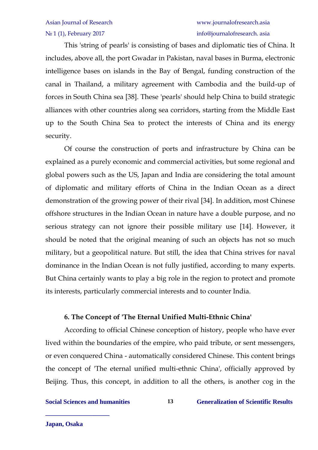This 'string of pearls' is consisting of bases and diplomatic ties of China. It includes, above all, the port Gwadar in Pakistan, naval bases in Burma, electronic intelligence bases on islands in the Bay of Bengal, funding construction of the canal in Thailand, a military agreement with Cambodia and the build-up of forces in South China sea [38]. These 'pearls' should help China to build strategic alliances with other countries along sea corridors, starting from the Middle East up to the South China Sea to protect the interests of China and its energy security.

Of course the construction of ports and infrastructure by China can be explained as a purely economic and commercial activities, but some regional and global powers such as the US, Japan and India are considering the total amount of diplomatic and military efforts of China in the Indian Ocean as a direct demonstration of the growing power of their rival [34]. In addition, most Chinese offshore structures in the Indian Ocean in nature have a double purpose, and no serious strategy can not ignore their possible military use [14]. However, it should be noted that the original meaning of such an objects has not so much military, but a geopolitical nature. But still, the idea that China strives for naval dominance in the Indian Ocean is not fully justified, according to many experts. But China certainly wants to play a big role in the region to protect and promote its interests, particularly commercial interests and to counter India.

### **6. The Concept of 'The Eternal Unified Multi-Ethnic China'**

According to official Chinese conception of history, people who have ever lived within the boundaries of the empire, who paid tribute, or sent messengers, or even conquered China - automatically considered Chinese. This content brings the concept of 'The eternal unified multi-ethnic China', officially approved by Beijing. Thus, this concept, in addition to all the others, is another cog in the

**\_\_\_\_\_\_\_\_\_\_\_\_\_\_\_\_\_\_\_\_**

### **Social Sciences and humanities Generalization of Scientific Results**

**Japan, Osaka**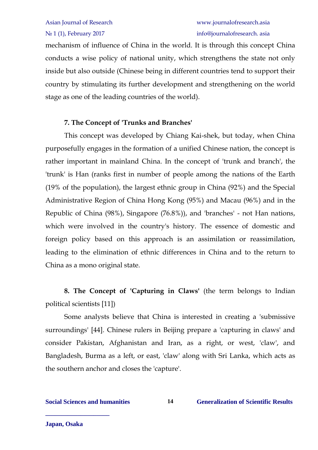mechanism of influence of China in the world. It is through this concept China conducts a wise policy of national unity, which strengthens the state not only inside but also outside (Chinese being in different countries tend to support their country by stimulating its further development and strengthening on the world stage as one of the leading countries of the world).

### **7. The Concept of 'Trunks and Branches'**

This concept was developed by Chiang Kai-shek, but today, when China purposefully engages in the formation of a unified Chinese nation, the concept is rather important in mainland China. In the concept of 'trunk and branch', the 'trunk' is Han (ranks first in number of people among the nations of the Earth (19% of the population), the largest ethnic group in China (92%) and the Special Administrative Region of China Hong Kong (95%) and Macau (96%) and in the Republic of China (98%), Singapore (76.8%)), and 'branches' - not Han nations, which were involved in the country's history. The essence of domestic and foreign policy based on this approach is an assimilation or reassimilation, leading to the elimination of ethnic differences in China and to the return to China as a mono original state.

### **8. The Concept of 'Capturing in Claws'** (the term belongs to Indian political scientists [11])

Some analysts believe that China is interested in creating a 'submissive surroundings' [44]. Chinese rulers in Beijing prepare a 'capturing in claws' and consider Pakistan, Afghanistan and Iran, as a right, or west, 'claw', and Bangladesh, Burma as a left, or east, 'claw' along with Sri Lanka, which acts as the southern anchor and closes the 'capture'.

**\_\_\_\_\_\_\_\_\_\_\_\_\_\_\_\_\_\_\_\_**

**14**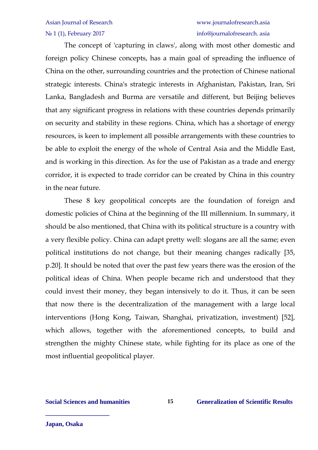The concept of 'capturing in claws', along with most other domestic and foreign policy Chinese concepts, has a main goal of spreading the influence of China on the other, surrounding countries and the protection of Chinese national strategic interests. China's strategic interests in Afghanistan, Pakistan, Iran, Sri Lanka, Bangladesh and Burma are versatile and different, but Beijing believes that any significant progress in relations with these countries depends primarily on security and stability in these regions. China, which has a shortage of energy resources, is keen to implement all possible arrangements with these countries to be able to exploit the energy of the whole of Central Asia and the Middle East, and is working in this direction. As for the use of Pakistan as a trade and energy corridor, it is expected to trade corridor can be created by China in this country in the near future.

These 8 key geopolitical concepts are the foundation of foreign and domestic policies of China at the beginning of the III millennium. In summary, it should be also mentioned, that China with its political structure is a country with a very flexible policy. China can adapt pretty well: slogans are all the same; even political institutions do not change, but their meaning changes radically [35, p.20]. It should be noted that over the past few years there was the erosion of the political ideas of China. When people became rich and understood that they could invest their money, they began intensively to do it. Thus, it can be seen that now there is the decentralization of the management with a large local interventions (Hong Kong, Taiwan, Shanghai, privatization, investment) [52], which allows, together with the aforementioned concepts, to build and strengthen the mighty Chinese state, while fighting for its place as one of the most influential geopolitical player.

**15**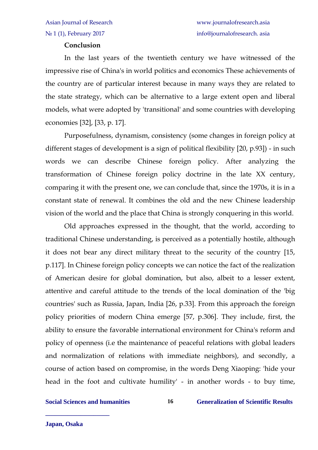### **Conclusion**

In the last years of the twentieth century we have witnessed of the impressive rise of China's in world politics and economics These achievements of the country are of particular interest because in many ways they are related to the state strategy, which can be alternative to a large extent open and liberal models, what were adopted by 'transitional' and some countries with developing economies [32], [33, p. 17].

Purposefulness, dynamism, consistency (some changes in foreign policy at different stages of development is a sign of political flexibility [20, p.93]) - in such words we can describe Chinese foreign policy. After analyzing the transformation of Chinese foreign policy doctrine in the late XX century, comparing it with the present one, we can conclude that, since the 1970s, it is in a constant state of renewal. It combines the old and the new Chinese leadership vision of the world and the place that China is strongly conquering in this world.

Old approaches expressed in the thought, that the world, according to traditional Chinese understanding, is perceived as a potentially hostile, although it does not bear any direct military threat to the security of the country [15, p.117]. In Chinese foreign policy concepts we can notice the fact of the realization of American desire for global domination, but also, albeit to a lesser extent, attentive and careful attitude to the trends of the local domination of the 'big countries' such as Russia, Japan, India [26, p.33]. From this approach the foreign policy priorities of modern China emerge [57, p.306]. They include, first, the ability to ensure the favorable international environment for China's reform and policy of openness (i.e the maintenance of peaceful relations with global leaders and normalization of relations with immediate neighbors), and secondly, a course of action based on compromise, in the words Deng Xiaoping: 'hide your head in the foot and cultivate humility' - in another words - to buy time,

**\_\_\_\_\_\_\_\_\_\_\_\_\_\_\_\_\_\_\_\_**

### **Social Sciences and humanities 16** Generalization of Scientific Results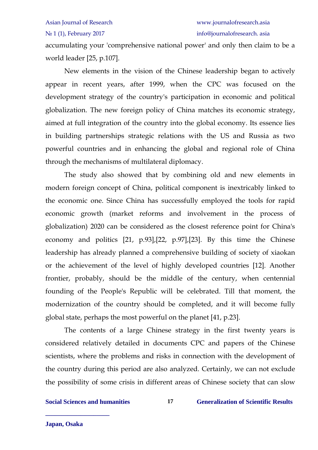accumulating your 'comprehensive national power' and only then claim to be a world leader [25, p.107].

New elements in the vision of the Chinese leadership began to actively appear in recent years, after 1999, when the CPC was focused on the development strategy of the country's participation in economic and political globalization. The new foreign policy of China matches its economic strategy, aimed at full integration of the country into the global economy. Its essence lies in building partnerships strategic relations with the US and Russia as two powerful countries and in enhancing the global and regional role of China through the mechanisms of multilateral diplomacy.

The study also showed that by combining old and new elements in modern foreign concept of China, political component is inextricably linked to the economic one. Since China has successfully employed the tools for rapid economic growth (market reforms and involvement in the process of globalization) 2020 can be considered as the closest reference point for China's economy and politics [21, p.93],[22, p.97],[23]. By this time the Chinese leadership has already planned a comprehensive building of society of xiaokan or the achievement of the level of highly developed countries [12]. Another frontier, probably, should be the middle of the century, when centennial founding of the People's Republic will be celebrated. Till that moment, the modernization of the country should be completed, and it will become fully global state, perhaps the most powerful on the planet [41, р.23].

The contents of a large Chinese strategy in the first twenty years is considered relatively detailed in documents CPC and papers of the Chinese scientists, where the problems and risks in connection with the development of the country during this period are also analyzed. Certainly, we can not exclude the possibility of some crisis in different areas of Chinese society that can slow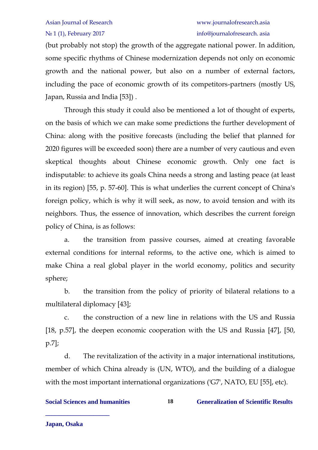(but probably not stop) the growth of the aggregate national power. In addition, some specific rhythms of Chinese modernization depends not only on economic growth and the national power, but also on a number of external factors, including the pace of economic growth of its competitors-partners (mostly US, Japan, Russia and India [53]) .

Through this study it could also be mentioned a lot of thought of experts, on the basis of which we can make some predictions the further development of China: along with the positive forecasts (including the belief that planned for 2020 figures will be exceeded soon) there are a number of very cautious and even skeptical thoughts about Chinese economic growth. Only one fact is indisputable: to achieve its goals China needs a strong and lasting peace (at least in its region) [55, p. 57-60]. This is what underlies the current concept of China's foreign policy, which is why it will seek, as now, to avoid tension and with its neighbors. Thus, the essence of innovation, which describes the current foreign policy of China, is as follows:

a. the transition from passive courses, aimed at creating favorable external conditions for internal reforms, to the active one, which is aimed to make China a real global player in the world economy, politics and security sphere;

b. the transition from the policy of priority of bilateral relations to a multilateral diplomacy [43];

c. the construction of a new line in relations with the US and Russia [18, p.57], the deepen economic cooperation with the US and Russia [47], [50, p.7];

d. The revitalization of the activity in a major international institutions, member of which China already is (UN, WTO), and the building of a dialogue with the most important international organizations ('G7', NATO, EU [55], etc).

**\_\_\_\_\_\_\_\_\_\_\_\_\_\_\_\_\_\_\_\_**

### **Social Sciences and humanities and in the Scientifical Scientific Results Generalization of Scientific Results**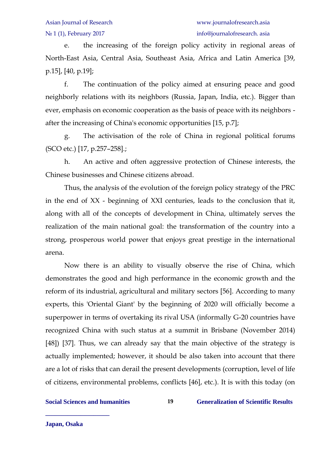e. the increasing of the foreign policy activity in regional areas of North-East Asia, Central Asia, Southeast Asia, Africa and Latin America [39, p.15], [40, p.19];

f. The continuation of the policy aimed at ensuring peace and good neighborly relations with its neighbors (Russia, Japan, India, etc.). Bigger than ever, emphasis on economic cooperation as the basis of peace with its neighbors after the increasing of China's economic opportunities [15, p.7];

g. The activisation of the role of China in regional political forums (SCO etc.) [17, p.257–258].;

h. An active and often aggressive protection of Chinese interests, the Chinese businesses and Chinese citizens abroad.

Thus, the analysis of the evolution of the foreign policy strategy of the PRC in the end of XX - beginning of XXI centuries, leads to the conclusion that it, along with all of the concepts of development in China, ultimately serves the realization of the main national goal: the transformation of the country into a strong, prosperous world power that enjoys great prestige in the international arena.

Now there is an ability to visually observe the rise of China, which demonstrates the good and high performance in the economic growth and the reform of its industrial, agricultural and military sectors [56]. According to many experts, this 'Oriental Giant' by the beginning of 2020 will officially become a superpower in terms of overtaking its rival USA (informally G-20 countries have recognized China with such status at a summit in Brisbane (November 2014) [48]) [37]. Thus, we can already say that the main objective of the strategy is actually implemented; however, it should be also taken into account that there are a lot of risks that can derail the present developments (corruption, level of life of citizens, environmental problems, conflicts [46], etc.). It is with this today (on

**\_\_\_\_\_\_\_\_\_\_\_\_\_\_\_\_\_\_\_\_**

### **Social Sciences and humanities 19 Generalization of Scientific Results**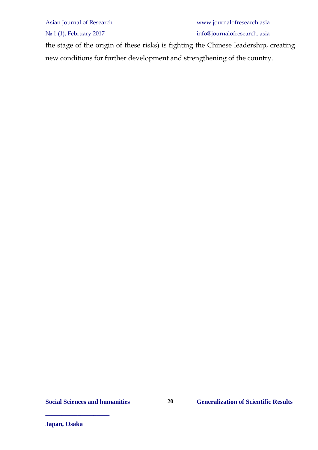Nº 1 (1), February 2017 info[@journalofresearch.](http://journalofresearch.asia/) asia

Asian Journal of Research www[.journalofresearch.a](http://journalofresearch.asia/)sia

the stage of the origin of these risks) is fighting the Chinese leadership, creating new conditions for further development and strengthening of the country.

**\_\_\_\_\_\_\_\_\_\_\_\_\_\_\_\_\_\_\_\_**

**20**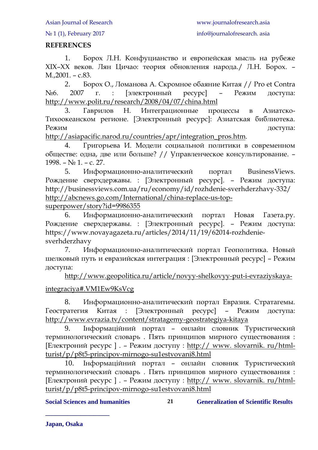### **REFERENCES**

1. Борох Л.Н. Конфуцианство и европейская мысль на рубеже XIX–XX веков. Лян Цичао: теория обновления народа./ Л.Н. Борох. – М.,2001. – c.83.

2. Борох О., Ломанова А. Скромное обаяние Китая // Pro et Contra №6. 2007 г. : [электронный ресурс] – Режим доступа: <http://www.polit.ru/research/2008/04/07/china.html>

3. Гаврилов Н. Интеграционные процессы в Азиатско-Тихоокеанском регионе. [Электронный ресурс]: Азиатская библиотека. Режим доступа:

[http://asiapacific.narod.ru/countries/apr/integration\\_pros.htm.](http://asiapacific.narod.ru/countries/apr/integration_pros.htm)

4. Григорьева И. Модели социальной политики в современном обществе: одна, две или больше? // Управленческое консультирование. – 1998. – № 1. – c. 27.

5. Информационно-аналитический портал BusinessViews. Рождение сверхдержавы. : [Электронный ресурс]. – Режим доступа: http://businessviews.com.ua/ru/economy/id/rozhdenie-sverhderzhavy-332/ [http://abcnews.go.com/International/china-replace-us-top-](http://abcnews.go.com/International/china-replace-us-top-superpower/story?id=9986355)

[superpower/story?id=9986355](http://abcnews.go.com/International/china-replace-us-top-superpower/story?id=9986355)

6. Информационно-аналитический портал Новая Газета.ру. Рождение сверхдержавы. : [Электронный ресурс]. – Режим доступа: https://www.novayagazeta.ru/articles/2014/11/19/62014-rozhdeniesverhderzhavy

7. Информационно-аналитический портал Геополитика. Новый шелковый путь и евразийская интеграция : [Электронный ресурс] – Режим доступа:

[http://www.geopolitica.ru/article/novyy-shelkovyy-put-i-evraziyskaya](http://www.geopolitica.ru/article/novyy-shelkovyy-put-i-evraziyskaya-integraciya#.VM1Ew9KsVcg)[integraciya#.VM1Ew9KsVcg](http://www.geopolitica.ru/article/novyy-shelkovyy-put-i-evraziyskaya-integraciya#.VM1Ew9KsVcg)

8. Информационно-аналитический портал Евразия. Стратагемы. Геостратегия Китая : [Электронный ресурс] – Режим доступа: http://www.evrazia.tv/content/stratagemy-geostrategiya-kitaya

9. Інформаційний портал – онлайн словник Туристический терминологический словарь . Пять принципов мирного существования : [Електроний ресурс ] . – Режим доступу : [http:// www. slovarnik. ru/html](http://www.slovarnik.ru/html-turist/p/p8t5-principov-mirnogo-su1estvovani8.html)[turist/p/p8t5-principov-mirnogo-su1estvovani8.html](http://www.slovarnik.ru/html-turist/p/p8t5-principov-mirnogo-su1estvovani8.html)

10. Інформаційний портал – онлайн словник Туристический терминологический словарь . Пять принципов мирного существования : [Електроний ресурс ] . – Режим доступу : [http:// www. slovarnik. ru/html](http://www.slovarnik.ru/html-turist/p/p8t5-principov-mirnogo-su1estvovani8.html)[turist/p/p8t5-principov-mirnogo-su1estvovani8.html](http://www.slovarnik.ru/html-turist/p/p8t5-principov-mirnogo-su1estvovani8.html)

**\_\_\_\_\_\_\_\_\_\_\_\_\_\_\_\_\_\_\_\_**

**Social Sciences and humanities Generalization of Scientific Results**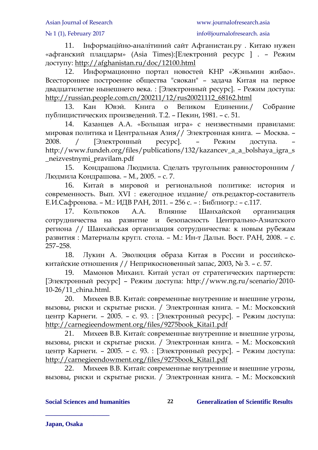11. Інформаційно-аналітиний сайт Афганистан.ру . Китаю нужен «афганский плацдарм» (Asia Times):[Електроний ресурс ] . – Режим доступу: <http://afghanistan.ru/doc/12100.html>

12. Информационно портал новостей КНР «Жэньмин жибао». Всестороннее построение общества "сяокан" – задача Китая на первое двадцатилетие нынешнего века. : [Электронный ресурс]. – Режим доступа: [http://russian.people.com.cn/200211/12/rus20021112\\_68162.html](http://russian.people.com.cn/200211/12/rus20021112_68162.html)

13. Кан Ювэй. Книга о Великом Единении./ Собрание публицистических произведений. Т.2. – Пекин, 1981. – c. 51.

14. Казанцев А.А. «Большая игра» с неизвестными правилами: мировая политика и Центральная Азия// Электронная книга. — Москва. – 2008. / [Электронный ресурс]. – Режим доступа. – http://www.fundeh.org/files/publications/132/kazancev\_a\_a\_bolshaya\_igra\_s \_neizvestnymi\_pravilam.pdf

15. Кондрашова Людмила. Сделать тругольник равносторонним / Людмила Кондрашова. – М., 2005. – с. 7.

16. Китай в мировой и региональной политике: история и современность. Вып. XVI : ежегодное издание/ отв.редактор-составитель Е.И.Сафронова. – М.: ИДВ РАН, 2011. – 256 с. – : Библиогр.: – с.117.

17. Кольтюков А.А. Влияние Шанхайской организация сотрудничества на развитие и безопасность Центрально-Азиатского региона // Шанхайская организация сотрудничества: к новым рубежам развития : Материалы кругл. стола. – М.: Ин-т Дальн. Вост. РАН, 2008. – c. 257–258.

18. Лукин А. Эволюция образа Китая в России и российскокитайские отношения // Неприкосновенный запас, 2003, № 3. – с. 57.

19. Мамонов Михаил. Китай устал от стратегических партнерств: [Электронный ресурс] – Режим доступа: http://www.ng.ru/scenario/2010- 10-26/11\_china.html.

20. Михеев В.В. Китай: современные внутренние и внешние угрозы, вызовы, риски и скрытые риски. / Электронная книга. – М.: Московский центр Карнеги. – 2005. – c. 93. : [Электронный ресурс]. – Режим доступа: [http://carnegieendowment.org/files/9275book\\_Kitai1.pdf](http://carnegieendowment.org/files/9275book_Kitai1.pdf)

21. Михеев В.В. Китай: современные внутренние и внешние угрозы, вызовы, риски и скрытые риски. / Электронная книга. – М.: Московский центр Карнеги. – 2005. – c. 93. : [Электронный ресурс]. – Режим доступа: [http://carnegieendowment.org/files/9275book\\_Kitai1.pdf](http://carnegieendowment.org/files/9275book_Kitai1.pdf)

22. Михеев В.В. Китай: современные внутренние и внешние угрозы, вызовы, риски и скрытые риски. / Электронная книга. – М.: Московский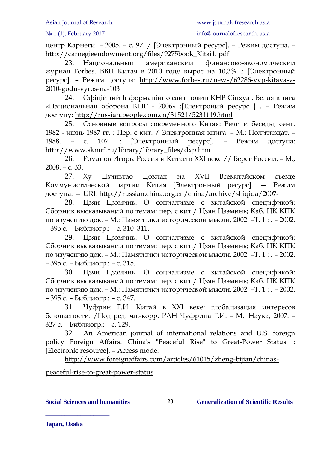центр Карнеги. – 2005. – c. 97. / [Электронный ресурс]. – Режим доступа. – [http://carnegieendowment.org/files/9275book\\_Kitai1. pdf](http://carnegieendowment.org/files/9275book_Kitai1.%20pdf)

23. Национальный американский финансово-экономический журнал Forbes. ВВП Китая в 2010 году вырос на 10,3% .: [Электронный ресурс]. – Режим доступа: [http://www.forbes.ru/news/62286-vvp-kitaya-v-](http://www.forbes.ru/news/62286-vvp-kitaya-v-2010-godu-vyros-na-103)[2010-godu-vyros-na-103](http://www.forbes.ru/news/62286-vvp-kitaya-v-2010-godu-vyros-na-103)

24. Офіційний Інформаційно сайт новин КНР Сінхуа . Белая книга «Национальная оборона КНР - 2006» :[Електроний ресурс ] . – Режим доступу: <http://russian.people.com.cn/31521/5231119.html>

25. Основные вопросы современного Китая: Речи и беседы, сент. 1982 - июнь 1987 гг. : Пер. с кит. / Электронная книга. – М.: Политиздат. – 1988. – c. 107. : [Электронный ресурс]. – Режим доступа: [http://www.skmrf.ru/library/library\\_files/dxp.htm](http://www.skmrf.ru/library/library_files/dxp.htm)

26. Романов Игорь. Россия и Китай в XXI веке // Берег России. – М., 2008. – с. 33.

27. Ху Цзиньтао Доклад на XVII Всекитайском съезде Коммунистической партии Китая [Электронный ресурс]. — Режим доступа. — URL <http://russian.china.org.cn/china/archive/shiqida/2007->

28. Цзян Цзэминь. О социализме с китайской спецификой: Сборник высказываний по темам: пер. с кит./ Цзян Цзэминь; Каб. ЦК КПК по изучению док. – М.: Памятники исторической мысли, 2002. –Т. 1 : . – 2002. – 395 с. – Библиогр.: – с. 310–311.

29. Цзян Цзэминь. О социализме с китайской спецификой: Сборник высказываний по темам: пер. с кит./ Цзян Цзэминь; Каб. ЦК КПК по изучению док. – М.: Памятники исторической мысли, 2002. –Т. 1 : . – 2002. – 395 с. – Библиогр.: – с. 315.

30. Цзян Цзэминь. О социализме с китайской спецификой: Сборник высказываний по темам: пер. с кит./ Цзян Цзэминь; Каб. ЦК КПК по изучению док. – М.: Памятники исторической мысли, 2002. –Т. 1 : . – 2002. – 395 с. – Библиогр.: – с. 347.

31. Чуфрин Г.И. Китай в XXI веке: глобализация интересов безопасности. /Под ред. чл.-корр. РАН Чуфрина Г.И. – М.: Наука, 2007. – 327 с. – Библиогр.: – с. 129.

32. An American journal of international relations and U.S. foreign policy Foreign Affairs. China's "Peaceful Rise" to Great-Power Status. : [Electronic resource]. – Access mode:

**23**

[http://www.foreignaffairs.com/articles/61015/zheng-bijian/chinas-](http://www.foreignaffairs.com/articles/61015/zheng-bijian/chinas-peaceful-rise-to-great-power-status)

[peaceful-rise-to-great-power-status](http://www.foreignaffairs.com/articles/61015/zheng-bijian/chinas-peaceful-rise-to-great-power-status)

**Social Sciences and humanities Generalization of Scientific Results**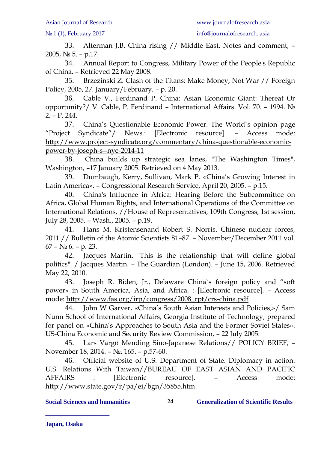33. Alterman J.B. China rising // Middle East. Notes and comment, – 2005, № 5. – p.17.

34. Annual Report to Congress, Military Power of the People's Republic of China. – Retrieved 22 May 2008.

35. Brzezinski Z. Clash of the Titans: Make Money, Not War // Foreign Policy, 2005, 27. January/February. – р. 20.

36. Cable V., Ferdinand P. China: Asian Economic Giant: Thereat Or opportunity?/ V. Cable, P. Ferdinand – International Affairs. Vol. 70. – 1994. № 2. – P. 244.

37. China's Questionable Economic Power. The World`s opinion page "Project Syndicate"/ News.: [Electronic resource]. – Access mode: [http://www.project-syndicate.org/commentary/china-questionable-economic](http://www.project-syndicate.org/commentary/china-questionable-economic-power-by-joseph-s--nye-2014-11)[power-by-joseph-s--nye-2014-11](http://www.project-syndicate.org/commentary/china-questionable-economic-power-by-joseph-s--nye-2014-11)

38. China builds up strategic sea lanes, "The Washington Times", Washington, –17 January 2005. Retrieved on 4 May 2013.

39. Dumbaugh, Kerry, Sullivan, Mark P. «China's Growing Interest in Latin America». – Congressional Research Service, April 20, 2005. – р.15.

40. China's Influence in Africa: Hearing Before the Subcommittee on Africa, Global Human Rights, and International Operations of the Committee on International Relations. //House of Representatives, 109th Congress, 1st session, July 28, 2005. – Wash., 2005. – p.19.

41. Hans M. Kristensenand Robert S. Norris. Chinese nuclear forces, 2011.// Bulletin of the Atomic Scientists 81–87. – November/December 2011 vol.  $67 - N<sub>0</sub> 6. - p. 23.$ 

42. Jacques Martin. "This is the relationship that will define global politics". / Jacques Martin. – The Guardian (London). – June 15, 2006. Retrieved May 22, 2010.

43. Joseph R. Biden, Jr., Delaware China`s foreign policy and "soft power» in South America, Asia, and Africa. : [Electronic resource]. – Access mode: [http://www.fas.org/irp/congress/2008\\_rpt/crs-china.pdf](http://www.fas.org/irp/congress/2008_rpt/crs-china.pdf)

44. John W Garver, «China's South Asian Interests and Policies,»/ Sam Nunn School of International Affairs, Georgia Institute of Technology, prepared for panel on «China's Approaches to South Asia and the Former Soviet States». US-China Economic and Security Review Commission, – 22 July 2005.

45. Lars Vargö Mending Sino-Japanese Relations// POLICY BRIEF, – November 18, 2014. – №. 165. – р.57-60.

46. Official website of U.S. Department of State. Diplomacy in action. U.S. Relations With Taiwan//BUREAU OF EAST ASIAN AND PACIFIC AFFAIRS : [Electronic resource]. – Access mode: http://www.state.gov/r/pa/ei/bgn/35855.htm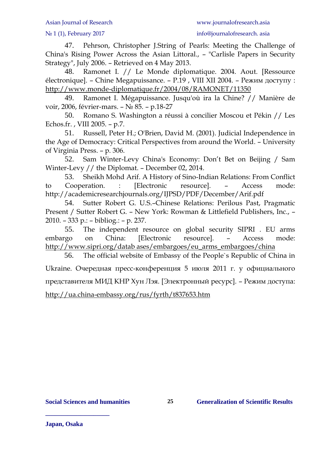No 1 (1), February 2017 info[@journalofresearch.](http://journalofresearch.asia/) asia

47. Pehrson, Christopher J.String of Pearls: Meeting the Challenge of China's Rising Power Across the Asian Littoral., – "Carlisle Papers in Security Strategy", July 2006. – Retrieved on 4 May 2013.

48. Ramonet I. // Le Monde diplomatique. 2004. Aout. [Ressource électronique]. – Chine Megapuissance. – P.19 , VIII XII 2004. – Режим доступу : <http://www.monde-diplomatique.fr/2004/08/RAMONET/11350>

49. Ramonet I. Mégapuissance. Jusqu'où ira la Chine? // Manière de voir, 2006, février-mars. – № 85. – р.18-27

50. Romano S. Washington a réussi à concilier Moscou et Pékin // Les Echos.fr. , VIII 2005. – p.7.

51. Russell, Peter H.; O'Brien, David M. (2001). Judicial Independence in the Age of Democracy: Critical Perspectives from around the World. – University of Virginia Press. – p. 306.

52. Sam Winter-Levy China's Economy: Don't Bet on Beijing / Sam Winter-Levy // the Diplomat. – December 02, 2014.

53. Sheikh Mohd Arif. A History of Sino-Indian Relations: From Conflict to Cooperation. : [Electronic resource]. – Access mode: http://academicresearchjournals.org/IJPSD/PDF/December/Arif.pdf

54. Sutter Robert G. U.S.–Chinese Relations: Perilous Past, Pragmatic Present / Sutter Robert G. – New York: Rowman & Littlefield Publishers, Inc., – 2010. – 333 p.: – bibliog.: – p. 237.

55. The independent resource on global security SIPRI . EU arms embargo on China: [Electronic resource]. – Access mode: [http://www.sipri.org/datab ases/embargoes/eu\\_arms\\_embargoes/china](http://www.sipri.org/datab%20ases/embargoes/eu_arms_embargoes/china)

56. The official website of Embassy of the People`s Republic of China in Ukraine. Очередная пресс-конференция 5 июля 2011 г. у официального представителя МИД КНР Хун Лэя. [Электронный ресурс]. – Режим доступа: <http://ua.china-embassy.org/rus/fyrth/t837653.htm>

**25**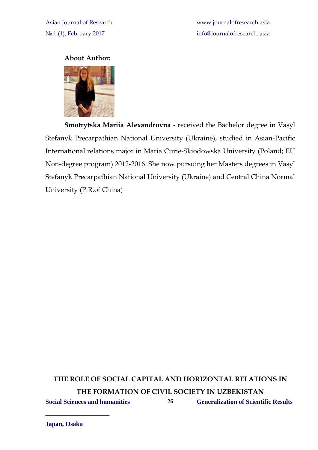### **About Author:**



**Smotrytska Mariia Alexandrovna** - received the Bachelor degree in Vasyl Stefanyk Precarpathian National University (Ukraine), studied in Asian-Pacific International relations major in Maria Curie-[Skіodowska Unive](http://www.umcs.pl/en/)rsity (Poland; EU Non-degree program) 2012-2016. She now pursuing her Masters degrees in Vasyl Stefanyk Precarpathian National University (Ukraine) and Central China Normal University (P.R.of China)

### **THE ROLE OF SOCIAL CAPITAL AND HORIZONTAL RELATIONS IN THE FORMATION OF CIVIL SOCIETY IN UZBEKISTAN**

**\_\_\_\_\_\_\_\_\_\_\_\_\_\_\_\_\_\_\_\_**

**26**

**Social Sciences and humanities Generalization of Scientific Results**

**Japan, Osaka**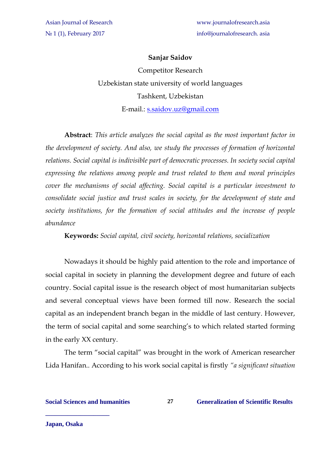### **Sanjar Saidov**

Competitor Research Uzbekistan state university of world languages Tashkent, Uzbekistan E-mail.: [s.saidov.uz@gmail.com](mailto:s.saidov.uz@gmail.com)

**Abstract**: *This article analyzes the social capital as the most important factor in the development of society. And also, we study the processes of formation of horizontal relations. Social capital is indivisible part of democratic processes. In society social capital expressing the relations among people and trust related to them and moral principles cover the mechanisms of social affecting. Social capital is a particular investment to consolidate social justice and trust scales in society, for the development of state and society institutions, for the formation of social attitudes and the increase of people abundance*

**Keywords:** *Social capital, civil society, horizontal relations, socialization*

Nowadays it should be highly paid attention to the role and importance of social capital in society in planning the development degree and future of each country. Social capital issue is the research object of most humanitarian subjects and several conceptual views have been formed till now. Research the social capital as an independent branch began in the middle of last century. However, the term of social capital and some searching's to which related started forming in the early XX century.

The term "social capital" was brought in the work of American researcher Lida Hanifan.. According to his work social capital is firstly *"a significant situation* 

**27**

**\_\_\_\_\_\_\_\_\_\_\_\_\_\_\_\_\_\_\_\_**

**Japan, Osaka**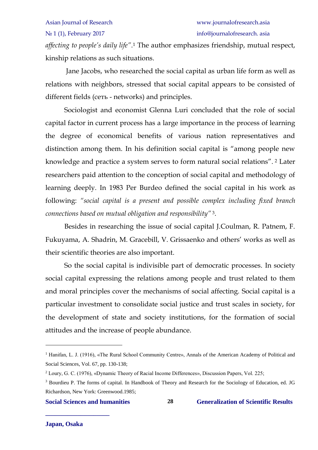*affecting to people's daily life"*. <sup>1</sup> The author emphasizes friendship, mutual respect, kinship relations as such situations.

Jane Jacobs, who researched the social capital as urban life form as well as relations with neighbors, stressed that social capital appears to be consisted of different fields (сеть - networks) and principles.

Sociologist and economist Glenna Luri concluded that the role of social capital factor in current process has a large importance in the process of learning the degree of economical benefits of various nation representatives and distinction among them. In his definition social capital is "among people new knowledge and practice a system serves to form natural social relations". <sup>2</sup> Later researchers paid attention to the conception of social capital and methodology of learning deeply. In 1983 Per Burdeo defined the social capital in his work as following: *"social capital is a present and possible complex including fixed branch connections based on mutual obligation and responsibility"* <sup>3</sup>.

Besides in researching the issue of social capital J.Coulman, R. Patnem, F. Fukuyama, A. Shadrin, M. Gracebill, V. Grissaenko and others' works as well as their scientific theories are also important.

So the social capital is indivisible part of democratic processes. In society social capital expressing the relations among people and trust related to them and moral principles cover the mechanisms of social affecting. Social capital is a particular investment to consolidate social justice and trust scales in society, for the development of state and society institutions, for the formation of social attitudes and the increase of people abundance.

**\_\_\_\_\_\_\_\_\_\_\_\_\_\_\_\_\_\_\_\_**

<u>.</u>

<sup>&</sup>lt;sup>1</sup> Hanifan, L. J. (1916), «The Rural School Community Centre», Annals of the American Academy of Political and Social Sciences, Vol. 67, pp. 130-138;

<sup>2</sup> Loury, G. С. (1976), «Dynamic Theory of Racial Income Differences», Discussion Papers, Vol. 225;

<sup>&</sup>lt;sup>3</sup> Bourdieu P. The forms of capital. In Handbook of Theory and Research for the Sociology of Education, ed. JG Richardson, New York: Greenwood.1985;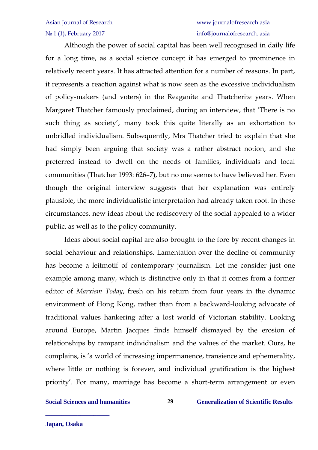Although the power of social capital has been well recognised in daily life for a long time, as a social science concept it has emerged to prominence in relatively recent years. It has attracted attention for a number of reasons. In part, it represents a reaction against what is now seen as the excessive individualism of policy-makers (and voters) in the Reaganite and Thatcherite years. When Margaret Thatcher famously proclaimed, during an interview, that 'There is no such thing as society', many took this quite literally as an exhortation to unbridled individualism. Subsequently, Mrs Thatcher tried to explain that she had simply been arguing that society was a rather abstract notion, and she preferred instead to dwell on the needs of families, individuals and local communities (Thatcher 1993: 626–7), but no one seems to have believed her. Even though the original interview suggests that her explanation was entirely plausible, the more individualistic interpretation had already taken root. In these circumstances, new ideas about the rediscovery of the social appealed to a wider public, as well as to the policy community.

Ideas about social capital are also brought to the fore by recent changes in social behaviour and relationships. Lamentation over the decline of community has become a leitmotif of contemporary journalism. Let me consider just one example among many, which is distinctive only in that it comes from a former editor of *Marxism Today*, fresh on his return from four years in the dynamic environment of Hong Kong, rather than from a backward-looking advocate of traditional values hankering after a lost world of Victorian stability. Looking around Europe, Martin Jacques finds himself dismayed by the erosion of relationships by rampant individualism and the values of the market. Ours, he complains, is 'a world of increasing impermanence, transience and ephemerality, where little or nothing is forever, and individual gratification is the highest priority'. For many, marriage has become a short-term arrangement or even

**\_\_\_\_\_\_\_\_\_\_\_\_\_\_\_\_\_\_\_\_**

### **Social Sciences and humanities**  (*Seperalization of Scientific Results*)  $\frac{1}{2}$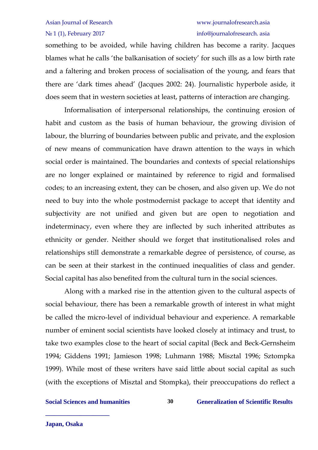### Asian Journal of Research www[.journalofresearch.a](http://journalofresearch.asia/)sia

## No 1 (1), February 2017 info[@journalofresearch.](http://journalofresearch.asia/) asia

something to be avoided, while having children has become a rarity. Jacques blames what he calls 'the balkanisation of society' for such ills as a low birth rate and a faltering and broken process of socialisation of the young, and fears that there are 'dark times ahead' (Jacques 2002: 24). Journalistic hyperbole aside, it does seem that in western societies at least, patterns of interaction are changing.

Informalisation of interpersonal relationships, the continuing erosion of habit and custom as the basis of human behaviour, the growing division of labour, the blurring of boundaries between public and private, and the explosion of new means of communication have drawn attention to the ways in which social order is maintained. The boundaries and contexts of special relationships are no longer explained or maintained by reference to rigid and formalised codes; to an increasing extent, they can be chosen, and also given up. We do not need to buy into the whole postmodernist package to accept that identity and subjectivity are not unified and given but are open to negotiation and indeterminacy, even where they are inflected by such inherited attributes as ethnicity or gender. Neither should we forget that institutionalised roles and relationships still demonstrate a remarkable degree of persistence, of course, as can be seen at their starkest in the continued inequalities of class and gender. Social capital has also benefited from the cultural turn in the social sciences.

Along with a marked rise in the attention given to the cultural aspects of social behaviour, there has been a remarkable growth of interest in what might be called the micro-level of individual behaviour and experience. A remarkable number of eminent social scientists have looked closely at intimacy and trust, to take two examples close to the heart of social capital (Beck and Beck-Gernsheim 1994; Giddens 1991; Jamieson 1998; Luhmann 1988; Misztal 1996; Sztompka 1999). While most of these writers have said little about social capital as such (with the exceptions of Misztal and Stompka), their preoccupations do reflect a

**\_\_\_\_\_\_\_\_\_\_\_\_\_\_\_\_\_\_\_\_**

### **Social Sciences and humanities 6 (Generalization of Scientific Results**)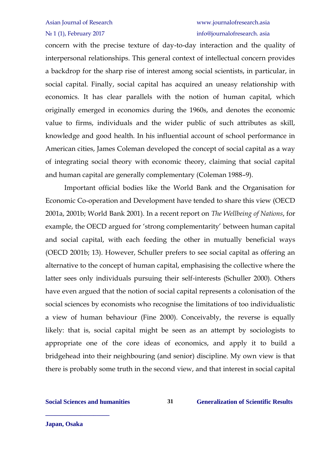concern with the precise texture of day-to-day interaction and the quality of interpersonal relationships. This general context of intellectual concern provides a backdrop for the sharp rise of interest among social scientists, in particular, in social capital. Finally, social capital has acquired an uneasy relationship with economics. It has clear parallels with the notion of human capital, which originally emerged in economics during the 1960s, and denotes the economic value to firms, individuals and the wider public of such attributes as skill, knowledge and good health. In his influential account of school performance in American cities, James Coleman developed the concept of social capital as a way of integrating social theory with economic theory, claiming that social capital and human capital are generally complementary (Coleman 1988–9).

Important official bodies like the World Bank and the Organisation for Economic Co-operation and Development have tended to share this view (OECD 2001a, 2001b; World Bank 2001). In a recent report on *The Wellbeing of Nations*, for example, the OECD argued for 'strong complementarity' between human capital and social capital, with each feeding the other in mutually beneficial ways (OECD 2001b; 13). However, Schuller prefers to see social capital as offering an alternative to the concept of human capital, emphasising the collective where the latter sees only individuals pursuing their self-interests (Schuller 2000). Others have even argued that the notion of social capital represents a colonisation of the social sciences by economists who recognise the limitations of too individualistic a view of human behaviour (Fine 2000). Conceivably, the reverse is equally likely: that is, social capital might be seen as an attempt by sociologists to appropriate one of the core ideas of economics, and apply it to build a bridgehead into their neighbouring (and senior) discipline. My own view is that there is probably some truth in the second view, and that interest in social capital

**31**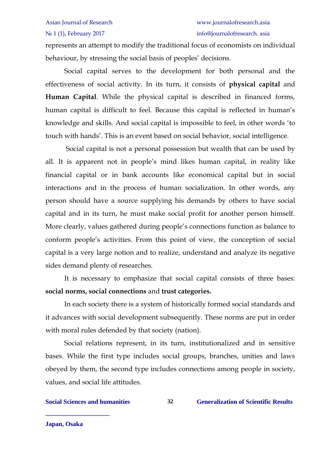represents an attempt to modify the traditional focus of economists on individual behaviour, by stressing the social basis of peoples' decisions.

Social capital serves to the development for both personal and the effectiveness of social activity. In its turn, it consists of **physical capital** and **Human Capital**. While the physical capital is described in financed forms, human capital is difficult to feel. Because this capital is reflected in human's knowledge and skills. And social capital is impossible to feel, in other words 'to touch with hands'. This is an event based on social behavior, social intelligence.

Social capital is not a personal possession but wealth that can be used by all. It is apparent not in people's mind likes human capital, in reality like financial capital or in bank accounts like economical capital but in social interactions and in the process of human socialization. In other words, any person should have a source supplying his demands by others to have social capital and in its turn, he must make social profit for another person himself. More clearly, values gathered during people's connections function as balance to conform people's activities. From this point of view, the conception of social capital is a very large notion and to realize, understand and analyze its negative sides demand plenty of researches.

It is necessary to emphasize that social capital consists of three bases: **social norms, social connections** and **trust categories.**

In each society there is a system of historically formed social standards and it advances with social development subsequently. These norms are put in order with moral rules defended by that society (nation).

Social relations represent, in its turn, institutionalized and in sensitive bases. While the first type includes social groups, branches, unities and laws obeyed by them, the second type includes connections among people in society, values, and social life attitudes.

**32**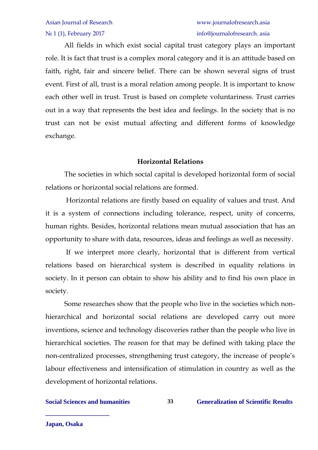All fields in which exist social capital trust category plays an important role. It is fact that trust is a complex moral category and it is an attitude based on faith, right, fair and sincere belief. There can be shown several signs of trust event. First of all, trust is a moral relation among people. It is important to know each other well in trust. Trust is based on complete voluntariness. Trust carries out in a way that represents the best idea and feelings. In the society that is no trust can not be exist mutual affecting and different forms of knowledge exchange.

### **Horizontal Relations**

The societies in which social capital is developed horizontal form of social relations or horizontal social relations are formed.

Horizontal relations are firstly based on equality of values and trust. And it is a system of connections including tolerance, respect, unity of concerns, human rights. Besides, horizontal relations mean mutual association that has an opportunity to share with data, resources, ideas and feelings as well as necessity.

If we interpret more clearly, horizontal that is different from vertical relations based on hierarchical system is described in equality relations in society. In it person can obtain to show his ability and to find his own place in society.

Some researches show that the people who live in the societies which nonhierarchical and horizontal social relations are developed carry out more inventions, science and technology discoveries rather than the people who live in hierarchical societies. The reason for that may be defined with taking place the non-centralized processes, strengthening trust category, the increase of people's labour effectiveness and intensification of stimulation in country as well as the development of horizontal relations.

**33**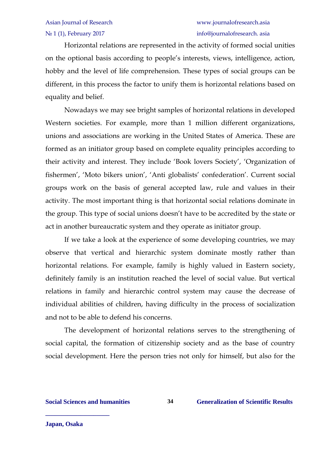Horizontal relations are represented in the activity of formed social unities on the optional basis according to people's interests, views, intelligence, action, hobby and the level of life comprehension. These types of social groups can be different, in this process the factor to unify them is horizontal relations based on equality and belief.

Nowadays we may see bright samples of horizontal relations in developed Western societies. For example, more than 1 million different organizations, unions and associations are working in the United States of America. These are formed as an initiator group based on complete equality principles according to their activity and interest. They include 'Book lovers Society', 'Organization of fishermen', 'Moto bikers union', 'Anti globalists' confederation'. Current social groups work on the basis of general accepted law, rule and values in their activity. The most important thing is that horizontal social relations dominate in the group. This type of social unions doesn't have to be accredited by the state or act in another bureaucratic system and they operate as initiator group.

If we take a look at the experience of some developing countries, we may observe that vertical and hierarchic system dominate mostly rather than horizontal relations. For example, family is highly valued in Eastern society, definitely family is an institution reached the level of social value. But vertical relations in family and hierarchic control system may cause the decrease of individual abilities of children, having difficulty in the process of socialization and not to be able to defend his concerns.

The development of horizontal relations serves to the strengthening of social capital, the formation of citizenship society and as the base of country social development. Here the person tries not only for himself, but also for the

**34**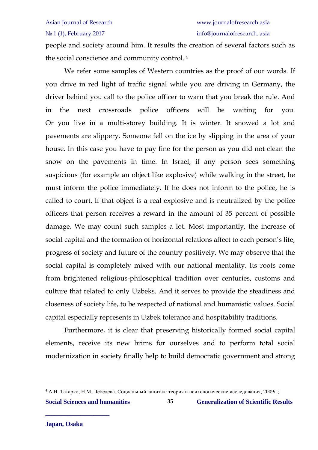people and society around him. It results the creation of several factors such as the social conscience and community control. <sup>4</sup>

We refer some samples of Western countries as the proof of our words. If you drive in red light of traffic signal while you are driving in Germany, the driver behind you call to the police officer to warn that you break the rule. And in the next crossroads police officers will be waiting for you. Or you live in a multi-storey building. It is winter. It snowed a lot and pavements are slippery. Someone fell on the ice by slipping in the area of your house. In this case you have to pay fine for the person as you did not clean the snow on the pavements in time. In Israel, if any person sees something suspicious (for example an object like explosive) while walking in the street, he must inform the police immediately. If he does not inform to the police, he is called to court. If that object is a real explosive and is neutralized by the police officers that person receives a reward in the amount of 35 percent of possible damage. We may count such samples a lot. Most importantly, the increase of social capital and the formation of horizontal relations affect to each person's life, progress of society and future of the country positively. We may observe that the social capital is completely mixed with our national mentality. Its roots come from brightened religious-philosophical tradition over centuries, customs and culture that related to only Uzbeks. And it serves to provide the steadiness and closeness of society life, to be respected of national and humanistic values. Social capital especially represents in Uzbek tolerance and hospitability traditions.

Furthermore, it is clear that preserving historically formed social capital elements, receive its new brims for ourselves and to perform total social modernization in society finally help to build democratic government and strong

**Japan, Osaka**

<u>.</u>

**Social Sciences and humanities 6 (Generalization of Scientific Results**) <sup>4</sup> [А.Н. Татарко, Н.М. Лебедева. Социальный капитал: теория и психологические исследования, 2009г.;](http://finbook.news/book-kapital/sotsialnyiy-kapital-teoriya-psihologicheskie.html)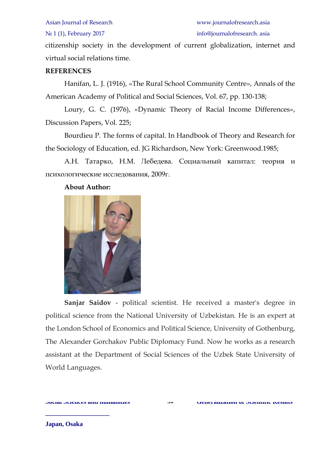### No 1 (1), February 2017 info[@journalofresearch.](http://journalofresearch.asia/) asia

citizenship society in the development of current globalization, internet and virtual social relations time.

### **REFERENCES**

Hanifan, L. J. (1916), «The Rural School Community Centre», Annals of the American Academy of Political and Social Sciences, Vol. 67, pp. 130-138;

Loury, G. С. (1976), «Dynamic Theory of Racial Income Differences», Discussion Papers, Vol. 225;

Bourdieu P. The forms of capital. In Handbook of Theory and Research for the Sociology of Education, ed. JG Richardson, New York: Greenwood.1985;

[А.Н. Татарко, Н.М. Лебедева. Социальный капитал: теория и](http://finbook.news/book-kapital/sotsialnyiy-kapital-teoriya-psihologicheskie.html)  [психологические исследования, 2009г.](http://finbook.news/book-kapital/sotsialnyiy-kapital-teoriya-psihologicheskie.html)

### **About Author:**



**Sanjar Saidov** - political scientist. He received a master's degree in political science from the National University of Uzbekistan. He is an expert at the London School of Economics and Political Science, University of Gothenburg, The Alexander Gorchakov Public Diplomacy Fund. Now he works as a research assistant at the Department of Social Sciences of the Uzbek State University of World Languages.

**\_\_\_\_\_\_\_\_\_\_\_\_\_\_\_\_\_\_\_\_**

**36**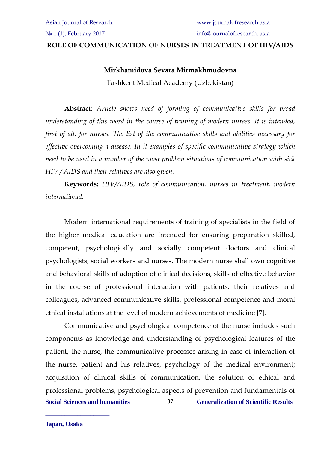No 1 (1), February 2017 info[@journalofresearch.](http://journalofresearch.asia/) asia

### **ROLE OF COMMUNICATION OF NURSES IN TREATMENT OF HIV/AIDS**

# **Mirkhamidova Sevara Mirmakhmudovna** Tashkent Medical Academy (Uzbekistan)

**Abstract**: *Article shows need of forming of communicative skills for broad understanding of this word in the course of training of modern nurses. It is intended, first of all, for nurses. The list of the communicative skills and abilities necessary for effective overcoming a disease. In it examples of specific communicative strategy which need to be used in a number of the most problem situations of communication with sick HIV / AIDS and their relatives are also given.*

**Keywords:** *HIV/AIDS, role of communication, nurses in treatment, modern international.*

Modern international requirements of training of specialists in the field of the higher medical education are intended for ensuring preparation skilled, competent, psychologically and socially competent doctors and clinical psychologists, social workers and nurses. The modern nurse shall own cognitive and behavioral skills of adoption of clinical decisions, skills of effective behavior in the course of professional interaction with patients, their relatives and colleagues, advanced communicative skills, professional competence and moral ethical installations at the level of modern achievements of medicine [7].

**Social Sciences and humanities 6 (Generalization of Scientific Results**) **37** Communicative and psychological competence of the nurse includes such components as knowledge and understanding of psychological features of the patient, the nurse, the communicative processes arising in case of interaction of the nurse, patient and his relatives, psychology of the medical environment; acquisition of clinical skills of communication, the solution of ethical and professional problems, psychological aspects of prevention and fundamentals of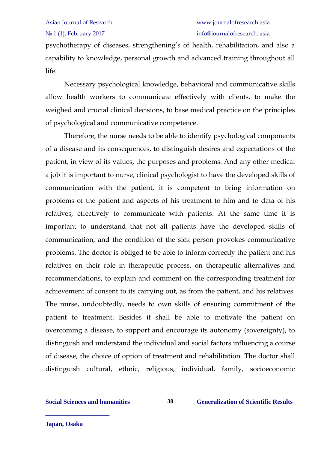psychotherapy of diseases, strengthening's of health, rehabilitation, and also a capability to knowledge, personal growth and advanced training throughout all life.

Necessary psychological knowledge, behavioral and communicative skills allow health workers to communicate effectively with clients, to make the weighed and crucial clinical decisions, to base medical practice on the principles of psychological and communicative competence.

Therefore, the nurse needs to be able to identify psychological components of a disease and its consequences, to distinguish desires and expectations of the patient, in view of its values, the purposes and problems. And any other medical a job it is important to nurse, clinical psychologist to have the developed skills of communication with the patient, it is competent to bring information on problems of the patient and aspects of his treatment to him and to data of his relatives, effectively to communicate with patients. At the same time it is important to understand that not all patients have the developed skills of communication, and the condition of the sick person provokes communicative problems. The doctor is obliged to be able to inform correctly the patient and his relatives on their role in therapeutic process, on therapeutic alternatives and recommendations, to explain and comment on the corresponding treatment for achievement of consent to its carrying out, as from the patient, and his relatives. The nurse, undoubtedly, needs to own skills of ensuring commitment of the patient to treatment. Besides it shall be able to motivate the patient on overcoming a disease, to support and encourage its autonomy (sovereignty), to distinguish and understand the individual and social factors influencing a course of disease, the choice of option of treatment and rehabilitation. The doctor shall distinguish cultural, ethnic, religious, individual, family, socioeconomic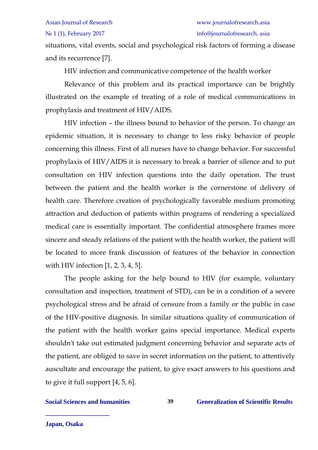situations, vital events, social and psychological risk factors of forming a disease and its recurrence [7].

HIV infection and communicative competence of the health worker

Relevance of this problem and its practical importance can be brightly illustrated on the example of treating of a role of medical communications in prophylaxis and treatment of HIV/AIDS.

HIV infection – the illness bound to behavior of the person. To change an epidemic situation, it is necessary to change to less risky behavior of people concerning this illness. First of all nurses have to change behavior. For successful prophylaxis of HIV/AIDS it is necessary to break a barrier of silence and to put consultation on HIV infection questions into the daily operation. The trust between the patient and the health worker is the cornerstone of delivery of health care. Therefore creation of psychologically favorable medium promoting attraction and deduction of patients within programs of rendering a specialized medical care is essentially important. The confidential atmosphere frames more sincere and steady relations of the patient with the health worker, the patient will be located to more frank discussion of features of the behavior in connection with HIV infection [1, 2, 3, 4, 5].

The people asking for the help bound to HIV (for example, voluntary consultation and inspection, treatment of STD), can be in a condition of a severe psychological stress and be afraid of censure from a family or the public in case of the HIV-positive diagnosis. In similar situations quality of communication of the patient with the health worker gains special importance. Medical experts shouldn't take out estimated judgment concerning behavior and separate acts of the patient, are obliged to save in secret information on the patient, to attentively auscultate and encourage the patient, to give exact answers to his questions and to give it full support [4, 5, 6].

**39**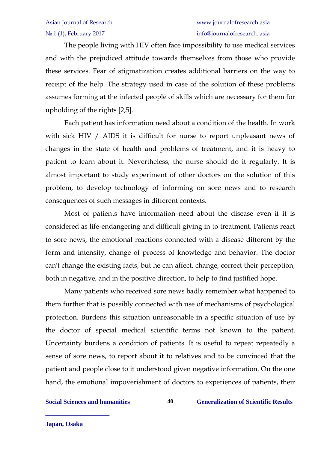The people living with HIV often face impossibility to use medical services and with the prejudiced attitude towards themselves from those who provide these services. Fear of stigmatization creates additional barriers on the way to receipt of the help. The strategy used in case of the solution of these problems assumes forming at the infected people of skills which are necessary for them for upholding of the rights [2,5].

Each patient has information need about a condition of the health. In work with sick HIV / AIDS it is difficult for nurse to report unpleasant news of changes in the state of health and problems of treatment, and it is heavy to patient to learn about it. Nevertheless, the nurse should do it regularly. It is almost important to study experiment of other doctors on the solution of this problem, to develop technology of informing on sore news and to research consequences of such messages in different contexts.

Most of patients have information need about the disease even if it is considered as life-endangering and difficult giving in to treatment. Patients react to sore news, the emotional reactions connected with a disease different by the form and intensity, change of process of knowledge and behavior. The doctor can't change the existing facts, but he can affect, change, correct their perception, both in negative, and in the positive direction, to help to find justified hope.

Many patients who received sore news badly remember what happened to them further that is possibly connected with use of mechanisms of psychological protection. Burdens this situation unreasonable in a specific situation of use by the doctor of special medical scientific terms not known to the patient. Uncertainty burdens a condition of patients. It is useful to repeat repeatedly a sense of sore news, to report about it to relatives and to be convinced that the patient and people close to it understood given negative information. On the one hand, the emotional impoverishment of doctors to experiences of patients, their

**\_\_\_\_\_\_\_\_\_\_\_\_\_\_\_\_\_\_\_\_**

### **Social Sciences and humanities 6 (40) Conservation of Scientific Results**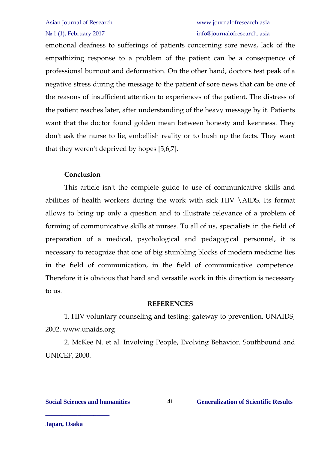emotional deafness to sufferings of patients concerning sore news, lack of the empathizing response to a problem of the patient can be a consequence of professional burnout and deformation. On the other hand, doctors test peak of a negative stress during the message to the patient of sore news that can be one of the reasons of insufficient attention to experiences of the patient. The distress of the patient reaches later, after understanding of the heavy message by it. Patients want that the doctor found golden mean between honesty and keenness. They don't ask the nurse to lie, embellish reality or to hush up the facts. They want that they weren't deprived by hopes [5,6,7].

### **Conclusion**

This article isn't the complete guide to use of communicative skills and abilities of health workers during the work with sick HIV \AIDS. Its format allows to bring up only a question and to illustrate relevance of a problem of forming of communicative skills at nurses. To all of us, specialists in the field of preparation of a medical, psychological and pedagogical personnel, it is necessary to recognize that one of big stumbling blocks of modern medicine lies in the field of communication, in the field of communicative competence. Therefore it is obvious that hard and versatile work in this direction is necessary to us.

### **REFERENCES**

1. HIV voluntary counseling and testing: gateway to prevention. UNAIDS, 2002. www.unaids.org

2. McKee N. et al. Involving People, Evolving Behavior. Southbound and UNICEF, 2000.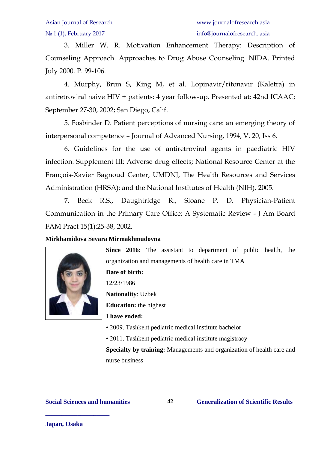3. Miller W. R. Motivation Enhancement Therapy: Description of Counseling Approach. Approaches to Drug Abuse Counseling. NIDA. Printed July 2000. P. 99-106.

4. Murphy, Brun S, King M, et al. Lopinavir/ritonavir (Kaletra) in antiretroviral naive HIV + patients: 4 year follow-up. Presented at: 42nd ICAAC; September 27-30, 2002; San Diego, Calif.

5. Fosbinder D. Patient perceptions of nursing care: an emerging theory of interpersonal competence – Journal of Advanced Nursing, 1994, V. 20, Iss 6.

6. Guidelines for the use of antiretroviral agents in paediatric HIV infection. Supplement III: Adverse drug effects; National Resource Center at the François-Xavier Bagnoud Center, UMDNJ, The Health Resources and Services Administration (HRSA); and the National Institutes of Health (NIH), 2005.

7. Beck R.S., Daughtridge R., Sloane P. D. Physician-Patient Communication in the Primary Care Office: A Systematic Review - J Am Board FAM Pract 15(1):25-38, 2002.

### **Mirkhamidova Sevara Mirmakhmudovna**



**Since 2016:** The assistant to department of public health, the organization and managements of health care in TMA **Date of birth:** 

12/23/1986

**Nationality**: Uzbek

**Education:** the highest

### **I have ended:**

- 2009. Tashkent pediatric medical institute bachelor
- 2011. Tashkent pediatric medical institute magistracy

**Specialty by training:** Managements and organization of health care and nurse business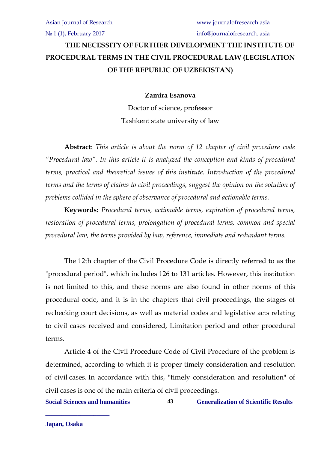### No 1 (1), February 2017 info[@journalofresearch.](http://journalofresearch.asia/) asia

# **THE NECESSITY OF FURTHER DEVELOPMENT THE INSTITUTE OF PROCEDURAL TERMS IN THE CIVIL PROCEDURAL LAW (LEGISLATION OF THE REPUBLIC OF UZBEKISTAN)**

### **Zamira Esanova**

Doctor of science, professor Tashkent state university of law

**Abstract**: *This article is about the norm of 12 chapter of civil procedure code "Procedural law". In this article it is analyzed the conception and kinds of procedural terms, practical and theoretical issues of this institute. Introduction of the procedural terms and the terms of claims to civil proceedings, suggest the opinion on the solution of problems collided in the sphere of observance of procedural and actionable terms.*

**Keywords:** *Procedural terms, actionable terms, expiration of procedural terms, restoration of procedural terms, prolongation of procedural terms, common and special procedural law, the terms provided by law, reference, immediate and redundant terms.*

The 12th chapter of the Civil Procedure Code is directly referred to as the "procedural period", which includes 126 to 131 articles. However, this institution is not limited to this, and these norms are also found in other norms of this procedural code, and it is in the chapters that civil proceedings, the stages of rechecking court decisions, as well as material codes and legislative acts relating to civil cases received and considered, Limitation period and other procedural terms.

Article 4 of the Civil Procedure Code of Civil Procedure of the problem is determined, according to which it is proper timely consideration and resolution of civil cases. In accordance with this, "timely consideration and resolution" of civil cases is one of the main criteria of civil proceedings.

**Social Sciences and humanities**  (*A*  $\alpha$  *Generalization of Scientific Results* 

**43**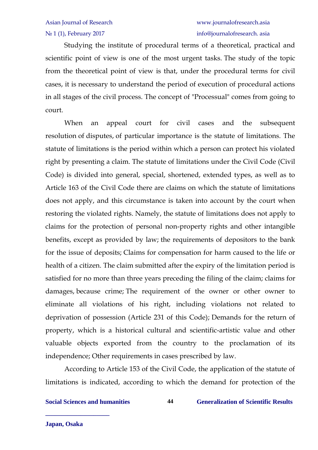Studying the institute of procedural terms of a theoretical, practical and scientific point of view is one of the most urgent tasks. The study of the topic from the theoretical point of view is that, under the procedural terms for civil cases, it is necessary to understand the period of execution of procedural actions in all stages of the civil process. The concept of "Processual" comes from going to court.

When an appeal court for civil cases and the subsequent resolution of disputes, of particular importance is the statute of limitations. The statute of limitations is the period within which a person can protect his violated right by presenting a claim. The statute of limitations under the Civil Code (Civil Code) is divided into general, special, shortened, extended types, as well as to Article 163 of the Civil Code there are claims on which the statute of limitations does not apply, and this circumstance is taken into account by the court when restoring the violated rights. Namely, the statute of limitations does not apply to claims for the protection of personal non-property rights and other intangible benefits, except as provided by law; the requirements of depositors to the bank for the issue of deposits; Claims for compensation for harm caused to the life or health of a citizen. The claim submitted after the expiry of the limitation period is satisfied for no more than three years preceding the filing of the claim; claims for damages, because crime; The requirement of the owner or other owner to eliminate all violations of his right, including violations not related to deprivation of possession (Article 231 of this Code); Demands for the return of property, which is a historical cultural and scientific-artistic value and other valuable objects exported from the country to the proclamation of its independence; Other requirements in cases prescribed by law.

According to Article 153 of the Civil Code, the application of the statute of limitations is indicated, according to which the demand for protection of the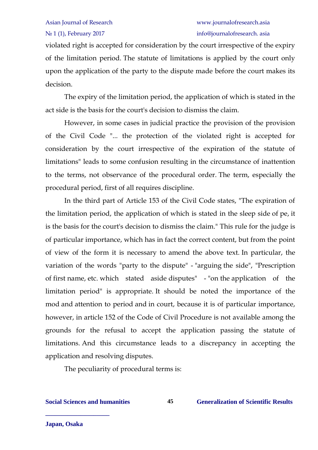violated right is accepted for consideration by the court irrespective of the expiry of the limitation period. The statute of limitations is applied by the court only upon the application of the party to the dispute made before the court makes its decision.

The expiry of the limitation period, the application of which is stated in the act side is the basis for the court's decision to dismiss the claim.

However, in some cases in judicial practice the provision of the provision of the Civil Code "... the protection of the violated right is accepted for consideration by the court irrespective of the expiration of the statute of limitations" leads to some confusion resulting in the circumstance of inattention to the terms, not observance of the procedural order. The term, especially the procedural period, first of all requires discipline.

In the third part of Article 153 of the Civil Code states, "The expiration of the limitation period, the application of which is stated in the sleep side of pe, it is the basis for the court's decision to dismiss the claim." This rule for the judge is of particular importance, which has in fact the correct content, but from the point of view of the form it is necessary to amend the above text. In particular, the variation of the words "party to the dispute" - "arguing the side", "Prescription of first name, etc. which stated aside disputes" - "on the application of the limitation period" is appropriate. It should be noted the importance of the mod and attention to period and in court, because it is of particular importance, however, in article 152 of the Code of Civil Procedure is not available among the grounds for the refusal to accept the application passing the statute of limitations. And this circumstance leads to a discrepancy in accepting the application and resolving disputes.

The peculiarity of procedural terms is: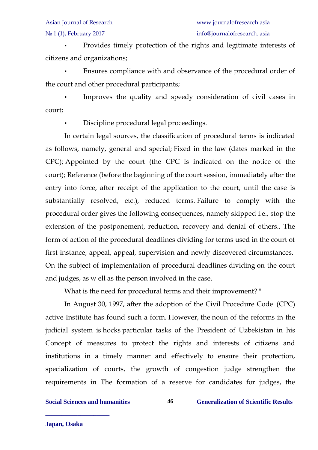Provides timely protection of the rights and legitimate interests of citizens and organizations;

 Ensures compliance with and observance of the procedural order of the court and other procedural participants;

 Improves the quality and speedy consideration of civil cases in court;

Discipline procedural legal proceedings.

In certain legal sources, the classification of procedural terms is indicated as follows, namely, general and special; Fixed in the law (dates marked in the CPC); Appointed by the court (the CPC is indicated on the notice of the court); Reference (before the beginning of the court session, immediately after the entry into force, after receipt of the application to the court, until the case is substantially resolved, etc.), reduced terms. Failure to comply with the procedural order gives the following consequences, namely skipped i.e., stop the extension of the postponement, reduction, recovery and denial of others.. The form of action of the procedural deadlines dividing for terms used in the court of first instance, appeal, appeal, supervision and newly discovered circumstances. On the subject of implementation of procedural deadlines dividing on the court and judges, as w ell as the person involved in the case.

What is the need for procedural terms and their improvement? "

In August 30, 1997, after the adoption of the Civil Procedure Code (CPC) active Institute has found such a form. However, the noun of the reforms in the judicial system is hocks particular tasks of the President of Uzbekistan in his Concept of measures to protect the rights and interests of citizens and institutions in a timely manner and effectively to ensure their protection, specialization of courts, the growth of congestion judge strengthen the requirements in The formation of a reserve for candidates for judges, the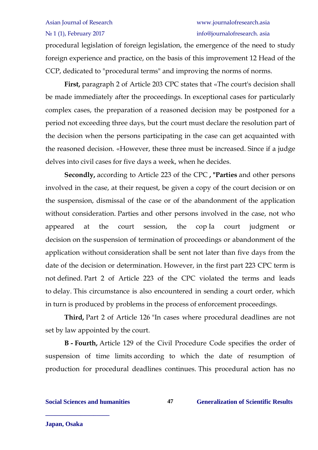procedural legislation of foreign legislation, the emergence of the need to study foreign experience and practice, on the basis of this improvement 12 Head of the CCP, dedicated to "procedural terms" and improving the norms of norms.

**First,** paragraph 2 of Article 203 CPC states that «The court's decision shall be made immediately after the proceedings. In exceptional cases for particularly complex cases, the preparation of a reasoned decision may be postponed for a period not exceeding three days, but the court must declare the resolution part of the decision when the persons participating in the case can get acquainted with the reasoned decision. «However, these three must be increased. Since if a judge delves into civil cases for five days a week, when he decides.

**Secondly,** according to Article 223 of the CPC **, "Parties** and other persons involved in the case, at their request, be given a copy of the court decision or on the suspension, dismissal of the case or of the abandonment of the application without consideration. Parties and other persons involved in the case, not who appeared at the court session, the cop Ia court judgment or decision on the suspension of termination of proceedings or abandonment of the application without consideration shall be sent not later than five days from the date of the decision or determination. However, in the first part 223 CPC term is not defined. Part 2 of Article 223 of the CPC violated the terms and leads to delay. This circumstance is also encountered in sending a court order, which in turn is produced by problems in the process of enforcement proceedings.

**Third,** Part 2 of Article 126 "In cases where procedural deadlines are not set by law appointed by the court.

**B - Fourth,** Article 129 of the Civil Procedure Code specifies the order of suspension of time limits according to which the date of resumption of production for procedural deadlines continues. This procedural action has no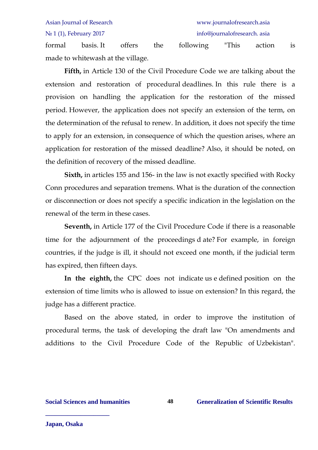formal basis. It offers the following "This action is made to whitewash at the village.

**Fifth,** in Article 130 of the Civil Procedure Code we are talking about the extension and restoration of procedural deadlines. In this rule there is a provision on handling the application for the restoration of the missed period. However, the application does not specify an extension of the term, on the determination of the refusal to renew. In addition, it does not specify the time to apply for an extension, in consequence of which the question arises, where an application for restoration of the missed deadline? Also, it should be noted, on the definition of recovery of the missed deadline.

**Sixth,** in articles 155 and 156- in the law is not exactly specified with Rocky Conn procedures and separation tremens. What is the duration of the connection or disconnection or does not specify a specific indication in the legislation on the renewal of the term in these cases.

**Seventh,** in Article 177 of the Civil Procedure Code if there is a reasonable time for the adjournment of the proceedings d ate? For example, in foreign countries, if the judge is ill, it should not exceed one month, if the judicial term has expired, then fifteen days.

**In the eighth,** the CPC does not indicate us e defined position on the extension of time limits who is allowed to issue on extension? In this regard, the judge has a different practice.

Based on the above stated, in order to improve the institution of procedural terms, the task of developing the draft law "On amendments and additions to the Civil Procedure Code of the Republic of Uzbekistan".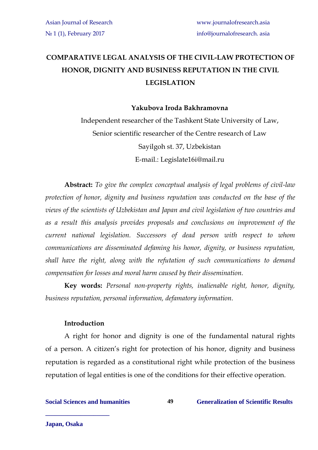# **COMPARATIVE LEGAL ANALYSIS OF THE CIVIL-LAW PROTECTION OF HONOR, DIGNITY AND BUSINESS REPUTATION IN THE CIVIL LEGISLATION**

**Yakubova Iroda Bakhramovna**

Independent researcher of the Tashkent State University of Law, Senior scientific researcher of the Centre research of Law Sayilgoh st. 37, Uzbekistan E-mail.: Legislate16i@mail.ru

**Abstract:** *To give the complex conceptual analysis of legal problems of civil-law protection of honor, dignity and business reputation was conducted on the base of the views of the scientists of Uzbekistan and Japan and civil legislation of two countries and as a result this analysis provides proposals and conclusions on improvement of the current national legislation. Successors of dead person with respect to whom communications are disseminated defaming his honor, dignity, or business reputation, shall have the right, along with the refutation of such communications to demand compensation for losses and moral harm caused by their dissemination.*

**Key words:** *Personal non-property rights, inalienable right, honor, dignity, business reputation, personal information, defamatory information.*

### **Introduction**

A right for honor and dignity is one of the fundamental natural rights of a person. A citizen's right for protection of his honor, dignity and business reputation is regarded as a constitutional right while protection of the business reputation of legal entities is one of the conditions for their effective operation.

**\_\_\_\_\_\_\_\_\_\_\_\_\_\_\_\_\_\_\_\_**

### **Social Sciences and humanities**  (*Agona Generalization of Scientific Results*)

**Japan, Osaka**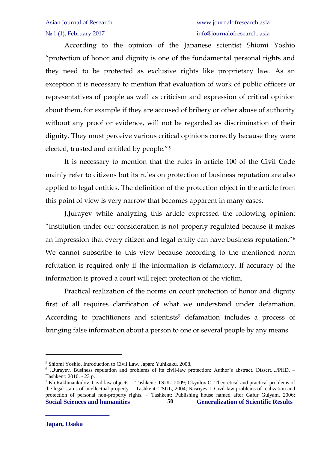According to the opinion of the Japanese scientist Shiomi Yoshio "protection of honor and dignity is one of the fundamental personal rights and they need to be protected as exclusive rights like proprietary law. As an exception it is necessary to mention that evaluation of work of public officers or representatives of people as well as criticism and expression of critical opinion about them, for example if they are accused of bribery or other abuse of authority without any proof or evidence, will not be regarded as discrimination of their dignity. They must perceive various critical opinions correctly because they were elected, trusted and entitled by people."<sup>5</sup>

It is necessary to mention that the rules in article 100 of the Civil Code mainly refer to citizens but its rules on protection of business reputation are also applied to legal entities. The definition of the protection object in the article from this point of view is very narrow that becomes apparent in many cases.

J.Jurayev while analyzing this article expressed the following opinion: "institution under our consideration is not properly regulated because it makes an impression that every citizen and legal entity can have business reputation."<sup>6</sup> We cannot subscribe to this view because according to the mentioned norm refutation is required only if the information is defamatory. If accuracy of the information is proved a court will reject protection of the victim.

Practical realization of the norms on court protection of honor and dignity first of all requires clarification of what we understand under defamation. According to practitioners and scientists<sup>7</sup> defamation includes a process of bringing false information about a person to one or several people by any means.

<u>.</u>

<sup>5</sup> Shiomi Yoshio. Introduction to Civil Law. Japan: Yuhikaku. 2008.

<sup>6</sup> J.Jurayev. Business reputation and problems of its civil-law protection: Author's abstract. Dissert..../PHD. – Tashkent: 2010. - 23 p.

**Social Sciences and humanities Generalization of Scientific Results 50** <sup>7</sup> Kh.Rakhmankulov. Civil law objects. – Tashkent: TSUL, 2009; Okyulov O. Theoretical and practical problems of the legal status of intellectual property. – Tashkent: TSUL, 2004; Nasriyev I. Civil-law problems of realization and protection of personal non-property rights. – Tashkent: Publishing house named after Gafur Gulyam, 2006;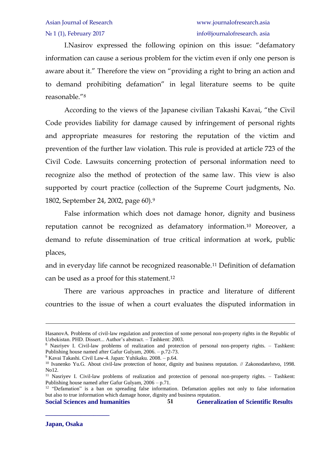I.Nasirov expressed the following opinion on this issue: "defamatory information can cause a serious problem for the victim even if only one person is aware about it." Therefore the view on "providing a right to bring an action and to demand prohibiting defamation" in legal literature seems to be quite reasonable."<sup>8</sup>

According to the views of the Japanese civilian Takashi Kavai, "the Civil Code provides liability for damage caused by infringement of personal rights and appropriate measures for restoring the reputation of the victim and prevention of the further law violation. This rule is provided at article 723 of the Civil Code. Lawsuits concerning protection of personal information need to recognize also the method of protection of the same law. This view is also supported by court practice (collection of the Supreme Court judgments, No. 1802, September 24, 2002, page 60).<sup>9</sup>

False information which does not damage honor, dignity and business reputation cannot be recognized as defamatory information.<sup>10</sup> Moreover, a demand to refute dissemination of true critical information at work, public places,

and in everyday life cannot be recognized reasonable.<sup>11</sup> Definition of defamation can be used as a proof for this statement.<sup>12</sup>

There are various approaches in practice and literature of different countries to the issue of when a court evaluates the disputed information in

**\_\_\_\_\_\_\_\_\_\_\_\_\_\_\_\_\_\_\_\_**

1

HasanovA. Problems of civil-law regulation and protection of some personal non-property rights in the Republic of Uzbekistan. PHD. Dissert... Author's abstract. – Tashkent: 2003.

<sup>8</sup> Nasriyev I. Civil-law problems of realization and protection of personal non-property rights. – Tashkent: Publishing house named after Gafur Gulyam, 2006. – p.72-73.

<sup>9</sup> Kavai Takashi. Civil Law-4. Japan: Yuhikaku. 2008. – p.64.

<sup>&</sup>lt;sup>10</sup> Ivanenko Yu.G. About civil-law protection of honor, dignity and business reputation. // Zakonodatelstvo, 1998. No12.

<sup>&</sup>lt;sup>11</sup> Nasriyev I. Civil-law problems of realization and protection of personal non-property rights. – Tashkent: Publishing house named after Gafur Gulyam, 2006 – p.71.

<sup>&</sup>lt;sup>12</sup> "Defamation" is a ban on spreading false information. Defamation applies not only to false information but also to true information which damage honor, dignity and business reputation.

**Social Sciences and humanities 6.6 (Generalization of Scientific Results**)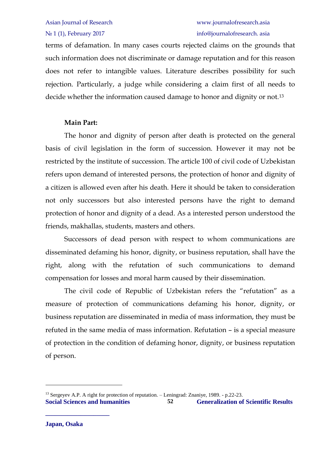terms of defamation. In many cases courts rejected claims on the grounds that such information does not discriminate or damage reputation and for this reason does not refer to intangible values. Literature describes possibility for such rejection. Particularly, a judge while considering a claim first of all needs to decide whether the information caused damage to honor and dignity or not.<sup>13</sup>

### **Main Part:**

The honor and dignity of person after death is protected on the general basis of civil legislation in the form of succession. However it may not be restricted by the institute of succession. The article 100 of civil code of Uzbekistan refers upon demand of interested persons, the protection of honor and dignity of a citizen is allowed even after his death. Here it should be taken to consideration not only successors but also interested persons have the right to demand protection of honor and dignity of a dead. As a interested person understood the friends, makhallas, students, masters and others.

Successors of dead person with respect to whom communications are disseminated defaming his honor, dignity, or business reputation, shall have the right, along with the refutation of such communications to demand compensation for losses and moral harm caused by their dissemination.

The civil code of Republic of Uzbekistan refers the "refutation" as a measure of protection of communications defaming his honor, dignity, or business reputation are disseminated in media of mass information, they must be refuted in the same media of mass information. Refutation – is a special measure of protection in the condition of defaming honor, dignity, or business reputation of person.

1

**Social Sciences and humanities 62 Generalization of Scientific Results** <sup>13</sup> Sergeyev A.P. A right for protection of reputation. – Leningrad: Znaniye, 1989. - p.22-23.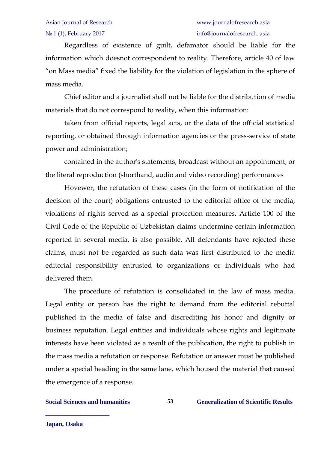Regardless of existence of guilt, defamator should be liable for the information which doesnot correspondent to reality. Therefore, article 40 of law "on Mass media" fixed the liability for the violation of legislation in the sphere of mass media.

Chief editor and a journalist shall not be liable for the distribution of media materials that do not correspond to reality, when this information:

taken from official reports, legal acts, or the data of the official statistical reporting, or obtained through information agencies or the press-service of state power and administration;

contained in the author's statements, broadcast without an appointment, or the literal reproduction (shorthand, audio and video recording) performances

Hovewer, the refutation of these cases (in the form of notification of the decision of the court) obligations entrusted to the editorial office of the media, violations of rights served as a special protection measures. Article 100 of the Civil Code of the Republic of Uzbekistan claims undermine certain information reported in several media, is also possible. All defendants have rejected these claims, must not be regarded as such data was first distributed to the media editorial responsibility entrusted to organizations or individuals who had delivered them.

The procedure of refutation is consolidated in the law of mass media. Legal entity or person has the right to demand from the editorial rebuttal published in the media of false and discrediting his honor and dignity or business reputation. Legal entities and individuals whose rights and legitimate interests have been violated as a result of the publication, the right to publish in the mass media a refutation or response. Refutation or answer must be published under a special heading in the same lane, which housed the material that caused the emergence of a response.

**53**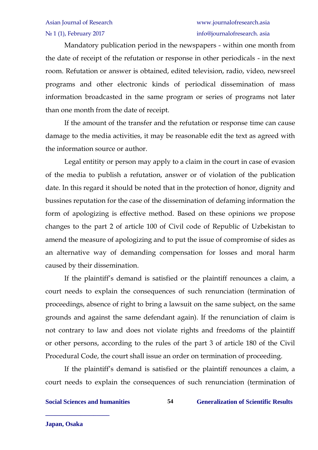Mandatory publication period in the newspapers - within one month from the date of receipt of the refutation or response in other periodicals - in the next room. Refutation or answer is obtained, edited television, radio, video, newsreel programs and other electronic kinds of periodical dissemination of mass information broadcasted in the same program or series of programs not later than one month from the date of receipt.

If the amount of the transfer and the refutation or response time can cause damage to the media activities, it may be reasonable edit the text as agreed with the information source or author.

Legal entitity or person may apply to a claim in the court in case of evasion of the media to publish a refutation, answer or of violation of the publication date. In this regard it should be noted that in the protection of honor, dignity and bussines reputation for the case of the dissemination of defaming information the form of apologizing is effective method. Based on these opinions we propose changes to the part 2 of article 100 of Civil code of Republic of Uzbekistan to amend the measure of apologizing and to put the issue of compromise of sides as an alternative way of demanding compensation for losses and moral harm caused by their dissemination.

If the plaintiff's demand is satisfied or the plaintiff renounces a claim, a court needs to explain the consequences of such renunciation (termination of proceedings, absence of right to bring a lawsuit on the same subject, on the same grounds and against the same defendant again). If the renunciation of claim is not contrary to law and does not violate rights and freedoms of the plaintiff or other persons, according to the rules of the part 3 of article 180 of the Civil Procedural Code, the court shall issue an order on termination of proceeding.

If the plaintiff's demand is satisfied or the plaintiff renounces a claim, a court needs to explain the consequences of such renunciation (termination of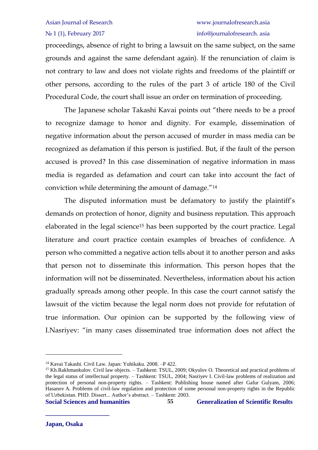proceedings, absence of right to bring a lawsuit on the same subject, on the same grounds and against the same defendant again). If the renunciation of claim is not contrary to law and does not violate rights and freedoms of the plaintiff or other persons, according to the rules of the part 3 of article 180 of the Civil Procedural Code, the court shall issue an order on termination of proceeding.

The Japanese scholar Takashi Kavai points out "there needs to be a proof to recognize damage to honor and dignity. For example, dissemination of negative information about the person accused of murder in mass media can be recognized as defamation if this person is justified. But, if the fault of the person accused is proved? In this case dissemination of negative information in mass media is regarded as defamation and court can take into account the fact of conviction while determining the amount of damage."<sup>14</sup>

The disputed information must be defamatory to justify the plaintiff's demands on protection of honor, dignity and business reputation. This approach elaborated in the legal science<sup>15</sup> has been supported by the court practice. Legal literature and court practice contain examples of breaches of confidence. A person who committed a negative action tells about it to another person and asks that person not to disseminate this information. This person hopes that the information will not be disseminated. Nevertheless, information about his action gradually spreads among other people. In this case the court cannot satisfy the lawsuit of the victim because the legal norm does not provide for refutation of true information. Our opinion can be supported by the following view of I.Nasriyev: "in many cases disseminated true information does not affect the

**\_\_\_\_\_\_\_\_\_\_\_\_\_\_\_\_\_\_\_\_**

<u>.</u>

<sup>14</sup> Kavai Takashi. Civil Law. Japan: Yuhikaku. 2008. –P 422.

<sup>&</sup>lt;sup>15</sup> Kh.Rakhmankulov. Civil law objects. – Tashkent: TSUL, 2009; Okyulov O. Theoretical and practical problems of the legal status of intellectual property. – Tashkent: TSUL, 2004; Nasriyev I. Civil-law problems of realization and protection of personal non-property rights. – Tashkent: Publishing house named after Gafur Gulyam, 2006; Hasanov A. Problems of civil-law regulation and protection of some personal non-property rights in the Republic of Uzbekistan. PHD. Dissert... Author's abstract. – Tashkent: 2003.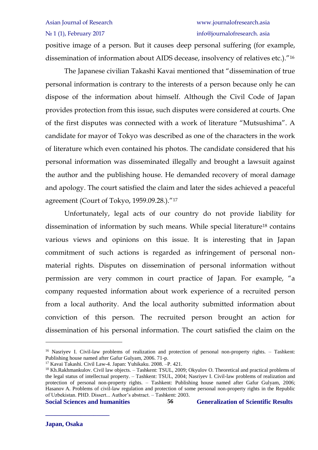positive image of a person. But it causes deep personal suffering (for example, dissemination of information about AIDS decease, insolvency of relatives etc.)."<sup>16</sup>

The Japanese civilian Takashi Kavai mentioned that "dissemination of true personal information is contrary to the interests of a person because only he can dispose of the information about himself. Although the Civil Code of Japan provides protection from this issue, such disputes were considered at courts. One of the first disputes was connected with a work of literature "Mutsushima". A candidate for mayor of Tokyo was described as one of the characters in the work of literature which even contained his photos. The candidate considered that his personal information was disseminated illegally and brought a lawsuit against the author and the publishing house. He demanded recovery of moral damage and apology. The court satisfied the claim and later the sides achieved a peaceful agreement (Court of Tokyo, 1959.09.28.)."<sup>17</sup>

Unfortunately, legal acts of our country do not provide liability for dissemination of information by such means. While special literature<sup>18</sup> contains various views and opinions on this issue. It is interesting that in Japan commitment of such actions is regarded as infringement of personal nonmaterial rights. Disputes on dissemination of personal information without permission are very common in court practice of Japan. For example, "a company requested information about work experience of a recruited person from a local authority. And the local authority submitted information about conviction of this person. The recruited person brought an action for dissemination of his personal information. The court satisfied the claim on the

**\_\_\_\_\_\_\_\_\_\_\_\_\_\_\_\_\_\_\_\_**

1

<sup>&</sup>lt;sup>16</sup> Nasriyev I. Civil-law problems of realization and protection of personal non-property rights. – Tashkent: Publishing house named after Gafur Gulyam, 2006. 71-p.

<sup>17</sup> Kavai Takashi. Civil Law-4. Japan: Yuhikaku. 2008. –P. 421.

<sup>&</sup>lt;sup>18</sup> Kh.Rakhmankulov. Civil law objects. – Tashkent: TSUL, 2009; Okyulov O. Theoretical and practical problems of the legal status of intellectual property. – Tashkent: TSUL, 2004; Nasriyev I. Civil-law problems of realization and protection of personal non-property rights. – Tashkent: Publishing house named after Gafur Gulyam, 2006; Hasanov A. Problems of civil-law regulation and protection of some personal non-property rights in the Republic of Uzbekistan. PHD. Dissert... Author's abstract. – Tashkent: 2003.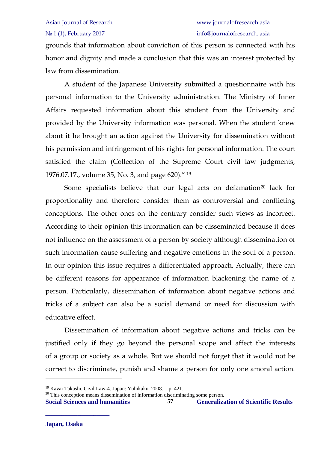grounds that information about conviction of this person is connected with his honor and dignity and made a conclusion that this was an interest protected by law from dissemination.

A student of the Japanese University submitted a questionnaire with his personal information to the University administration. The Ministry of Inner Affairs requested information about this student from the University and provided by the University information was personal. When the student knew about it he brought an action against the University for dissemination without his permission and infringement of his rights for personal information. The court satisfied the claim (Collection of the Supreme Court civil law judgments, 1976.07.17., volume 35, No. 3, and page 620)." <sup>19</sup>

Some specialists believe that our legal acts on defamation<sup>20</sup> lack for proportionality and therefore consider them as controversial and conflicting conceptions. The other ones on the contrary consider such views as incorrect. According to their opinion this information can be disseminated because it does not influence on the assessment of a person by society although dissemination of such information cause suffering and negative emotions in the soul of a person. In our opinion this issue requires a differentiated approach. Actually, there can be different reasons for appearance of information blackening the name of a person. Particularly, dissemination of information about negative actions and tricks of a subject can also be a social demand or need for discussion with educative effect.

Dissemination of information about negative actions and tricks can be justified only if they go beyond the personal scope and affect the interests of a group or society as a whole. But we should not forget that it would not be correct to discriminate, punish and shame a person for only one amoral action.

1

<sup>19</sup> Kavai Takashi. Civil Law-4. Japan: Yuhikaku. 2008. – p. 421.

**Social Sciences and humanities 623 Conserversity Conserversity Conserversity Conserversity Conserversity Conserversity Results 57**  $20$  This conception means dissemination of information discriminating some person.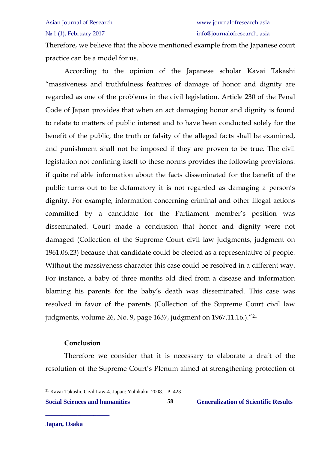Therefore, we believe that the above mentioned example from the Japanese court practice can be a model for us.

According to the opinion of the Japanese scholar Kavai Takashi "massiveness and truthfulness features of damage of honor and dignity are regarded as one of the problems in the civil legislation. Article 230 of the Penal Code of Japan provides that when an act damaging honor and dignity is found to relate to matters of public interest and to have been conducted solely for the benefit of the public, the truth or falsity of the alleged facts shall be examined, and punishment shall not be imposed if they are proven to be true. The civil legislation not confining itself to these norms provides the following provisions: if quite reliable information about the facts disseminated for the benefit of the public turns out to be defamatory it is not regarded as damaging a person's dignity. For example, information concerning criminal and other illegal actions committed by a candidate for the Parliament member's position was disseminated. Court made a conclusion that honor and dignity were not damaged (Collection of the Supreme Court civil law judgments, judgment on 1961.06.23) because that candidate could be elected as a representative of people. Without the massiveness character this case could be resolved in a different way. For instance, a baby of three months old died from a disease and information blaming his parents for the baby's death was disseminated. This case was resolved in favor of the parents (Collection of the Supreme Court civil law judgments, volume 26, No. 9, page 1637, judgment on 1967.11.16.)."<sup>21</sup>

### **Conclusion**

Therefore we consider that it is necessary to elaborate a draft of the resolution of the Supreme Court's Plenum aimed at strengthening protection of

<u>.</u>

<sup>21</sup> Kavai Takashi. Civil Law-4. Japan: Yuhikaku. 2008. –P. 423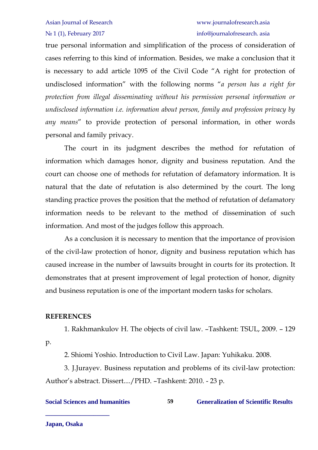true personal information and simplification of the process of consideration of cases referring to this kind of information. Besides, we make a conclusion that it is necessary to add article 1095 of the Civil Code "A right for protection of undisclosed information" with the following norms "*a person has a right for protection from illegal disseminating without his permission personal information or undisclosed information i.e. information about person, family and profession privacy by any means*" to provide protection of personal information, in other words personal and family privacy.

The court in its judgment describes the method for refutation of information which damages honor, dignity and business reputation. And the court can choose one of methods for refutation of defamatory information. It is natural that the date of refutation is also determined by the court. The long standing practice proves the position that the method of refutation of defamatory information needs to be relevant to the method of dissemination of such information. And most of the judges follow this approach.

As a conclusion it is necessary to mention that the importance of provision of the civil-law protection of honor, dignity and business reputation which has caused increase in the number of lawsuits brought in courts for its protection. It demonstrates that at present improvement of legal protection of honor, dignity and business reputation is one of the important modern tasks for scholars.

### **REFERENCES**

1. Rakhmankulov H. The objects of civil law. –Tashkent: TSUL, 2009. – 129 p.

2. Shiomi Yoshio. Introduction to Civil Law. Japan: Yuhikaku. 2008.

3. J.Jurayev. Business reputation and problems of its civil-law protection: Author's abstract. Dissert..../PHD. –Tashkent: 2010. - 23 p.

**\_\_\_\_\_\_\_\_\_\_\_\_\_\_\_\_\_\_\_\_**

### **Social Sciences and humanities Generalization of Scientific Results**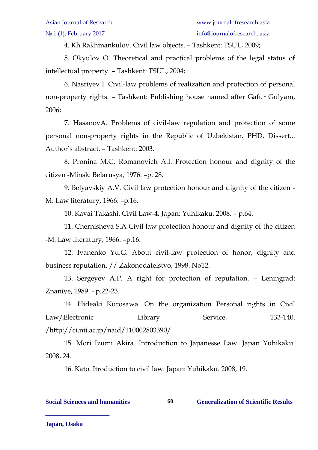4. Kh.Rakhmankulov. Civil law objects. – Tashkent: TSUL, 2009;

5. Okyulov O. Theoretical and practical problems of the legal status of intellectual property. – Tashkent: TSUL, 2004;

6. Nasriyev I. Civil-law problems of realization and protection of personal non-property rights. – Tashkent: Publishing house named after Gafur Gulyam, 2006;

7. HasanovA. Problems of civil-law regulation and protection of some personal non-property rights in the Republic of Uzbekistan. PHD. Dissert... Author's abstract. – Tashkent: 2003.

8. Pronina M.G, Romanovich A.I. Protection honour and dignity of the citizen -Minsk: Belarusya, 1976. –p. 28.

9. Belyavskiy А.V. Civil law protection honour and dignity of the citizen - М. Law literatury, 1966. –p.16.

10. Kavai Takashi. Civil Law-4. Japan: Yuhikaku. 2008. – p.64.

11. Chernisheva S.А Civil law protection honour and dignity of the citizen -М. Law literatury, 1966. –p.16.

12. Ivanenko Yu.G. About civil-law protection of honor, dignity and business reputation. // Zakonodatelstvo, 1998. No12.

13. Sergeyev A.P. A right for protection of reputation. – Leningrad: Znaniye, 1989. - p.22-23.

14. Hideaki Kurosawa. On the organization Personal rights in Civil Law/Electronic Library Service. 133-140. /http://ci.nii.ac.jp/naid/110002803390/

15. Mori Izumi Akira. Introduction to Japanesse Law. Japan Yuhikaku. 2008, 24.

16. Kato. Itroduction to civil law. Japan: Yuhikaku. 2008, 19.

**\_\_\_\_\_\_\_\_\_\_\_\_\_\_\_\_\_\_\_\_**

**60**

**Social Sciences and humanities 60 60 Generalization of Scientific Results**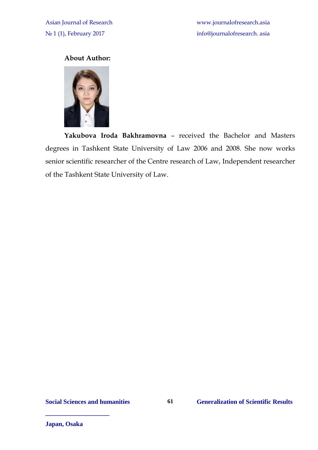Asian Journal of Research www[.journalofresearch.a](http://journalofresearch.asia/)sia

### **About Author:**



**Yakubova Iroda Bakhramovna** – received the Bachelor and Masters degrees in Tashkent State University of Law 2006 and 2008. She now works senior scientific researcher of the Centre research of Law, Independent researcher of the Tashkent State University of Law.

**61**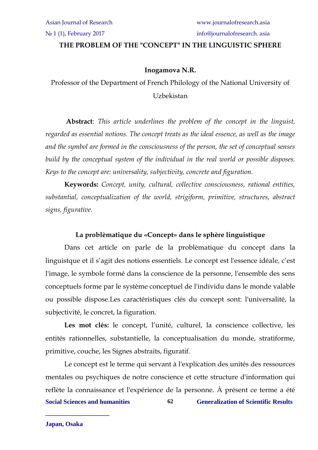### Asian Journal of Research www[.journalofresearch.a](http://journalofresearch.asia/)sia

No 1 (1), February 2017 info[@journalofresearch.](http://journalofresearch.asia/) asia

### **THE PROBLEM OF THE "CONCEPT" IN THE LINGUISTIC SPHERE**

### **Inogamova N.R.**

Professor of the Department of French Philology of the National University of Uzbekistan

**Abstract**: *This article underlines the problem of the concept in the linguist, regarded as essential notions. The concept treats as the ideal essence, as well as the image and the symbol are formed in the consciousness of the person, the set of conceptual senses build by the conceptual system of the individual in the real world or possible disposes. Keys to the concept are: universality, subjectivity, concrete and figuration.*

**Keywords:** *Concept, unity, cultural, collective consciousness, rational entities, substantial, conceptualization of the world, strigiform, primitive, structures, abstract signs, figurative.*

### **La problèmatique du «Concept» dans le sphère linguistique**

Dans cet article on parle de la problèmatique du concept dans la linguistque et il s'agit des notions essentiels. Le concept est l'essence idéale, c'est l'image, le symbole formé dans la conscience de la personne, l'ensemble des sens conceptuels forme par le système conceptuel de l'individu dans le monde valable ou possible dispose.Les caractéristiques clés du concept sont: l'universalité, la subjectivité, le concret, la figuration.

Les mot clés: le concept, l'unité, culturel, la conscience collective, les entités rationnelles, substantielle, la conceptualisation du monde, stratiforme, primitive, couche, les Signes abstraits, figuratif.

**Social Sciences and humanities 62 Generalization of Scientific Results 62** Le concept est le terme qui servant à l'explication des unités des ressources mentales ou psychiques de notre conscience et cette structure d'information qui reflète la connaissance et l'expérience de la personne. À présent ce terme a été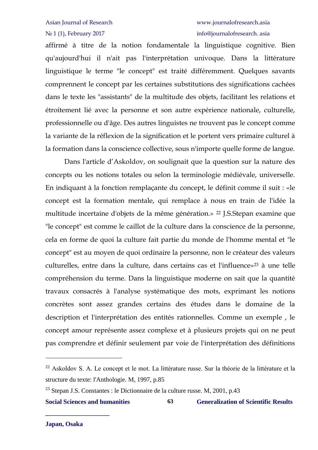affirmé à titre de la notion fondamentale la linguistique cognitive. Bien qu'aujourd'hui il n'ait pas l'interprétation univoque. Dans la littérature linguistique le terme "le concept" est traité différemment. Quelques savants comprennent le concept par les certaines substitutions des significations cachées dans le texte les "assistants" de la multitude des objets, facilitant les relations et étroitement lié avec la personne et son autre expérience nationale, culturelle, professionnelle ou d'âge. Des autres linguistes ne trouvent pas le concept comme la variante de la réflexion de la signification et le portent vers primaire culturel à la formation dans la conscience collective, sous n'importe quelle forme de langue.

Dans l'article d'Askoldov, on soulignait que la question sur la nature des concepts ou les notions totales ou selon la terminologie médiévale, universelle. En indiquant à la fonction remplaçante du concept, le définit comme il suit : «le concept est la formation mentale, qui remplace à nous en train de l'idée la multitude incertaine d'objets de la même génération.» <sup>22</sup> J.S.Stepan examine que "le concept" est comme le caillot de la culture dans la conscience de la personne, cela en forme de quoi la culture fait partie du monde de l'homme mental et "le concept" est au moyen de quoi ordinaire la personne, non le créateur des valeurs culturelles, entre dans la culture, dans certains cas et l'influence»<sup>23</sup> à une telle compréhension du terme. Dans la linguistique moderne on sait que la quantité travaux consacrés à l'analyse systématique des mots, exprimant les notions concrètes sont assez grandes certains des études dans le domaine de la description et l'interprétation des entités rationnelles. Comme un exemple , le concept amour représente assez complexe et à plusieurs projets qui on ne peut pas comprendre et définir seulement par voie de l'interprétation des définitions

**Social Sciences and humanities 63 Generalization of Scientific Results** 

1

<sup>&</sup>lt;sup>22</sup> Askoldov S. A. Le concept et le mot. La littérature russe. Sur la théorie de la littérature et la structure du texte: l'Anthologie. М, 1997, p.85

 $23$  Stepan J.S. Constantes : le Dictionnaire de la culture russe. M, 2001, p.43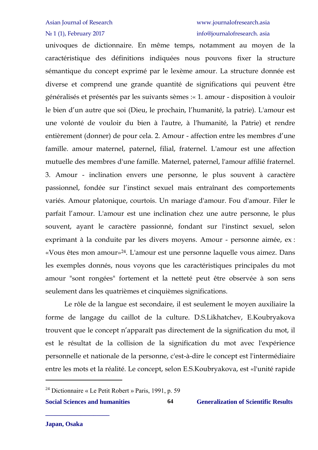univoques de dictionnaire. En même temps, notamment au moyen de la caractéristique des définitions indiquées nous pouvons fixer la structure sémantique du concept exprimé par le lexème amour. La structure donnée est diverse et comprend une grande quantité de significations qui peuvent être généralisés et présentés par les suivants sèmes :« 1. amour - disposition à vouloir le bien d'un autre que soi (Dieu, le prochain, l'humanité, la patrie). L'amour est une volonté de vouloir du bien à l'autre, à l'humanité, la Patrie) et rendre entièrement (donner) de pour cela. 2. Amour - affection entre les membres d'une famille. amour maternel, paternel, filial, fraternel. L'amour est une affection mutuelle des membres d'une famille. Maternel, paternel, l'amour affilié fraternel. 3. Amour - inclination envers une personne, le plus souvent à caractère passionnel, fondée sur l'instinct sexuel mais entraînant des comportements variés. Amour platonique, courtois. Un mariage d'amour. Fou d'amour. Filer le parfait l'amour. L'amour est une inclination chez une autre personne, le plus souvent, ayant le caractère passionné, fondant sur l'instinct sexuel, selon exprimant à la conduite par les divers moyens. Amour - personne aimée, ex : «Vous êtes mon amour»24. L'amour est une personne laquelle vous aimez. Dans les exemples donnés, nous voyons que les caractéristiques principales du mot amour "sont rongées" fortement et la netteté peut être observée à son sens seulement dans les quatrièmes et cinquièmes significations.

Le rôle de la langue est secondaire, il est seulement le moyen auxiliaire la forme de langage du caillot de la culture. D.S.Likhatchev, E.Koubryakova trouvent que le concept n'apparaît pas directement de la signification du mot, il est le résultat de la collision de la signification du mot avec l'expérience personnelle et nationale de la personne, c'est-à-dire le concept est l'intermédiaire entre les mots et la réalité. Le concept, selon E.S.Koubryakova, est «l'unité rapide

**\_\_\_\_\_\_\_\_\_\_\_\_\_\_\_\_\_\_\_\_**

1

<sup>24</sup> Dictionnaire « Le Petit Robert » Paris, 1991, p. 59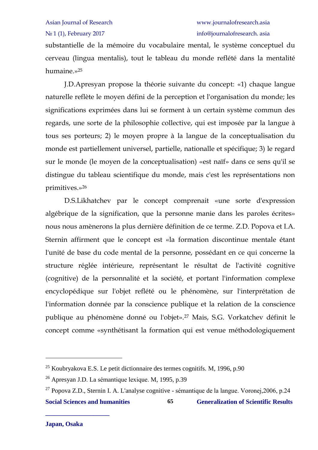substantielle de la mémoire du vocabulaire mental, le système conceptuel du cerveau (lingua mentalis), tout le tableau du monde reflété dans la mentalité humaine.»<sup>25</sup>

J.D.Apresyan propose la théorie suivante du concept: «1) chaque langue naturelle reflète le moyen défini de la perception et l'organisation du monde; les significations exprimées dans lui se forment à un certain système commun des regards, une sorte de la philosophie collective, qui est imposée par la langue à tous ses porteurs; 2) le moyen propre à la langue de la conceptualisation du monde est partiellement universel, partielle, nationalle et spécifique; 3) le regard sur le monde (le moyen de la conceptualisation) «est naïf» dans ce sens qu'il se distingue du tableau scientifique du monde, mais c'est les représentations non primitives.»<sup>26</sup>

D.S.Likhatchev par le concept comprenait «une sorte d'expression algébrique de la signification, que la personne manie dans les paroles écrites» nous nous amènerons la plus dernière définition de ce terme. Z.D. Popova et I.A. Sternin affirment que le concept est «la formation discontinue mentale étant l'unité de base du code mental de la personne, possédant en ce qui concerne la structure réglée intérieure, représentant le résultat de l'activité cognitive (cognitive) de la personnalité et la société, et portant l'information complexe encyclopédique sur l'objet reflété ou le phénomène, sur l'interprétation de l'information donnée par la conscience publique et la relation de la conscience publique au phénomène donné ou l'objet».<sup>27</sup> Mais, S.G. Vorkatchev définit le concept comme «synthétisant la formation qui est venue méthodologiquement

1

<sup>&</sup>lt;sup>25</sup> Koubryakova E.S. Le petit dictionnaire des termes cognitifs. M, 1996, p.90

<sup>26</sup> Apresyan J.D. La sémantique lexique. М, 1995, p.39

**Social Sciences and humanities 65** Generalization of Scientific Results **65** <sup>27</sup> Popova Z.D., Sternin I. A. L'analyse cognitive - sémantique de la langue. Voronej, 2006, p. 24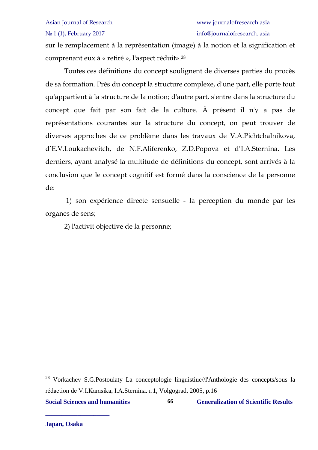sur le remplacement à la représentation (image) à la notion et la signification et comprenant eux à « retiré », l'aspect réduit».<sup>28</sup>

Toutes ces définitions du concept soulignent de diverses parties du procès de sa formation. Près du concept la structure complexe, d'une part, elle porte tout qu'appartient à la structure de la notion; d'autre part, s'entre dans la structure du concept que fait par son fait de la culture. À présent il n'y a pas de représentations courantes sur la structure du concept, on peut trouver de diverses approches de ce problème dans les travaux de V.A.Pichtchalnikova, d'E.V.Loukachevitch, de N.F.Aliferenko, Z.D.Popova et d'I.A.Sternina. Les derniers, ayant analysé la multitude de définitions du concept, sont arrivés à la conclusion que le concept cognitif est formé dans la conscience de la personne de:

1) son expérience directe sensuelle - la perception du monde par les organes de sens;

2) l'activit objective de la personne;

**Social Sciences and humanities 66** Generalization of Scientific Results **66**

1

<sup>28</sup> Vorkachev S.G.Postoulaty La conceptologie linguistiue//l'Anthologie des concepts/sous la rédaction de V.I.Karasika, I.A.Sternina. r.1, Volgograd, 2005, p.16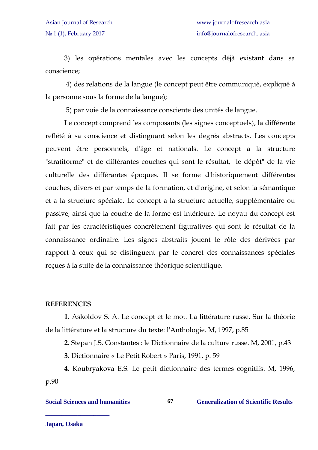3) les opérations mentales avec les concepts déjà existant dans sa conscience;

4) des relations de la langue (le concept peut être communiqué, expliqué à la personne sous la forme de la langue);

5) par voie de la connaissance consciente des unités de langue.

Le concept comprend les composants (les signes conceptuels), la différente reflété à sa conscience et distinguant selon les degrés abstracts. Les concepts peuvent être personnels, d'âge et nationals. Le concept a la structure "stratiforme" et de différantes couches qui sont le résultat, "le dépôt" de la vie culturelle des différantes époques. Il se forme d'historiquement différentes couches, divers et par temps de la formation, et d'origine, et selon la sémantique et a la structure spéciale. Le concept a la structure actuelle, supplémentaire ou passive, ainsi que la couche de la forme est intérieure. Le noyau du concept est fait par les caractéristiques concrètement figuratives qui sont le résultat de la connaissance ordinaire. Les signes abstraits jouent le rôle des dérivées par rapport à ceux qui se distinguent par le concret des connaissances spéciales reçues à la suite de la connaissance théorique scientifique.

### **REFERENCES**

**1.** Askoldov S. A. Le concept et le mot. La littérature russe. Sur la théorie de la littérature et la structure du texte: l'Anthologie. М, 1997, p.85

**2.** Stepan J.S. Constantes : le Dictionnaire de la culture russe. М, 2001, p.43

**3.** Dictionnaire « Le Petit Robert » Paris, 1991, p. 59

**4.** Koubryakova E.S. Le petit dictionnaire des termes cognitifs. М, 1996, p.90

**\_\_\_\_\_\_\_\_\_\_\_\_\_\_\_\_\_\_\_\_**

**Social Sciences and humanities 67** 67 **Generalization of Scientific Results**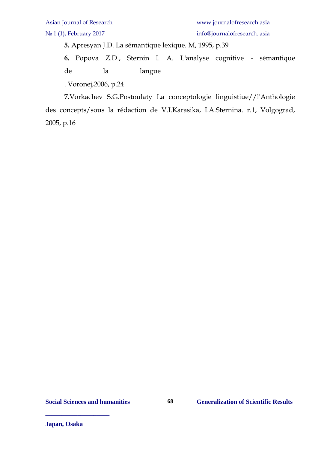Nº 1 (1), February 2017 info[@journalofresearch.](http://journalofresearch.asia/) asia

**5.** Apresyan J.D. La sémantique lexique. М, 1995, p.39

**6.** Popova Z.D., Sternin I. A. L'analyse cognitive - sémantique de la langue

. Voronej,2006, p.24

**7.**Vorkachev S.G.Postoulaty La conceptologie linguistiue//l'Anthologie des concepts/sous la rédaction de V.I.Karasika, I.A.Sternina. r.1, Volgograd, 2005, p.16

**68**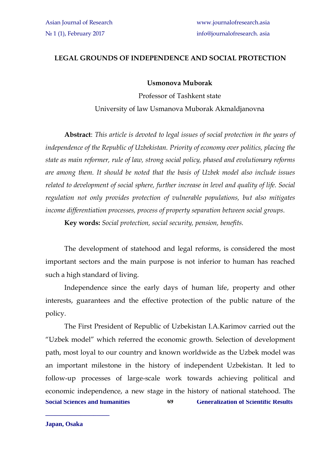### **LEGAL GROUNDS OF INDEPENDENCE AND SOCIAL PROTECTION**

### **Usmonova Muborak**

Professor of Tashkent state University of law Usmanova Muborak Akmaldjanovna

**Abstract**: *This article is devoted to legal issues of social protection in the years of independence of the Republic of Uzbekistan. Priority of economy over politics, placing the state as main reformer, rule of law, strong social policy, phased and evolutionary reforms are among them. It should be noted that the basis of Uzbek model also include issues*  related to development of social sphere, further increase in level and quality of life. Social *regulation not only provides protection of vulnerable populations, but also mitigates income differentiation processes, process of property separation between social groups.*

**Key words:** *Social protection, social security, pension, benefits.*

The development of statehood and legal reforms, is considered the most important sectors and the main purpose is not inferior to human has reached such a high standard of living.

Independence since the early days of human life, property and other interests, guarantees and the effective protection of the public nature of the policy.

**Social Sciences and humanities 69 Generalization of Scientific Results 69** The First President of Republic of Uzbekistan I.A.Karimov carried out the "Uzbek model" which referred the economic growth. Selection of development path, most loyal to our country and known worldwide as the Uzbek model was an important milestone in the history of independent Uzbekistan. It led to follow-up processes of large-scale work towards achieving political and economic independence, a new stage in the history of national statehood. The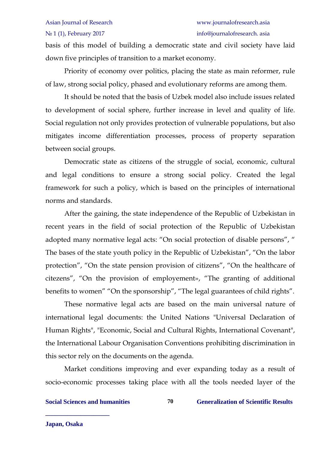basis of this model of building a democratic state and civil society have laid down five principles of transition to a market economy.

Priority of economy over politics, placing the state as main reformer, rule of law, strong social policy, phased and evolutionary reforms are among them.

It should be noted that the basis of Uzbek model also include issues related to development of social sphere, further increase in level and quality of life. Social regulation not only provides protection of vulnerable populations, but also mitigates income differentiation processes, process of property separation between social groups.

Democratic state as citizens of the struggle of social, economic, cultural and legal conditions to ensure a strong social policy. Created the legal framework for such a policy, which is based on the principles of international norms and standards.

After the gaining, the state independence of the Republic of Uzbekistan in recent years in the field of social protection of the Republic of Uzbekistan adopted many normative legal acts: "On social protection of disable persons", " The bases of the state youth policy in the Republic of Uzbekistan", "On the labor protection", "On the state pension provision of citizens", "On the healthcare of citezens", "On the provision of employement», "The granting of additional benefits to women" "On the sponsorship", "The legal guarantees of child rights".

These normative legal acts are based on the main universal nature of international legal documents: the United Nations "Universal Declaration of Human Rights", "Economic, Social and Cultural Rights, International Covenant", the International Labour Organisation Conventions prohibiting discrimination in this sector rely on the documents on the agenda.

Market conditions improving and ever expanding today as a result of socio-economic processes taking place with all the tools needed layer of the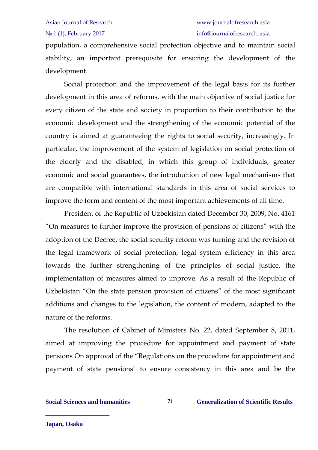population, a comprehensive social protection objective and to maintain social stability, an important prerequisite for ensuring the development of the development.

Social protection and the improvement of the legal basis for its further development in this area of reforms, with the main objective of social justice for every citizen of the state and society in proportion to their contribution to the economic development and the strengthening of the economic potential of the country is aimed at guaranteeing the rights to social security, increasingly. In particular, the improvement of the system of legislation on social protection of the elderly and the disabled, in which this group of individuals, greater economic and social guarantees, the introduction of new legal mechanisms that are compatible with international standards in this area of social services to improve the form and content of the most important achievements of all time.

President of the Republic of Uzbekistan dated December 30, 2009, No. 4161 "On measures to further improve the provision of pensions of citizens" with the adoption of the Decree, the social security reform was turning and the revision of the legal framework of social protection, legal system efficiency in this area towards the further strengthening of the principles of social justice, the implementation of measures aimed to improve. As a result of the Republic of Uzbekistan "On the state pension provision of citizens" of the most significant additions and changes to the legislation, the content of modern, adapted to the nature of the reforms.

The resolution of Cabinet of Ministers No. 22, dated September 8, 2011, aimed at improving the procedure for appointment and payment of state pensions On approval of the "Regulations on the procedure for appointment and payment of state pensions" to ensure consistency in this area and be the

**71**

**Social Sciences and humanities**  $\overline{71}$  **Generalization of Scientific Results**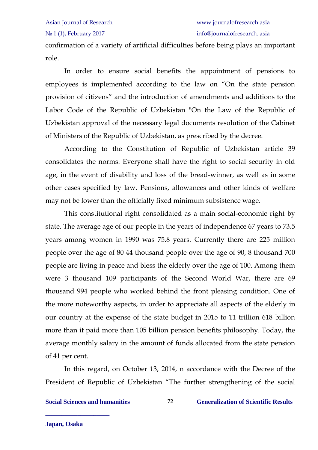confirmation of a variety of artificial difficulties before being plays an important role.

In order to ensure social benefits the appointment of pensions to employees is implemented according to the law on "On the state pension provision of citizens" and the introduction of amendments and additions to the Labor Code of the Republic of Uzbekistan "On the Law of the Republic of Uzbekistan approval of the necessary legal documents resolution of the Cabinet of Ministers of the Republic of Uzbekistan, as prescribed by the decree.

According to the Constitution of Republic of Uzbekistan article 39 consolidates the norms: Everyone shall have the right to social security in old age, in the event of disability and loss of the bread-winner, as well as in some other cases specified by law. Pensions, allowances and other kinds of welfare may not be lower than the officially fixed minimum subsistence wage.

This constitutional right consolidated as a main social-economic right by state. The average age of our people in the years of independence 67 years to 73.5 years among women in 1990 was 75.8 years. Currently there are 225 million people over the age of 80 44 thousand people over the age of 90, 8 thousand 700 people are living in peace and bless the elderly over the age of 100. Among them were 3 thousand 109 participants of the Second World War, there are 69 thousand 994 people who worked behind the front pleasing condition. One of the more noteworthy aspects, in order to appreciate all aspects of the elderly in our country at the expense of the state budget in 2015 to 11 trillion 618 billion more than it paid more than 105 billion pension benefits philosophy. Today, the average monthly salary in the amount of funds allocated from the state pension of 41 per cent.

In this regard, on October 13, 2014, n accordance with the Decree of the President of Republic of Uzbekistan "The further strengthening of the social

**\_\_\_\_\_\_\_\_\_\_\_\_\_\_\_\_\_\_\_\_**

### **Social Sciences and humanities**  $\overline{72}$  **Generalization of Scientific Results**

**Japan, Osaka**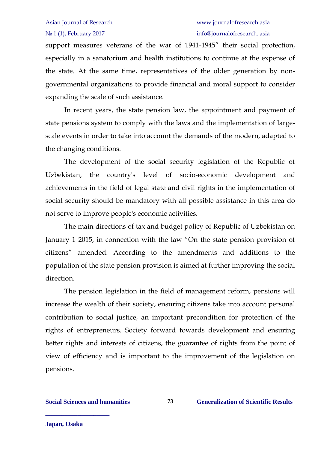support measures veterans of the war of 1941-1945" their social protection, especially in a sanatorium and health institutions to continue at the expense of the state. At the same time, representatives of the older generation by nongovernmental organizations to provide financial and moral support to consider expanding the scale of such assistance.

In recent years, the state pension law, the appointment and payment of state pensions system to comply with the laws and the implementation of largescale events in order to take into account the demands of the modern, adapted to the changing conditions.

The development of the social security legislation of the Republic of Uzbekistan, the country's level of socio-economic development and achievements in the field of legal state and civil rights in the implementation of social security should be mandatory with all possible assistance in this area do not serve to improve people's economic activities.

The main directions of tax and budget policy of Republic of Uzbekistan on January 1 2015, in connection with the law "On the state pension provision of citizens" amended. According to the amendments and additions to the population of the state pension provision is aimed at further improving the social direction.

The pension legislation in the field of management reform, pensions will increase the wealth of their society, ensuring citizens take into account personal contribution to social justice, an important precondition for protection of the rights of entrepreneurs. Society forward towards development and ensuring better rights and interests of citizens, the guarantee of rights from the point of view of efficiency and is important to the improvement of the legislation on pensions.

**73**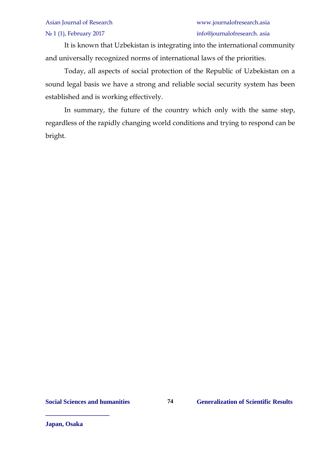# Asian Journal of Research www[.journalofresearch.a](http://journalofresearch.asia/)sia No 1 (1), February 2017 info[@journalofresearch.](http://journalofresearch.asia/) asia<br>info@journalofresearch. asia

It is known that Uzbekistan is integrating into the international community and universally recognized norms of international laws of the priorities.

Today, all aspects of social protection of the Republic of Uzbekistan on a sound legal basis we have a strong and reliable social security system has been established and is working effectively.

In summary, the future of the country which only with the same step, regardless of the rapidly changing world conditions and trying to respond can be bright.

**74**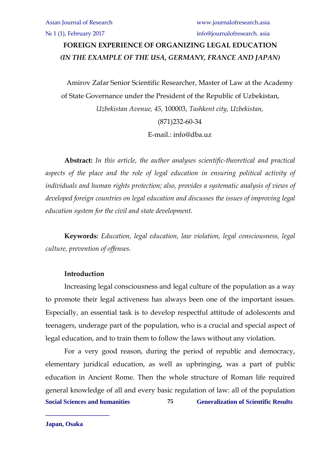### No 1 (1), February 2017 info[@journalofresearch.](http://journalofresearch.asia/) asia

# **FOREIGN EXPERIENCE OF ORGANIZING LEGAL EDUCATION** *(IN THE EXAMPLE OF THE USA, GERMANY, FRANCE AND JAPAN)*

Amirov Zafar Senior Scientific Researcher, Master of Law at the Academy of State Governance under the President of the Republic of Uzbekistan, *Uzbekistan Avenue, 45,* 100003, *Tashkent city, Uzbekistan,* (871)232-60-34 E-mail.: info@dba.uz

**Abstract:** *In this article, the author analyses scientific-theoretical and practical aspects of the place and the role of legal education in ensuring political activity of individuals and human rights protection; also, provides a systematic analysis of views of developed foreign countries on legal education and discusses the issues of improving legal education system for the civil and state development.* 

**Keywords***: Education, legal education, law violation, legal consciousness, legal culture, prevention of offenses.*

### **Introduction**

Increasing legal consciousness and legal culture of the population as a way to promote their legal activeness has always been one of the important issues. Especially, an essential task is to develop respectful attitude of adolescents and teenagers, underage part of the population, who is a crucial and special aspect of legal education, and to train them to follow the laws without any violation.

**Social Sciences and humanities** T<sub>5</sub> **Generalization of Scientific Results 75** For a very good reason, during the period of republic and democracy, elementary juridical education, as well as upbringing, was a part of public education in Ancient Rome. Then the whole structure of Roman life required general knowledge of all and every basic regulation of law: all of the population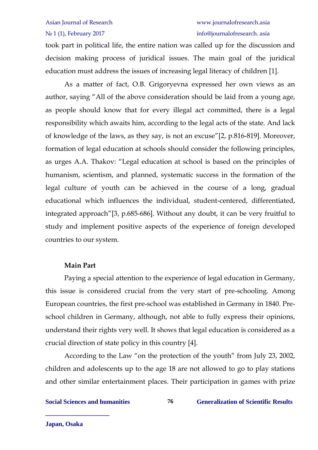took part in political life, the entire nation was called up for the discussion and decision making process of juridical issues. The main goal of the juridical education must address the issues of increasing legal literacy of children [1].

As a matter of fact, O.B. Grigoryevna expressed her own views as an author, saying "All of the above consideration should be laid from a young age, as people should know that for every illegal act committed, there is a legal responsibility which awaits him, according to the legal acts of the state. And lack of knowledge of the laws, as they say, is not an excuse"[2, p.816-819]. Moreover, formation of legal education at schools should consider the following principles, as urges A.A. Thakov: "Legal education at school is based on the principles of humanism, scientism, and planned, systematic success in the formation of the legal culture of youth can be achieved in the course of a long, gradual educational which influences the individual, student-centered, differentiated, integrated approach"[3, p.685-686]. Without any doubt, it can be very fruitful to study and implement positive aspects of the experience of foreign developed countries to our system.

### **Main Part**

Paying a special attention to the experience of legal education in Germany, this issue is considered crucial from the very start of pre-schooling. Among European countries, the first pre-school was established in Germany in 1840. Preschool children in Germany, although, not able to fully express their opinions, understand their rights very well. It shows that legal education is considered as a crucial direction of state policy in this country [4].

According to the Law "on the protection of the youth" from July 23, 2002, children and adolescents up to the age 18 are not allowed to go to play stations and other similar entertainment places. Their participation in games with prize

**\_\_\_\_\_\_\_\_\_\_\_\_\_\_\_\_\_\_\_\_**

### **Social Sciences and humanities 6 (Generalization of Scientific Results**)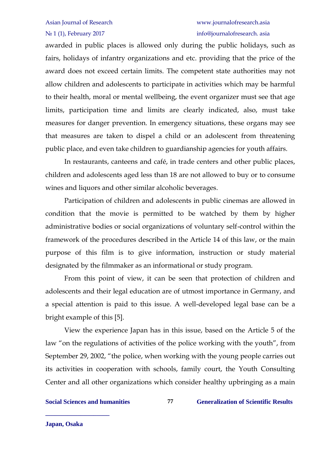awarded in public places is allowed only during the public holidays, such as fairs, holidays of infantry organizations and etc. providing that the price of the award does not exceed certain limits. The competent state authorities may not allow children and adolescents to participate in activities which may be harmful to their health, moral or mental wellbeing, the event organizer must see that age limits, participation time and limits are clearly indicated, also, must take measures for danger prevention. In emergency situations, these organs may see that measures are taken to dispel a child or an adolescent from threatening public place, and even take children to guardianship agencies for youth affairs.

In restaurants, canteens and café, in trade centers and other public places, children and adolescents aged less than 18 are not allowed to buy or to consume wines and liquors and other similar alcoholic beverages.

Participation of children and adolescents in public cinemas are allowed in condition that the movie is permitted to be watched by them by higher administrative bodies or social organizations of voluntary self-control within the framework of the procedures described in the Article 14 of this law, or the main purpose of this film is to give information, instruction or study material designated by the filmmaker as an informational or study program.

From this point of view, it can be seen that protection of children and adolescents and their legal education are of utmost importance in Germany, and a special attention is paid to this issue. A well-developed legal base can be a bright example of this [5].

View the experience Japan has in this issue, based on the Article 5 of the law "on the regulations of activities of the police working with the youth", from September 29, 2002, "the police, when working with the young people carries out its activities in cooperation with schools, family court, the Youth Consulting Center and all other organizations which consider healthy upbringing as a main

**77**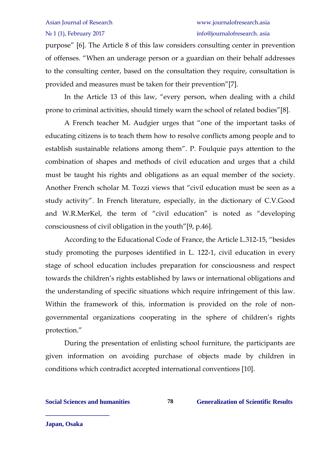purpose" [6]. The Article 8 of this law considers consulting center in prevention of offenses. "When an underage person or a guardian on their behalf addresses to the consulting center, based on the consultation they require, consultation is provided and measures must be taken for their prevention"[7].

In the Article 13 of this law, "every person, when dealing with a child prone to criminal activities, should timely warn the school of related bodies"[8].

A French teacher M. Audgier urges that "one of the important tasks of educating citizens is to teach them how to resolve conflicts among people and to establish sustainable relations among them". P. Foulquie pays attention to the combination of shapes and methods of civil education and urges that a child must be taught his rights and obligations as an equal member of the society. Another French scholar M. Tozzi views that "civil education must be seen as a study activity". In French literature, especially, in the dictionary of C.V.Good and W.R.MerKel, the term of "civil education" is noted as "developing consciousness of civil obligation in the youth"[9, p.46].

According to the Educational Code of France, the Article L.312-15, "besides study promoting the purposes identified in L. 122-1, civil education in every stage of school education includes preparation for consciousness and respect towards the children's rights established by laws or international obligations and the understanding of specific situations which require infringement of this law. Within the framework of this, information is provided on the role of nongovernmental organizations cooperating in the sphere of children's rights protection."

During the presentation of enlisting school furniture, the participants are given information on avoiding purchase of objects made by children in conditions which contradict accepted international conventions [10].

**\_\_\_\_\_\_\_\_\_\_\_\_\_\_\_\_\_\_\_\_**

### **Social Sciences and humanities**  $\overline{78}$  **Generalization of Scientific Results**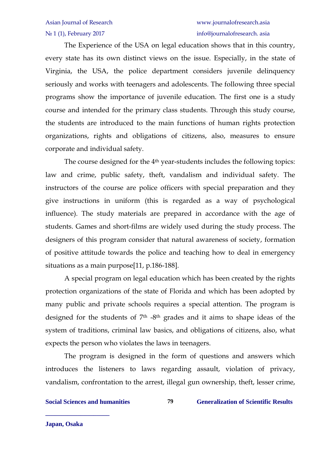The Experience of the USA on legal education shows that in this country, every state has its own distinct views on the issue. Especially, in the state of Virginia, the USA, the police department considers juvenile delinquency seriously and works with teenagers and adolescents. The following three special programs show the importance of juvenile education. The first one is a study course and intended for the primary class students. Through this study course, the students are introduced to the main functions of human rights protection organizations, rights and obligations of citizens, also, measures to ensure corporate and individual safety.

The course designed for the 4th year-students includes the following topics: law and crime, public safety, theft, vandalism and individual safety. The instructors of the course are police officers with special preparation and they give instructions in uniform (this is regarded as a way of psychological influence). The study materials are prepared in accordance with the age of students. Games and short-films are widely used during the study process. The designers of this program consider that natural awareness of society, formation of positive attitude towards the police and teaching how to deal in emergency situations as a main purpose[11, p.186-188].

A special program on legal education which has been created by the rights protection organizations of the state of Florida and which has been adopted by many public and private schools requires a special attention. The program is designed for the students of  $7<sup>th</sup>$  -8<sup>th</sup> grades and it aims to shape ideas of the system of traditions, criminal law basics, and obligations of citizens, also, what expects the person who violates the laws in teenagers.

The program is designed in the form of questions and answers which introduces the listeners to laws regarding assault, violation of privacy, vandalism, confrontation to the arrest, illegal gun ownership, theft, lesser crime,

**\_\_\_\_\_\_\_\_\_\_\_\_\_\_\_\_\_\_\_\_**

### **Social Sciences and humanities**  $\overline{79}$  **Generalization of Scientific Results**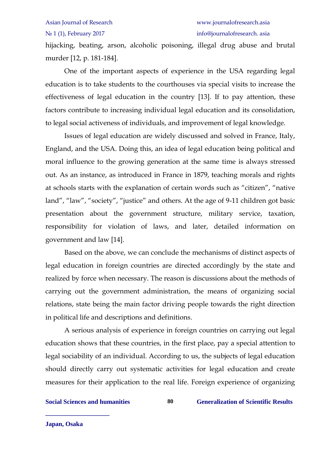hijacking, beating, arson, alcoholic poisoning, illegal drug abuse and brutal murder [12, p. 181-184].

One of the important aspects of experience in the USA regarding legal education is to take students to the courthouses via special visits to increase the effectiveness of legal education in the country [13]. If to pay attention, these factors contribute to increasing individual legal education and its consolidation, to legal social activeness of individuals, and improvement of legal knowledge.

Issues of legal education are widely discussed and solved in France, Italy, England, and the USA. Doing this, an idea of legal education being political and moral influence to the growing generation at the same time is always stressed out. As an instance, as introduced in France in 1879, teaching morals and rights at schools starts with the explanation of certain words such as "citizen", "native land", "law", "society", "justice" and others. At the age of 9-11 children got basic presentation about the government structure, military service, taxation, responsibility for violation of laws, and later, detailed information on government and law [14].

Based on the above, we can conclude the mechanisms of distinct aspects of legal education in foreign countries are directed accordingly by the state and realized by force when necessary. The reason is discussions about the methods of carrying out the government administration, the means of organizing social relations, state being the main factor driving people towards the right direction in political life and descriptions and definitions.

A serious analysis of experience in foreign countries on carrying out legal education shows that these countries, in the first place, pay a special attention to legal sociability of an individual. According to us, the subjects of legal education should directly carry out systematic activities for legal education and create measures for their application to the real life. Foreign experience of organizing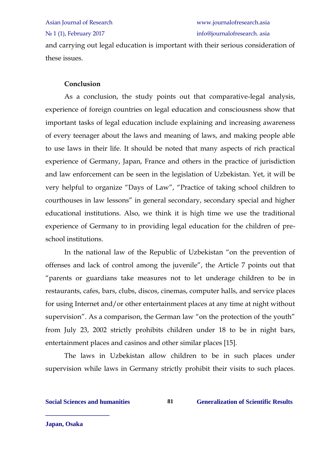and carrying out legal education is important with their serious consideration of these issues.

### **Conclusion**

As a conclusion, the study points out that comparative-legal analysis, experience of foreign countries on legal education and consciousness show that important tasks of legal education include explaining and increasing awareness of every teenager about the laws and meaning of laws, and making people able to use laws in their life. It should be noted that many aspects of rich practical experience of Germany, Japan, France and others in the practice of jurisdiction and law enforcement can be seen in the legislation of Uzbekistan. Yet, it will be very helpful to organize "Days of Law", "Practice of taking school children to courthouses in law lessons" in general secondary, secondary special and higher educational institutions. Also, we think it is high time we use the traditional experience of Germany to in providing legal education for the children of preschool institutions.

In the national law of the Republic of Uzbekistan "on the prevention of offenses and lack of control among the juvenile", the Article 7 points out that "parents or guardians take measures not to let underage children to be in restaurants, cafes, bars, clubs, discos, cinemas, computer halls, and service places for using Internet and/or other entertainment places at any time at night without supervision". As a comparison, the German law "on the protection of the youth" from July 23, 2002 strictly prohibits children under 18 to be in night bars, entertainment places and casinos and other similar places [15].

The laws in Uzbekistan allow children to be in such places under supervision while laws in Germany strictly prohibit their visits to such places.

**\_\_\_\_\_\_\_\_\_\_\_\_\_\_\_\_\_\_\_\_**

### **Social Sciences and humanities 61 Generalization of Scientific Results**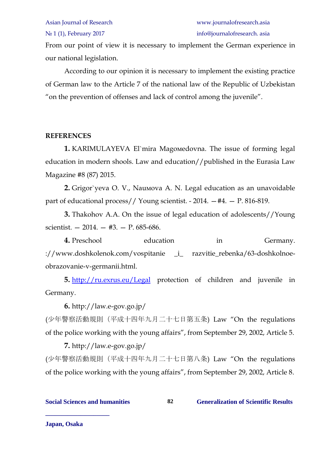From our point of view it is necessary to implement the German experience in our national legislation.

According to our opinion it is necessary to implement the existing practice of German law to the Article 7 of the national law of the Republic of Uzbekistan "on the prevention of offenses and lack of control among the juvenile".

### **REFERENCES**

**1.** КАRIМULАYЕVА El`mira Маgомеdоvnа. The issue of forming legal education in modern shools. Law and education//published in the Eurasia Law Magazine #8 (87) 2015.

**2.** Grigor`yevа О. V., Nаuмоvа А. N. Legal education as an unavoidable part of educational process// Young scientist.  $-2014$ .  $-#4$ .  $-$  P. 816-819.

**3.** Тhakohov A.A. On the issue of legal education of adolescents//Young scientist. — 2014. — #3. — P. 685-686.

**4.** Preschool education in Germany. ://www.doshkolenok.com/vospitanie \_i\_ razvitie\_rebenka/63-doshkolnoeobrazovanie-v-germanii.html.

**5.** <http://ru.exrus.eu/Legal> protection of children and juvenile in Germany.

**6.** http://law.e-gov.go.jp/ (少年警察活動規則(平成十四年九月二十七日第五条) Law "On the regulations of the police working with the young affairs", from September 29, 2002, Article 5.

# **7.** http://law.e-gov.go.jp/

(少年警察活動規則(平成十四年九月二十七日第八条) Law "On the regulations of the police working with the young affairs", from September 29, 2002, Article 8.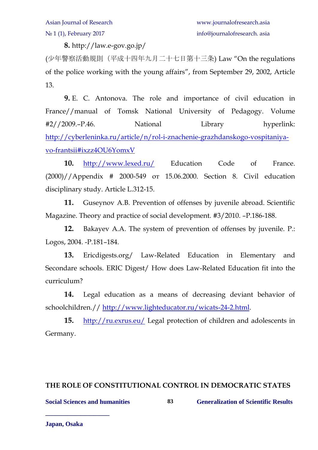**8.** http://law.e-gov.go.jp/

(少年警察活動規則(平成十四年九月二十七日第十三条) Law "On the regulations of the police working with the young affairs", from September 29, 2002, Article 13.

**9.** E. C. Antonova. The role and importance of civil education in France//manual of Tomsk National University of Pedagogy. Volume #2//2009.–P.46. National Library hyperlink: [http://cyberleninka.ru/article/n/rol-i-znachenie-grazhdanskogo-vospitaniya](http://cyberleninka.ru/article/n/rol-i-znachenie-grazhdanskogo-vospitaniya-vo-frantsii#ixzz4OU6YomxV)[vo-frantsii#ixzz4OU6YomxV](http://cyberleninka.ru/article/n/rol-i-znachenie-grazhdanskogo-vospitaniya-vo-frantsii#ixzz4OU6YomxV)

**10.** <http://www.lexed.ru/> Education Code of France. (2000)//Appendix # 2000-549 от 15.06.2000. Section 8. Civil education disciplinary study. Article L.312-15.

**11.** Guseynov A.B. Prevention of offenses by juvenile abroad. Scientific Magazine. Theory and practice of social development. #3/2010. –P.186-188.

**12.** Bakayev A.A. The system of prevention of offenses by juvenile. P.: Logos, 2004. -P.181–184.

**13.** Ericdigests.org/ Law-Related Education in Elementary and Secondare schools. ERIC Digest/ How does Law-Related Education fit into the curriculum?

**14.** Legal education as a means of decreasing deviant behavior of schoolchildren.// [http://www.lighteducator.ru/wicats-24-2.html.](http://www.lighteducator.ru/wicats-24-2.html)

**15.** <http://ru.exrus.eu/> Legal protection of children and adolescents in Germany.

# **THE ROLE OF CONSTITUTIONAL CONTROL IN DEMOCRATIC STATES**

**\_\_\_\_\_\_\_\_\_\_\_\_\_\_\_\_\_\_\_\_**

**Social Sciences and humanities 63 Generalization of Scientific Results**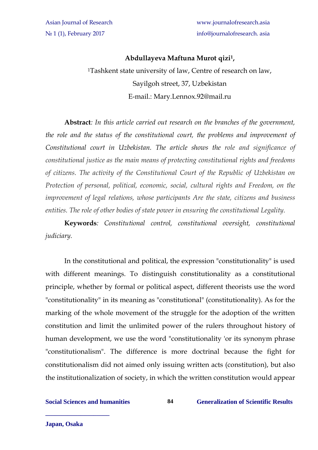### **Abdullayeva Maftuna Murot qizi1,**

<sup>1</sup>Tashkent state university of law, Centre of research on law, Sayilgoh street, 37, Uzbekistan E-mail.: Mary.Lennox.92@mail.ru

**Abstract***: In this article carried out research on the branches of the government, the role and the status of the constitutional court, the problems and improvement of Constitutional court in Uzbekistan. The article shows the role and significance of constitutional justice as the main means of protecting constitutional rights and freedoms of citizens. The activity of the Constitutional Court of the Republic of Uzbekistan on Protection of personal, political, economic, social, cultural rights and Freedom, on the improvement of legal relations, whose participants Are the state, citizens and business entities. The role of other bodies of state power in ensuring the constitutional Legality.*

**Keywords***: Constitutional control, constitutional oversight, constitutional judiciary.*

In the constitutional and political, the expression "constitutionality" is used with different meanings. To distinguish constitutionality as a constitutional principle, whether by formal or political aspect, different theorists use the word "constitutionality" in its meaning as "constitutional" (constitutionality). As for the marking of the whole movement of the struggle for the adoption of the written constitution and limit the unlimited power of the rulers throughout history of human development, we use the word "constitutionality 'or its synonym phrase "constitutionalism". The difference is more doctrinal because the fight for constitutionalism did not aimed only issuing written acts (constitution), but also the institutionalization of society, in which the written constitution would appear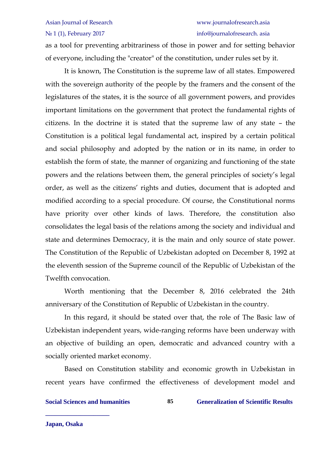### Asian Journal of Research www[.journalofresearch.a](http://journalofresearch.asia/)sia

# No 1 (1), February 2017 info[@journalofresearch.](http://journalofresearch.asia/) asia

as a tool for preventing arbitrariness of those in power and for setting behavior of everyone, including the "creator" of the constitution, under rules set by it.

It is known, The Constitution is the supreme law of all states. Empowered with the sovereign authority of the people by the framers and the consent of the legislatures of the states, it is the source of all government powers, and provides important limitations on the government that protect the fundamental rights of citizens. In the doctrine it is stated that the supreme law of any state – the Constitution is a political legal fundamental act, inspired by a certain political and social philosophy and adopted by the nation or in its name, in order to establish the form of state, the manner of organizing and functioning of the state powers and the relations between them, the general principles of society's legal order, as well as the citizens' rights and duties, document that is adopted and modified according to a special procedure. Of course, the Constitutional norms have priority over other kinds of laws. Therefore, the constitution also consolidates the legal basis of the relations among the society and individual and state and determines Democracy, it is the main and only source of state power. The Constitution of the Republic of Uzbekistan adopted on December 8, 1992 at the eleventh session of the Supreme council of the Republic of Uzbekistan of the Twelfth convocation.

Worth mentioning that the December 8, 2016 celebrated the 24th anniversary of the Constitution of Republic of Uzbekistan in the country.

In this regard, it should be stated over that, the role of The Basic law of Uzbekistan independent years, wide-ranging reforms have been underway with an objective of building an open, democratic and advanced country with a socially oriented market economy.

Based on Constitution stability and economic growth in Uzbekistan in recent years have confirmed the effectiveness of development model and

**\_\_\_\_\_\_\_\_\_\_\_\_\_\_\_\_\_\_\_\_**

### **Social Sciences and humanities 65 Generalization of Scientific Results**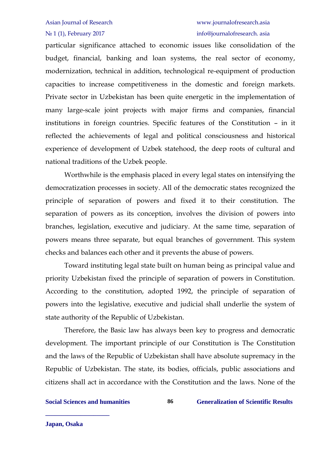particular significance attached to economic issues like consolidation of the budget, financial, banking and loan systems, the real sector of economy, modernization, technical in addition, technological re-equipment of production capacities to increase competitiveness in the domestic and foreign markets. Private sector in Uzbekistan has been quite energetic in the implementation of many large-scale joint projects with major firms and companies, financial institutions in foreign countries. Specific features of the Constitution – in it reflected the achievements of legal and political consciousness and historical experience of development of Uzbek statehood, the deep roots of cultural and national traditions of the Uzbek people.

Worthwhile is the emphasis placed in every legal states on intensifying the democratization processes in society. All of the democratic states recognized the principle of separation of powers and fixed it to their constitution. The separation of powers as its conception, involves the division of powers into branches, legislation, executive and judiciary. At the same time, separation of powers means three separate, but equal branches of government. This system checks and balances each other and it prevents the abuse of powers.

Toward instituting legal state built on human being as principal value and priority Uzbekistan fixed the principle of separation of powers in Constitution. According to the constitution, adopted 1992, the principle of separation of powers into the legislative, executive and judicial shall underlie the system of state authority of the Republic of Uzbekistan.

Therefore, the Basic law has always been key to progress and democratic development. The important principle of our Constitution is The Constitution and the laws of the Republic of Uzbekistan shall have absolute supremacy in the Republic of Uzbekistan. The state, its bodies, officials, public associations and citizens shall act in accordance with the Constitution and the laws. None of the

**\_\_\_\_\_\_\_\_\_\_\_\_\_\_\_\_\_\_\_\_**

### **Social Sciences and humanities 66 Generalization of Scientific Results**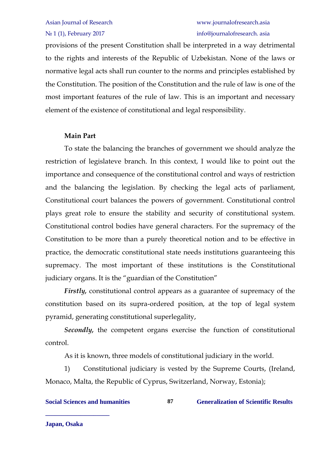provisions of the present Constitution shall be interpreted in a way detrimental to the rights and interests of the Republic of Uzbekistan. None of the laws or normative legal acts shall run counter to the norms and principles established by the Constitution. The position of the Constitution and the rule of law is one of the most important features of the rule of law. This is an important and necessary element of the existence of constitutional and legal responsibility.

### **Main Part**

To state the balancing the branches of government we should analyze the restriction of legislateve branch. In this context, I would like to point out the importance and consequence of the constitutional control and ways of restriction and the balancing the legislation. By checking the legal acts of parliament, Constitutional court balances the powers of government. Constitutional control plays great role to ensure the stability and security of constitutional system. Constitutional control bodies have general characters. For the supremacy of the Constitution to be more than a purely theoretical notion and to be effective in practice, the democratic constitutional state needs institutions guaranteeing this supremacy. The most important of these institutions is the Constitutional judiciary organs. It is the "guardian of the Constitution"

*Firstly,* constitutional control appears as a guarantee of supremacy of the constitution based on its supra-ordered position, at the top of legal system pyramid, generating constitutional superlegality,

*Secondly,* the competent organs exercise the function of constitutional control.

As it is known, three models of constitutional judiciary in the world.

1) Constitutional judiciary is vested by the Supreme Courts, (Ireland, Monaco, Malta, the Republic of Cyprus, Switzerland, Norway, Estonia);

**\_\_\_\_\_\_\_\_\_\_\_\_\_\_\_\_\_\_\_\_**

### **Social Sciences and humanities 628 a.m. Social Scientific Results** Results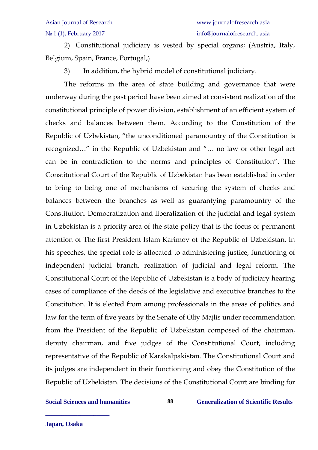2) Constitutional judiciary is vested by special organs; (Austria, Italy, Belgium, Spain, France, Portugal,)

3) In addition, the hybrid model of constitutional judiciary.

The reforms in the area of state building and governance that were underway during the past period have been aimed at consistent realization of the constitutional principle of power division, establishment of an efficient system of checks and balances between them. According to the Constitution of the Republic of Uzbekistan, "the unconditioned paramountry of the Constitution is recognized…" in the Republic of Uzbekistan and "… no law or other legal act can be in contradiction to the norms and principles of Constitution". The Constitutional Court of the Republic of Uzbekistan has been established in order to bring to being one of mechanisms of securing the system of checks and balances between the branches as well as guarantying paramountry of the Constitution. Democratization and liberalization of the judicial and legal system in Uzbekistan is a priority area of the state policy that is the focus of permanent attention of The first President Islam Karimov of the Republic of Uzbekistan. In his speeches, the special role is allocated to administering justice, functioning of independent judicial branch, realization of judicial and legal reform. The Constitutional Court of the Republic of Uzbekistan is a body of judiciary hearing cases of compliance of the deeds of the legislative and executive branches to the Constitution. It is elected from among professionals in the areas of politics and law for the term of five years by the Senate of Oliy Majlis under recommendation from the President of the Republic of Uzbekistan composed of the chairman, deputy chairman, and five judges of the Constitutional Court, including representative of the Republic of Karakalpakistan. The Constitutional Court and its judges are independent in their functioning and obey the Constitution of the Republic of Uzbekistan. The decisions of the Constitutional Court are binding for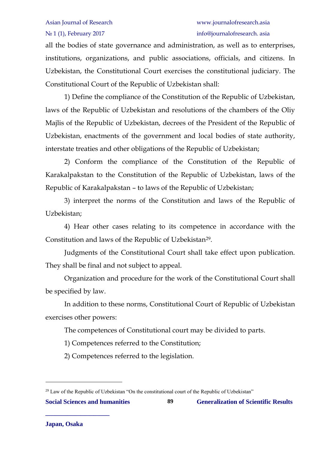all the bodies of state governance and administration, as well as to enterprises, institutions, organizations, and public associations, officials, and citizens. In Uzbekistan, the Constitutional Court exercises the constitutional judiciary. The Constitutional Court of the Republic of Uzbekistan shall:

1) Define the compliance of the Constitution of the Republic of Uzbekistan, laws of the Republic of Uzbekistan and resolutions of the chambers of the Oliy Majlis of the Republic of Uzbekistan, decrees of the President of the Republic of Uzbekistan, enactments of the government and local bodies of state authority, interstate treaties and other obligations of the Republic of Uzbekistan;

2) Conform the compliance of the Constitution of the Republic of Karakalpakstan to the Constitution of the Republic of Uzbekistan, laws of the Republic of Karakalpakstan – to laws of the Republic of Uzbekistan;

3) interpret the norms of the Constitution and laws of the Republic of Uzbekistan;

4) Hear other cases relating to its competence in accordance with the Constitution and laws of the Republic of Uzbekistan<sup>29</sup>.

Judgments of the Constitutional Court shall take effect upon publication. They shall be final and not subject to appeal.

Organization and procedure for the work of the Constitutional Court shall be specified by law.

In addition to these norms, Constitutional Court of Republic of Uzbekistan exercises other powers:

The competences of Constitutional court may be divided to parts.

1) Competences referred to the Constitution;

2) Competences referred to the legislation.

**Social Sciences and humanities 69 Generalization of Scientific Results** 

<u>.</u>

<sup>&</sup>lt;sup>29</sup> Law of the Republic of Uzbekistan "On the constitutional court of the Republic of Uzbekistan"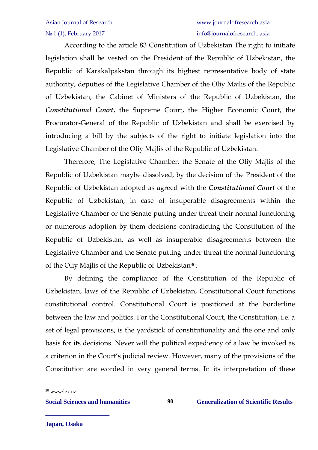According to the article 83 Constitution of Uzbekistan The right to initiate legislation shall be vested on the President of the Republic of Uzbekistan, the Republic of Karakalpakstan through its highest representative body of state authority, deputies of the Legislative Chamber of the Oliy Majlis of the Republic of Uzbekistan, the Cabinet of Ministers of the Republic of Uzbekistan, the *Constitutional Court*, the Supreme Court, the Higher Economic Court, the Procurator-General of the Republic of Uzbekistan and shall be exercised by introducing a bill by the subjects of the right to initiate legislation into the Legislative Chamber of the Oliy Majlis of the Republic of Uzbekistan.

Therefore, The Legislative Chamber, the Senate of the Oliy Majlis of the Republic of Uzbekistan maybe dissolved, by the decision of the President of the Republic of Uzbekistan adopted as agreed with the *Constitutional Court* of the Republic of Uzbekistan, in case of insuperable disagreements within the Legislative Chamber or the Senate putting under threat their normal functioning or numerous adoption by them decisions contradicting the Constitution of the Republic of Uzbekistan, as well as insuperable disagreements between the Legislative Chamber and the Senate putting under threat the normal functioning of the Oliy Majlis of the Republic of Uzbekistan30.

By defining the compliance of the Constitution of the Republic of Uzbekistan, laws of the Republic of Uzbekistan, Constitutional Court functions constitutional control. Constitutional Court is positioned at the borderline between the law and politics. For the Constitutional Court, the Constitution, i.e. a set of legal provisions, is the yardstick of constitutionality and the one and only basis for its decisions. Never will the political expediency of a law be invoked as a criterion in the Court's judicial review. However, many of the provisions of the Constitution are worded in very general terms. In its interpretation of these

 $30$  www/lex.uz

<u>.</u>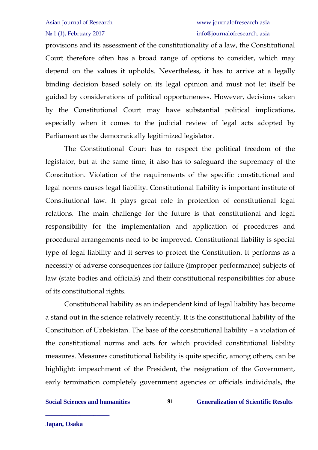provisions and its assessment of the constitutionality of a law, the Constitutional Court therefore often has a broad range of options to consider, which may depend on the values it upholds. Nevertheless, it has to arrive at a legally binding decision based solely on its legal opinion and must not let itself be guided by considerations of political opportuneness. However, decisions taken by the Constitutional Court may have substantial political implications, especially when it comes to the judicial review of legal acts adopted by Parliament as the democratically legitimized legislator.

The Constitutional Court has to respect the political freedom of the legislator, but at the same time, it also has to safeguard the supremacy of the Constitution. Violation of the requirements of the specific constitutional and legal norms causes legal liability. Constitutional liability is important institute of Constitutional law. It plays great role in protection of constitutional legal relations. The main challenge for the future is that constitutional and legal responsibility for the implementation and application of procedures and procedural arrangements need to be improved. Constitutional liability is special type of legal liability and it serves to protect the Constitution. It performs as a necessity of adverse consequences for failure (improper performance) subjects of law (state bodies and officials) and their constitutional responsibilities for abuse of its constitutional rights.

Constitutional liability as an independent kind of legal liability has become a stand out in the science relatively recently. It is the constitutional liability of the Constitution of Uzbekistan. The base of the constitutional liability – a violation of the constitutional norms and acts for which provided constitutional liability measures. Measures constitutional liability is quite specific, among others, can be highlight: impeachment of the President, the resignation of the Government, early termination completely government agencies or officials individuals, the

**\_\_\_\_\_\_\_\_\_\_\_\_\_\_\_\_\_\_\_\_**

### **Social Sciences and humanities 6 (Generalization of Scientific Results**)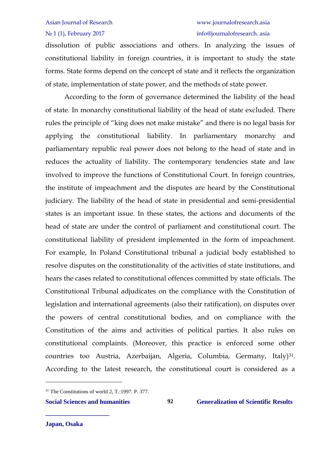dissolution of public associations and others. In analyzing the issues of constitutional liability in foreign countries, it is important to study the state forms. State forms depend on the concept of state and it reflects the organization of state, implementation of state power, and the methods of state power.

According to the form of governance determined the liability of the head of state. In monarchy constitutional liability of the head of state excluded. There rules the principle of "king does not make mistake" and there is no legal basis for applying the constitutional liability. In parliamentary monarchy and parliamentary republic real power does not belong to the head of state and in reduces the actuality of liability. The contemporary tendencies state and law involved to improve the functions of Constitutional Court. In foreign countries, the institute of impeachment and the disputes are heard by the Constitutional judiciary. The liability of the head of state in presidential and semi-presidential states is an important issue. In these states, the actions and documents of the head of state are under the control of parliament and constitutional court. The constitutional liability of president implemented in the form of impeachment. For example, In Poland Constitutional tribunal a judicial body established to resolve disputes on the constitutionality of the activities of state institutions, and hears the cases related to constitutional offences committed by state officials. The Constitutional Tribunal adjudicates on the compliance with the Constitution of legislation and international agreements (also their ratification), on disputes over the powers of central constitutional bodies, and on compliance with the Constitution of the aims and activities of political parties. It also rules on constitutional complaints. (Moreover, this practice is enforced some other countries too Austria, Azerbaijan, Algeria, Columbia, Germany, Italy)<sup>31</sup>. According to the latest research, the constitutional court is considered as a

**\_\_\_\_\_\_\_\_\_\_\_\_\_\_\_\_\_\_\_\_**

<u>.</u>

 $31$  The Constitutions of world 2, T.:1997. P. 377.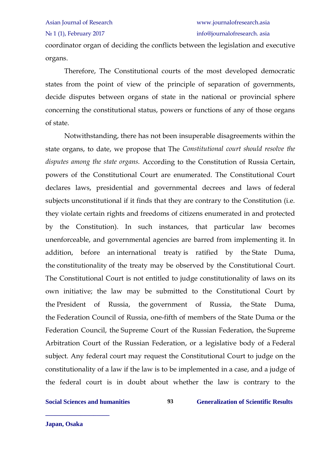coordinator organ of deciding the conflicts between the legislation and executive organs.

Therefore, The Constitutional courts of the most developed democratic states from the point of view of the principle of separation of governments, decide disputes between organs of state in the national or provincial sphere concerning the constitutional status, powers or functions of any of those organs of state.

Notwithstanding, there has not been insuperable disagreements within the state organs, to date, we propose that The *Constitutional court should resolve the disputes among the state organs.* According to the [Constitution of Russia](https://en.wikipedia.org/wiki/Constitution_of_Russia) Certain, powers of the Constitutional Court are enumerated. The Constitutional Court declares laws, presidential and governmental decrees and laws of [federal](https://en.wikipedia.org/wiki/Federal_subject)  [subjects](https://en.wikipedia.org/wiki/Federal_subject) unconstitutional if it finds that they are contrary to the Constitution (i.e. they violate certain rights and freedoms of citizens enumerated in and protected by the Constitution). In such instances, that particular law becomes unenforceable, and governmental agencies are barred from implementing it. In addition, before an [international treaty](https://en.wikipedia.org/wiki/International_treaty) is ratified by the [State Duma,](https://en.wikipedia.org/wiki/State_Duma) the [constitutionality](https://en.wikipedia.org/wiki/Constitutionality) of the treaty may be observed by the Constitutional Court. The Constitutional Court is not entitled to judge constitutionality of laws on its own initiative; the law may be submitted to the Constitutional Court by the [President of Russia,](https://en.wikipedia.org/wiki/President_of_Russia) the [government of Russia,](https://en.wikipedia.org/wiki/Government_of_Russia) the [State Duma,](https://en.wikipedia.org/wiki/State_Duma) the [Federation Council of Russia,](https://en.wikipedia.org/wiki/Federation_Council_of_Russia) one-fifth of members of the State Duma or the Federation Council, the [Supreme Court of the Russian Federation,](https://en.wikipedia.org/wiki/Supreme_Court_of_the_Russian_Federation) the [Supreme](https://en.wikipedia.org/w/index.php?title=Supreme_Arbitration_Court_of_the_Russian_Federation&action=edit&redlink=1)  [Arbitration Court of the Russian Federation,](https://en.wikipedia.org/w/index.php?title=Supreme_Arbitration_Court_of_the_Russian_Federation&action=edit&redlink=1) or a legislative body of a [Federal](https://en.wikipedia.org/wiki/Federal_subjects_of_Russia)  [subject.](https://en.wikipedia.org/wiki/Federal_subjects_of_Russia) Any federal court may request the Constitutional Court to judge on the constitutionality of a law if the law is to be implemented in a case, and a judge of the federal court is in doubt about whether the law is contrary to the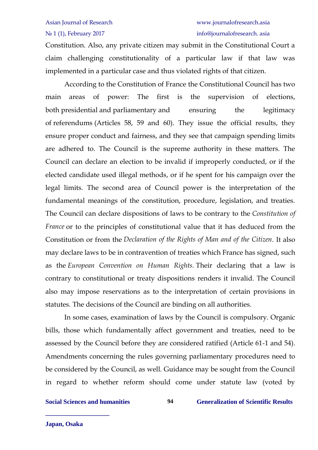Constitution. Also, any private citizen may submit in the Constitutional Court a claim challenging constitutionality of a particular law if that law was implemented in a particular case and thus violated rights of that citizen.

According to the Constitution of France the Constitutional Council has two main areas of power: The first is the supervision of elections, both [presidential](https://en.wikipedia.org/wiki/President_of_France) and [parliamentary](https://en.wikipedia.org/wiki/Parliament_of_France) and ensuring the legitimacy of [referendums](https://en.wikipedia.org/wiki/Referendum) (Articles 58, 59 and 60). They issue the official results, they ensure proper conduct and fairness, and they see that campaign spending limits are adhered to. The Council is the supreme authority in these matters. The Council can declare an election to be invalid if improperly conducted, or if the elected candidate used illegal methods, or if he spent for his campaign over the legal limits. The second area of Council power is the interpretation of the fundamental meanings of the constitution, procedure, legislation, and treaties. The Council can declare dispositions of laws to be contrary to the *[Constitution of](https://en.wikipedia.org/wiki/Constitution_of_France)  [France](https://en.wikipedia.org/wiki/Constitution_of_France)* or to the principles of constitutional value that it has deduced from the Constitution or from the *[Declaration of the Rights of Man and of the Citizen](https://en.wikipedia.org/wiki/Declaration_of_the_Rights_of_Man_and_of_the_Citizen)*. It also may declare laws to be in contravention of [treaties](https://en.wikipedia.org/wiki/Treaty) which France has signed, such as the *[European Convention on Human Rights.](https://en.wikipedia.org/wiki/European_Convention_on_Human_Rights)* Their declaring that a law is contrary to constitutional or treaty dispositions renders it invalid. The Council also may impose reservations as to the interpretation of certain provisions in statutes. The decisions of the Council are binding on all authorities.

In some cases, examination of laws by the Council is compulsory. [Organic](https://en.wikipedia.org/wiki/Organic_law#Organic_laws_in_France)  [bills,](https://en.wikipedia.org/wiki/Organic_law#Organic_laws_in_France) those which fundamentally affect government and treaties, need to be assessed by the Council before they are considered ratified (Article 61-1 and 54). Amendments concerning the rules governing parliamentary procedures need to be considered by the Council, as well. Guidance may be sought from the Council in regard to whether reform should come under statute law (voted by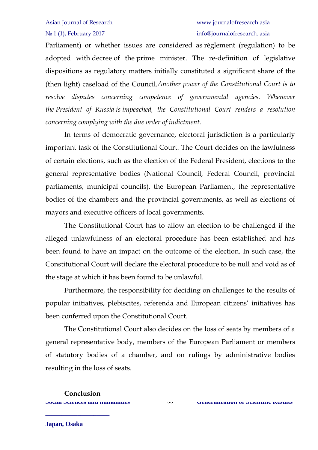Parliament) or whether issues are considered as règlement (regulation) to be adopted with [decree](https://en.wikipedia.org/wiki/Decree) of the [prime minister.](https://en.wikipedia.org/wiki/Prime_Minister_of_France) The re-definition of legislative dispositions as regulatory matters initially constituted a significant share of the (then light) caseload of the Council.*Another power of the Constitutional Court is to resolve disputes concerning competence of governmental agencies. Whenever the [President of Russia](https://en.wikipedia.org/wiki/President_of_Russia) is [impeached,](https://en.wikipedia.org/wiki/Impeachment) the Constitutional Court renders a resolution concerning complying with the due order of indictment.*

In terms of democratic governance, electoral jurisdiction is a particularly important task of the Constitutional Court. The Court decides on the lawfulness of certain elections, such as the election of the Federal President, elections to the general representative bodies (National Council, Federal Council, provincial parliaments, municipal councils), the European Parliament, the representative bodies of the chambers and the provincial governments, as well as elections of mayors and executive officers of local governments.

The Constitutional Court has to allow an election to be challenged if the alleged unlawfulness of an electoral procedure has been established and has been found to have an impact on the outcome of the election. In such case, the Constitutional Court will declare the electoral procedure to be null and void as of the stage at which it has been found to be unlawful.

Furthermore, the responsibility for deciding on challenges to the results of popular initiatives, plebiscites, referenda and European citizens' initiatives has been conferred upon the Constitutional Court.

The Constitutional Court also decides on the loss of seats by members of a general representative body, members of the European Parliament or members of statutory bodies of a chamber, and on rulings by administrative bodies resulting in the loss of seats.

**Social Sciences and humanities Generalization of Scientific Results**

**95**

### **Conclusion**

**\_\_\_\_\_\_\_\_\_\_\_\_\_\_\_\_\_\_\_\_**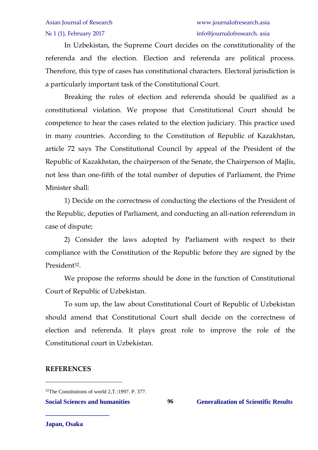In Uzbekistan, the Supreme Court decides on the constitutionality of the referenda and the election. Election and referenda are political process. Therefore, this type of cases has constitutional characters. Electoral jurisdiction is a particularly important task of the Constitutional Court.

Breaking the rules of election and referenda should be qualified as a constitutional violation. We propose that Constitutional Court should be competence to hear the cases related to the election judiciary. This practice used in many countries. According to the Constitution of Republic of Kazakhstan, article 72 says The Constitutional Council by appeal of the President of the Republic of Kazakhstan, the chairperson of the Senate, the Chairperson of Majlis, not less than one-fifth of the total number of deputies of Parliament, the Prime Minister shall:

1) Decide on the correctness of conducting the elections of the President of the Republic, deputies of Parliament, and conducting an all-nation referendum in case of dispute;

2) Consider the laws adopted by Parliament with respect to their compliance with the Constitution of the Republic before they are signed by the President<sup>32</sup>.

We propose the reforms should be done in the function of Constitutional Court of Republic of Uzbekistan.

To sum up, the law about Constitutional Court of Republic of Uzbekistan should amend that Constitutional Court shall decide on the correctness of election and referenda. It plays great role to improve the role of the Constitutional court in Uzbekistan.

### **REFERENCES**

<u>.</u>

<sup>32</sup>The Constitutions of world 2,T.:1997. P. 377.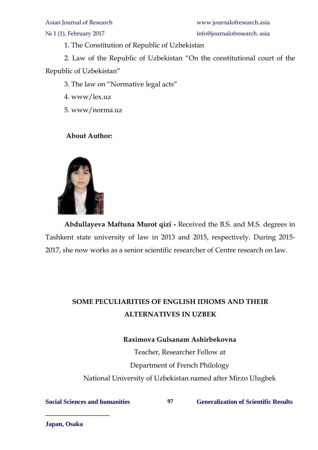Asian Journal of Research www[.journalofresearch.a](http://journalofresearch.asia/)sia

No 1 (1), February 2017 info[@journalofresearch.](http://journalofresearch.asia/) asia

1. The Constitution of Republic of Uzbekistan

2. Law of the Republic of Uzbekistan "On the constitutional court of the Republic of Uzbekistan"

- 3. The law on "Normative legal acts"
- 4. www/lex.uz
- 5. www/norma.uz

### **About Author:**



**Abdullayeva Maftuna Murot qizi -** Received the B.S. and M.S. degrees in Tashkent state university of law in 2013 and 2015, respectively. During 2015- 2017, she now works as a senior scientific researcher of Centre research on law.

# **SOME PECULIARITIES OF ENGLISH IDIOMS AND THEIR ALTERNATIVES IN UZBEK**

### **Raximova Gulsanam Ashirbekovna**

Teacher, Researcher Fellow at Department of French Philology National University of Uzbekistan named after Mirzo Ulugbek

**\_\_\_\_\_\_\_\_\_\_\_\_\_\_\_\_\_\_\_\_**

### **Social Sciences and humanities** 97 **Generalization of Scientific Results**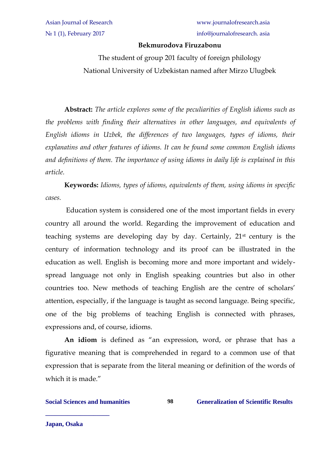### **Bekmurodova Firuzabonu**

The student of group 201 faculty of foreign philology National University of Uzbekistan named after Mirzo Ulugbek

**Abstract:** *The article explores some of the peculiarities of English idioms such as the problems with finding their alternatives in other languages, and equivalents of English idioms in Uzbek, the differences of two languages, types of idioms, their explanatins and other features of idioms. It can be found some common English idioms and definitions of them. The importance of using idioms in daily life is explained in this article.*

**Keywords:** *Idioms, types of idioms, equivalents of them, using idioms in specific cases.*

Education system is considered one of the most important fields in every country all around the world. Regarding the improvement of education and teaching systems are developing day by day. Certainly, 21st century is the century of information technology and its proof can be illustrated in the education as well. English is becoming more and more important and widelyspread language not only in English speaking countries but also in other countries too. New methods of teaching English are the centre of scholars' attention, especially, if the language is taught as second language. Being specific, one of the big problems of teaching English is connected with phrases, expressions and, of course, idioms.

**An idiom** is defined as "an expression, word, or phrase that has a figurative meaning that is comprehended in regard to a common use of that expression that is separate from the literal meaning or definition of the words of which it is made."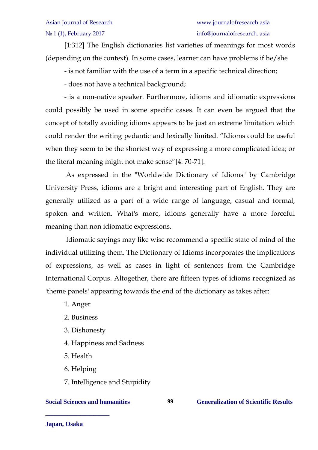[1:312] The English dictionaries list varieties of meanings for most words (depending on the context). In some cases, learner can have problems if he/she

- is not familiar with the use of a term in a specific technical direction;

- does not have a technical background;

- is a non-native speaker. Furthermore, idioms and idiomatic expressions could possibly be used in some specific cases. It can even be argued that the concept of totally avoiding idioms appears to be just an extreme limitation which could render the writing pedantic and lexically limited. "Idioms could be useful when they seem to be the shortest way of expressing a more complicated idea; or the literal meaning might not make sense"[4: 70-71].

As expressed in the "Worldwide Dictionary of Idioms" by Cambridge University Press, idioms are a bright and interesting part of English. They are generally utilized as a part of a wide range of language, casual and formal, spoken and written. What's more, idioms generally have a more forceful meaning than non idiomatic expressions.

Idiomatic sayings may like wise recommend a specific state of mind of the individual utilizing them. The Dictionary of Idioms incorporates the implications of expressions, as well as cases in light of sentences from the Cambridge International Corpus. Altogether, there are fifteen types of idioms recognized as 'theme panels' appearing towards the end of the dictionary as takes after:

- 1. Anger
- 2. Business
- 3. Dishonesty
- 4. Happiness and Sadness
- 5. Health
- 6. Helping

**\_\_\_\_\_\_\_\_\_\_\_\_\_\_\_\_\_\_\_\_**

7. Intelligence and Stupidity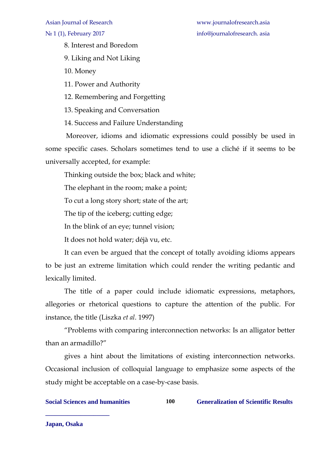8. Interest and Boredom

9. Liking and Not Liking

10. Money

11. Power and Authority

12. Remembering and Forgetting

13. Speaking and Conversation

14. Success and Failure Understanding

Moreover, idioms and idiomatic expressions could possibly be used in some specific cases. Scholars sometimes tend to use a cliché if it seems to be universally accepted, for example:

Thinking outside the box; black and white;

The elephant in the room; make a point;

To cut a long story short; state of the art;

The tip of the iceberg; cutting edge;

In the blink of an eye; tunnel vision;

It does not hold water; déjà vu, etc.

It can even be argued that the concept of totally avoiding idioms appears to be just an extreme limitation which could render the writing pedantic and lexically limited.

The title of a paper could include idiomatic expressions, metaphors, allegories or rhetorical questions to capture the attention of the public. For instance, the title (Liszka *et al*. 1997)

"Problems with comparing interconnection networks: Is an alligator better than an armadillo?"

gives a hint about the limitations of existing interconnection networks. Occasional inclusion of colloquial language to emphasize some aspects of the study might be acceptable on a case-by-case basis.

**\_\_\_\_\_\_\_\_\_\_\_\_\_\_\_\_\_\_\_\_**

**100**

**Social Sciences and humanities 100 •• Generalization of Scientific Results**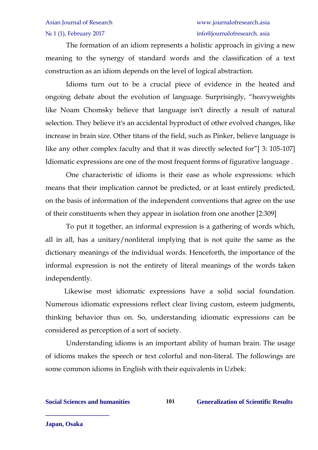The formation of an idiom represents a holistic approach in giving a new meaning to the synergy of standard words and the classification of a text construction as an idiom depends on the level of logical abstraction.

Idioms turn out to be a crucial piece of evidence in the heated and ongoing debate about the evolution of language. Surprisingly, "heavyweights like Noam Chomsky believe that language isn't directly a result of natural selection. They believe it's an accidental byproduct of other evolved changes, like increase in brain size. Other titans of the field, such as Pinker, believe language is like any other complex faculty and that it was directly selected for"[ 3: 105-107] Idiomatic expressions are one of the most frequent forms of figurative language .

One characteristic of idioms is their ease as whole expressions: which means that their implication cannot be predicted, or at least entirely predicted, on the basis of information of the independent conventions that agree on the use of their constituents when they appear in isolation from one another [2:309]

To put it together, an informal expression is a gathering of words which, all in all, has a unitary/nonliteral implying that is not quite the same as the dictionary meanings of the individual words. Henceforth, the importance of the informal expression is not the entirety of literal meanings of the words taken independently.

Likewise most idiomatic expressions have a solid social foundation. Numerous idiomatic expressions reflect clear living custom, esteem judgments, thinking behavior thus on. So, understanding idiomatic expressions can be considered as perception of a sort of society.

Understanding idioms is an important ability of human brain. The usage of idioms makes the speech or text colorful and non-literal. The followings are some common idioms in English with their equivalents in Uzbek:

**\_\_\_\_\_\_\_\_\_\_\_\_\_\_\_\_\_\_\_\_**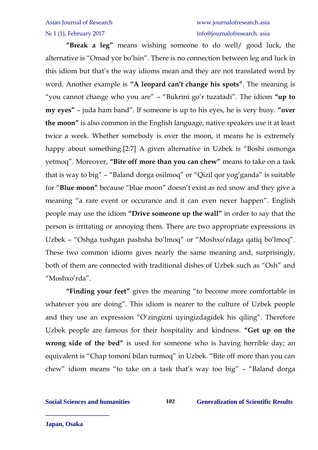**"Break a leg"** means wishing someone to do well/ good luck, the alternative is "Omad yor bo'lsin". There is no connection between leg and luck in this idiom but that's the way idioms mean and they are not translated word by word. Another example is **"A leopard can't change his spots"**. The meaning is "you cannot change who you are" – "Bukrini go'r tuzatadi". The idiom **"up to my eyes"** – juda ham band". If someone is up to his eyes, he is very busy. **"over the moon"** is also common in the English language, native speakers use it at least twice a week. Whether somebody is over the moon, it means he is extremely happy about something.<sup>[2:7]</sup> A given alternative in Uzbek is "Boshi osmonga" yetmoq". Moreover, **"Bite off more than you can chew"** means to take on a task that is way to big" – "Baland dorga osilmoq" or "Qizil qor yog'ganda" is suitable for "**Blue moon"** because "blue moon" doesn't exist as red snow and they give a meaning "a rare event or occurance and it can even never happen". English people may use the idiom **"Drive someone up the wall"** in order to say that the person is irritating or annoying them. There are two appropriate expressions in Uzbek – "Oshga tushgan pashsha bo'lmoq" or "Moshxo'rdaga qatiq bo'lmoq". These two common idioms gives nearly the same meaning and, surprisingly, both of them are connected with traditional dishes of Uzbek such as "Osh" and "Moshxo'rda".

**"Finding your feet"** gives the meaning "to become more comfortable in whatever you are doing". This idiom is nearer to the culture of Uzbek people and they use an expression "O'zingizni uyingizdagidek his qiling". Therefore Uzbek people are famous for their hospitality and kindness. **"Get up on the wrong side of the bed"** is used for someone who is having horrible day; an equivalent is "Chap tomoni bilan turmoq" in Uzbek. "Bite off more than you can chew" idiom means "to take on a task that's way too big" – "Baland dorga

**\_\_\_\_\_\_\_\_\_\_\_\_\_\_\_\_\_\_\_\_**

**102**

### **Social Sciences and humanities** 102 **Generalization of Scientific Results**